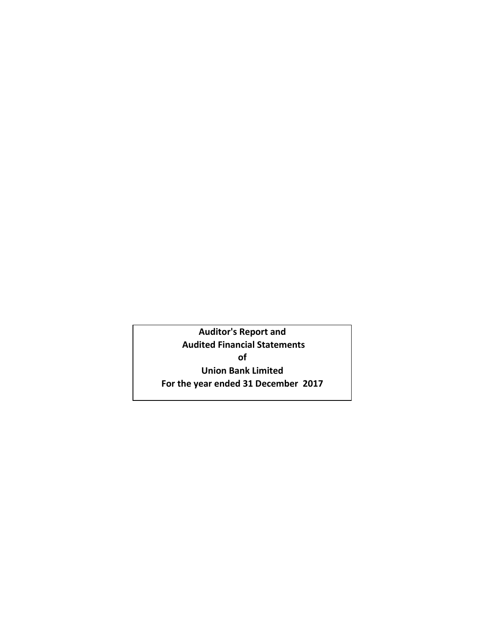**Auditor's Report and Audited Financial Statements of Union Bank Limited For the year ended 31 December 2017**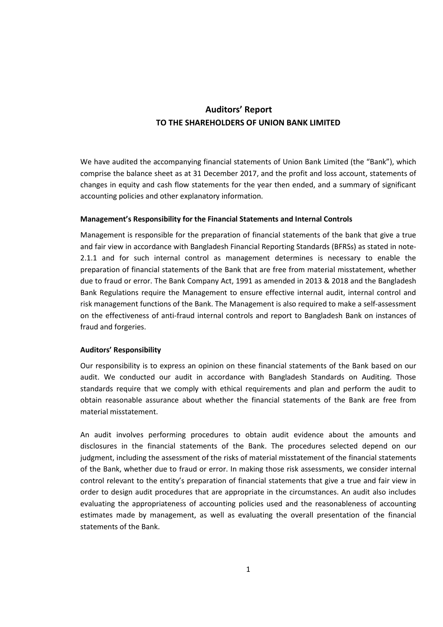# **Auditors' Report TO THE SHAREHOLDERS OF UNION BANK LIMITED**

We have audited the accompanying financial statements of Union Bank Limited (the "Bank"), which comprise the balance sheet as at 31 December 2017, and the profit and loss account, statements of changes in equity and cash flow statements for the year then ended, and a summary of significant accounting policies and other explanatory information.

## **Management's Responsibility for the Financial Statements and Internal Controls**

Management is responsible for the preparation of financial statements of the bank that give a true and fair view in accordance with Bangladesh Financial Reporting Standards (BFRSs) as stated in note-2.1.1 and for such internal control as management determines is necessary to enable the preparation of financial statements of the Bank that are free from material misstatement, whether due to fraud or error. The Bank Company Act, 1991 as amended in 2013 & 2018 and the Bangladesh Bank Regulations require the Management to ensure effective internal audit, internal control and risk management functions of the Bank. The Management is also required to make a self-assessment on the effectiveness of anti-fraud internal controls and report to Bangladesh Bank on instances of fraud and forgeries.

## **Auditors' Responsibility**

Our responsibility is to express an opinion on these financial statements of the Bank based on our audit. We conducted our audit in accordance with Bangladesh Standards on Auditing. Those standards require that we comply with ethical requirements and plan and perform the audit to obtain reasonable assurance about whether the financial statements of the Bank are free from material misstatement.

An audit involves performing procedures to obtain audit evidence about the amounts and disclosures in the financial statements of the Bank. The procedures selected depend on our judgment, including the assessment of the risks of material misstatement of the financial statements of the Bank, whether due to fraud or error. In making those risk assessments, we consider internal control relevant to the entity's preparation of financial statements that give a true and fair view in order to design audit procedures that are appropriate in the circumstances. An audit also includes evaluating the appropriateness of accounting policies used and the reasonableness of accounting estimates made by management, as well as evaluating the overall presentation of the financial statements of the Bank.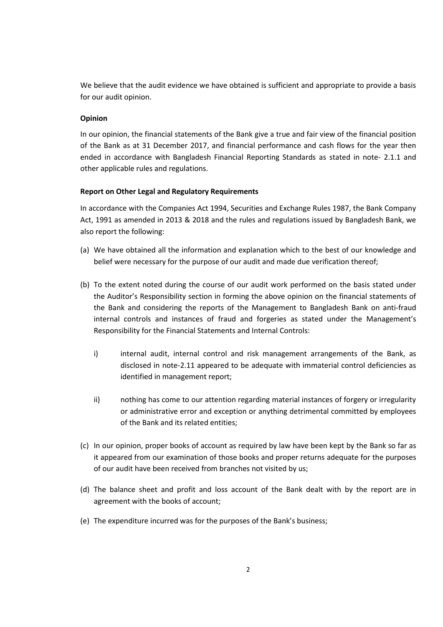We believe that the audit evidence we have obtained is sufficient and appropriate to provide a basis for our audit opinion.

## **Opinion**

In our opinion, the financial statements of the Bank give a true and fair view of the financial position of the Bank as at 31 December 2017, and financial performance and cash flows for the year then ended in accordance with Bangladesh Financial Reporting Standards as stated in note- 2.1.1 and other applicable rules and regulations.

## **Report on Other Legal and Regulatory Requirements**

In accordance with the Companies Act 1994, Securities and Exchange Rules 1987, the Bank Company Act, 1991 as amended in 2013 & 2018 and the rules and regulations issued by Bangladesh Bank, we also report the following:

- (a) We have obtained all the information and explanation which to the best of our knowledge and belief were necessary for the purpose of our audit and made due verification thereof;
- (b) To the extent noted during the course of our audit work performed on the basis stated under the Auditor's Responsibility section in forming the above opinion on the financial statements of the Bank and considering the reports of the Management to Bangladesh Bank on anti-fraud internal controls and instances of fraud and forgeries as stated under the Management's Responsibility for the Financial Statements and Internal Controls:
	- i) internal audit, internal control and risk management arrangements of the Bank, as disclosed in note-2.11 appeared to be adequate with immaterial control deficiencies as identified in management report;
	- ii) nothing has come to our attention regarding material instances of forgery or irregularity or administrative error and exception or anything detrimental committed by employees of the Bank and its related entities;
- (c) In our opinion, proper books of account as required by law have been kept by the Bank so far as it appeared from our examination of those books and proper returns adequate for the purposes of our audit have been received from branches not visited by us;
- (d) The balance sheet and profit and loss account of the Bank dealt with by the report are in agreement with the books of account;
- (e) The expenditure incurred was for the purposes of the Bank's business;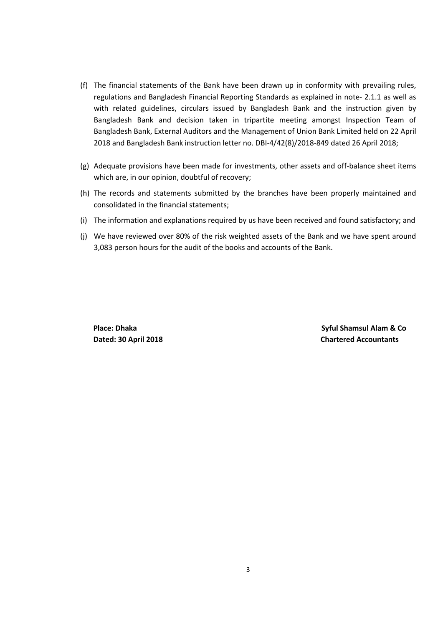- (f) The financial statements of the Bank have been drawn up in conformity with prevailing rules, regulations and Bangladesh Financial Reporting Standards as explained in note- 2.1.1 as well as with related guidelines, circulars issued by Bangladesh Bank and the instruction given by Bangladesh Bank and decision taken in tripartite meeting amongst Inspection Team of Bangladesh Bank, External Auditors and the Management of Union Bank Limited held on 22 April 2018 and Bangladesh Bank instruction letter no. DBI-4/42(8)/2018-849 dated 26 April 2018;
- (g) Adequate provisions have been made for investments, other assets and off-balance sheet items which are, in our opinion, doubtful of recovery;
- (h) The records and statements submitted by the branches have been properly maintained and consolidated in the financial statements;
- (i) The information and explanations required by us have been received and found satisfactory; and
- (j) We have reviewed over 80% of the risk weighted assets of the Bank and we have spent around 3,083 person hours for the audit of the books and accounts of the Bank.

 **Place: Dhaka Syful Shamsul Alam & Co Dated: 30 April 2018 Chartered Accountants**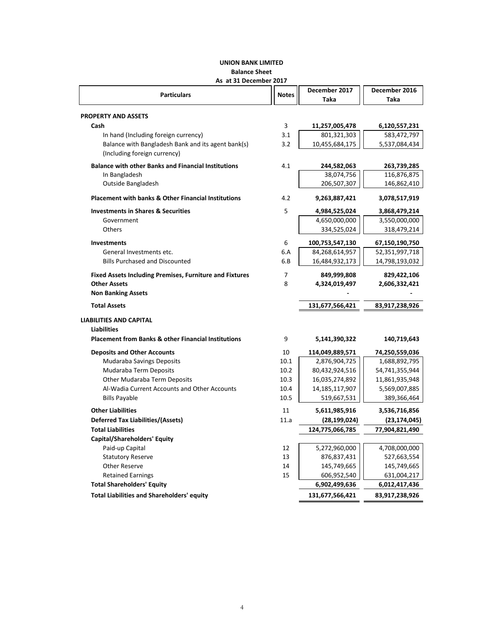## **UNION BANK LIMITED Balance Sheet**

## **As at 31 December 2017**

| As at 31 December 2017                                         |              |                   |                |
|----------------------------------------------------------------|--------------|-------------------|----------------|
| <b>Particulars</b>                                             | <b>Notes</b> | December 2017     | December 2016  |
|                                                                |              | Taka              | Taka           |
|                                                                |              |                   |                |
| <b>PROPERTY AND ASSETS</b>                                     |              |                   |                |
| Cash                                                           | 3            | 11,257,005,478    | 6,120,557,231  |
| In hand (Including foreign currency)                           | 3.1          | 801,321,303       | 583,472,797    |
| Balance with Bangladesh Bank and its agent bank(s)             | 3.2          | 10,455,684,175    | 5,537,084,434  |
| (Including foreign currency)                                   |              |                   |                |
| <b>Balance with other Banks and Financial Institutions</b>     | 4.1          | 244,582,063       | 263,739,285    |
| In Bangladesh                                                  |              | 38,074,756        | 116,876,875    |
| Outside Bangladesh                                             |              | 206,507,307       | 146,862,410    |
| <b>Placement with banks &amp; Other Financial Institutions</b> | 4.2          | 9,263,887,421     | 3,078,517,919  |
| <b>Investments in Shares &amp; Securities</b>                  | 5            | 4,984,525,024     | 3,868,479,214  |
| Government                                                     |              | 4,650,000,000     | 3,550,000,000  |
| <b>Others</b>                                                  |              | 334,525,024       | 318,479,214    |
|                                                                |              |                   |                |
| <b>Investments</b>                                             | 6            | 100,753,547,130   | 67,150,190,750 |
| General Investments etc.                                       | 6.A          | 84,268,614,957    | 52,351,997,718 |
| <b>Bills Purchased and Discounted</b>                          | 6.B          | 16,484,932,173    | 14,798,193,032 |
| <b>Fixed Assets Including Premises, Furniture and Fixtures</b> | 7            | 849,999,808       | 829,422,106    |
| <b>Other Assets</b>                                            | 8            | 4,324,019,497     | 2,606,332,421  |
| <b>Non Banking Assets</b>                                      |              |                   |                |
| <b>Total Assets</b>                                            |              | 131,677,566,421   | 83,917,238,926 |
| <b>LIABILITIES AND CAPITAL</b>                                 |              |                   |                |
| <b>Liabilities</b>                                             |              |                   |                |
| <b>Placement from Banks &amp; other Financial Institutions</b> | 9            | 5,141,390,322     | 140,719,643    |
| <b>Deposits and Other Accounts</b>                             | 10           | 114,049,889,571   | 74,250,559,036 |
| Mudaraba Savings Deposits                                      | 10.1         | 2,876,904,725     | 1,688,892,795  |
| Mudaraba Term Deposits                                         | 10.2         | 80,432,924,516    | 54,741,355,944 |
| Other Mudaraba Term Deposits                                   | 10.3         | 16,035,274,892    | 11,861,935,948 |
| Al-Wadia Current Accounts and Other Accounts                   | 10.4         | 14, 185, 117, 907 | 5,569,007,885  |
| <b>Bills Payable</b>                                           | 10.5         | 519,667,531       | 389,366,464    |
| <b>Other Liabilities</b>                                       | 11           | 5,611,985,916     | 3,536,716,856  |
| <b>Deferred Tax Liabilities/(Assets)</b>                       | 11.a         | (28, 199, 024)    | (23, 174, 045) |
| <b>Total Liabilities</b>                                       |              | 124,775,066,785   | 77,904,821,490 |
| <b>Capital/Shareholders' Equity</b>                            |              |                   |                |
| Paid-up Capital                                                | 12           | 5,272,960,000     | 4,708,000,000  |
| <b>Statutory Reserve</b>                                       | 13           | 876,837,431       | 527,663,554    |
| <b>Other Reserve</b>                                           | 14           | 145,749,665       | 145,749,665    |
| <b>Retained Earnings</b>                                       | 15           | 606,952,540       | 631,004,217    |
| <b>Total Shareholders' Equity</b>                              |              | 6,902,499,636     | 6,012,417,436  |
| <b>Total Liabilities and Shareholders' equity</b>              |              | 131,677,566,421   | 83,917,238,926 |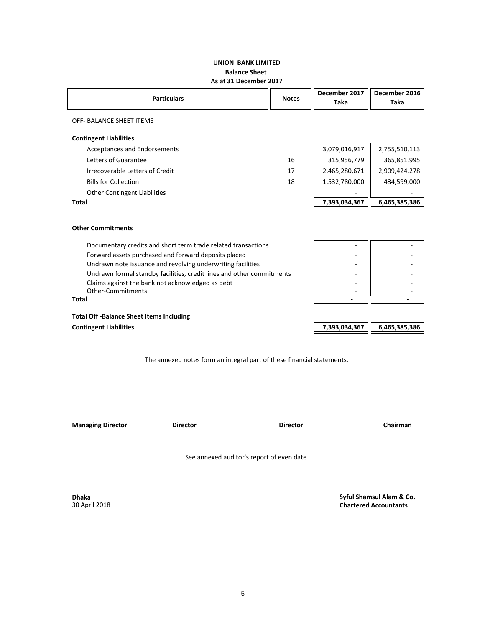## **UNION BANK LIMITED Balance Sheet As at 31 December 2017**

| <b>Particulars</b>                                                           | <b>Notes</b> | December 2017<br><b>Taka</b> | December 2016<br>Taka |
|------------------------------------------------------------------------------|--------------|------------------------------|-----------------------|
| OFF- BALANCE SHEET ITEMS                                                     |              |                              |                       |
| <b>Contingent Liabilities</b>                                                |              |                              |                       |
| <b>Acceptances and Endorsements</b>                                          |              | 3,079,016,917                | 2,755,510,113         |
| Letters of Guarantee                                                         | 16           | 315,956,779                  | 365,851,995           |
| Irrecoverable Letters of Credit                                              | 17           | 2,465,280,671                | 2,909,424,278         |
| <b>Bills for Collection</b>                                                  | 18           | 1,532,780,000                | 434,599,000           |
| <b>Other Contingent Liabilities</b>                                          |              |                              |                       |
| <b>Total</b>                                                                 |              | 7,393,034,367                | 6,465,385,386         |
| <b>Other Commitments</b>                                                     |              |                              |                       |
| Documentary credits and short term trade related transactions                |              |                              |                       |
| Forward assets purchased and forward deposits placed                         |              |                              |                       |
| Undrawn note issuance and revolving underwriting facilities                  |              |                              |                       |
| Undrawn formal standby facilities, credit lines and other commitments        |              |                              |                       |
| Claims against the bank not acknowledged as debt<br><b>Other-Commitments</b> |              |                              |                       |
| <b>Total</b>                                                                 |              |                              |                       |
| <b>Total Off-Balance Sheet Items Including</b>                               |              |                              |                       |
| <b>Contingent Liabilities</b>                                                |              | 7,393,034,367                | 6,465,385,386         |
|                                                                              |              |                              |                       |

The annexed notes form an integral part of these financial statements.

**Managing Director Director Director Chairman**

See annexed auditor's report of even date

**Dhaka** 30 April 2018  **Syful Shamsul Alam & Co. Chartered Accountants**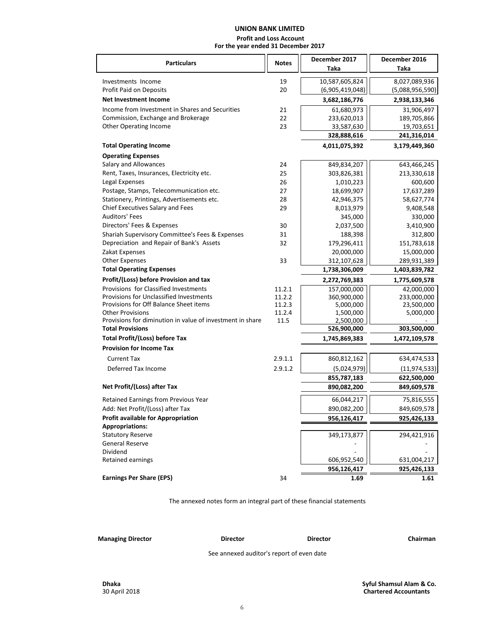# **UNION BANK LIMITED**

 **Profit and Loss Account For the year ended 31 December 2017**

| <b>Particulars</b>                                        | <b>Notes</b> | December 2017   | December 2016   |  |
|-----------------------------------------------------------|--------------|-----------------|-----------------|--|
|                                                           |              | Taka            | Taka            |  |
| Investments Income                                        | 19           | 10,587,605,824  | 8,027,089,936   |  |
| Profit Paid on Deposits                                   | 20           | (6,905,419,048) | (5,088,956,590) |  |
| <b>Net Investment Income</b>                              |              | 3,682,186,776   | 2,938,133,346   |  |
| Income from Investment in Shares and Securities           | 21           | 61,680,973      | 31,906,497      |  |
| Commission, Exchange and Brokerage                        | 22           | 233,620,013     | 189,705,866     |  |
| Other Operating Income                                    | 23           | 33,587,630      | 19,703,651      |  |
|                                                           |              | 328,888,616     | 241,316,014     |  |
| <b>Total Operating Income</b>                             |              | 4,011,075,392   | 3,179,449,360   |  |
| <b>Operating Expenses</b>                                 |              |                 |                 |  |
| Salary and Allowances                                     | 24           | 849,834,207     | 643,466,245     |  |
| Rent, Taxes, Insurances, Electricity etc.                 | 25           | 303,826,381     | 213,330,618     |  |
| Legal Expenses                                            | 26           | 1,010,223       | 600,600         |  |
| Postage, Stamps, Telecommunication etc.                   | 27           | 18,699,907      | 17,637,289      |  |
| Stationery, Printings, Advertisements etc.                | 28           | 42,946,375      | 58,627,774      |  |
| Chief Executives Salary and Fees                          | 29           | 8,013,979       | 9,408,548       |  |
| <b>Auditors' Fees</b>                                     |              | 345,000         | 330,000         |  |
| Directors' Fees & Expenses                                | 30           | 2,037,500       | 3,410,900       |  |
| Shariah Supervisory Committee's Fees & Expenses           | 31           | 188,398         | 312,800         |  |
| Depreciation and Repair of Bank's Assets                  | 32           | 179,296,411     | 151,783,618     |  |
| Zakat Expenses                                            |              | 20,000,000      | 15,000,000      |  |
| <b>Other Expenses</b>                                     | 33           | 312,107,628     | 289,931,389     |  |
| <b>Total Operating Expenses</b>                           |              | 1,738,306,009   | 1,403,839,782   |  |
| Profit/(Loss) before Provision and tax                    |              | 2,272,769,383   | 1,775,609,578   |  |
| Provisions for Classified Investments                     | 11.2.1       | 157,000,000     | 42,000,000      |  |
| Provisions for Unclassified Investments                   | 11.2.2       | 360,900,000     | 233,000,000     |  |
| Provisions for Off Balance Sheet items                    | 11.2.3       | 5,000,000       | 23,500,000      |  |
| <b>Other Provisions</b>                                   | 11.2.4       | 1,500,000       | 5,000,000       |  |
| Provisions for diminution in value of investment in share | 11.5         | 2,500,000       |                 |  |
| <b>Total Provisions</b>                                   |              | 526,900,000     | 303,500,000     |  |
| <b>Total Profit/(Loss) before Tax</b>                     |              | 1,745,869,383   | 1,472,109,578   |  |
| <b>Provision for Income Tax</b>                           |              |                 |                 |  |
| <b>Current Tax</b>                                        | 2.9.1.1      | 860,812,162     | 634,474,533     |  |
| Deferred Tax Income                                       | 2.9.1.2      | (5,024,979)     | (11, 974, 533)  |  |
|                                                           |              | 855,787,183     | 622,500,000     |  |
| Net Profit/(Loss) after Tax                               |              | 890,082,200     | 849,609,578     |  |
| Retained Earnings from Previous Year                      |              | 66,044,217      | 75,816,555      |  |
| Add: Net Profit/(Loss) after Tax                          |              | 890,082,200     | 849,609,578     |  |
| <b>Profit available for Appropriation</b>                 |              | 956,126,417     | 925,426,133     |  |
| <b>Appropriations:</b>                                    |              |                 |                 |  |
| <b>Statutory Reserve</b>                                  |              | 349,173,877     | 294,421,916     |  |
| <b>General Reserve</b>                                    |              |                 |                 |  |
| Dividend                                                  |              |                 |                 |  |
| Retained earnings                                         |              | 606,952,540     | 631,004,217     |  |
|                                                           |              | 956,126,417     | 925,426,133     |  |
| <b>Earnings Per Share (EPS)</b>                           | 34           | 1.69            | 1.61            |  |

The annexed notes form an integral part of these financial statements

**Managing Director Director Director Chairman**

See annexed auditor's report of even date

**Dhaka** 30 April 2018  **Syful Shamsul Alam & Co. Chartered Accountants**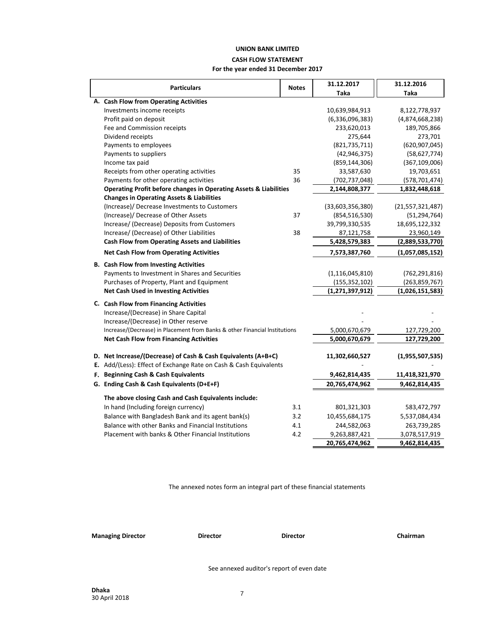## **UNION BANK LIMITED CASH FLOW STATEMENT For the year ended 31 December 2017**

| <b>Particulars</b>                                                           |              | 31.12.2017         | 31.12.2016          |  |
|------------------------------------------------------------------------------|--------------|--------------------|---------------------|--|
|                                                                              | <b>Notes</b> | Taka               | <b>Taka</b>         |  |
| A. Cash Flow from Operating Activities                                       |              |                    |                     |  |
| Investments income receipts                                                  |              | 10,639,984,913     | 8,122,778,937       |  |
| Profit paid on deposit                                                       |              | (6,336,096,383)    | (4,874,668,238)     |  |
| Fee and Commission receipts                                                  |              | 233,620,013        | 189,705,866         |  |
| Dividend receipts                                                            |              | 275,644            | 273,701             |  |
| Payments to employees                                                        |              | (821, 735, 711)    | (620, 907, 045)     |  |
| Payments to suppliers                                                        |              | (42, 946, 375)     | (58, 627, 774)      |  |
| Income tax paid                                                              |              | (859, 144, 306)    | (367, 109, 006)     |  |
| Receipts from other operating activities                                     | 35           | 33,587,630         | 19,703,651          |  |
| Payments for other operating activities                                      | 36           | (702, 737, 048)    | (578, 701, 474)     |  |
| <b>Operating Profit before changes in Operating Assets &amp; Liabilities</b> |              | 2,144,808,377      | 1,832,448,618       |  |
| <b>Changes in Operating Assets &amp; Liabilities</b>                         |              |                    |                     |  |
| (Increase)/ Decrease Investments to Customers                                |              | (33,603,356,380)   | (21, 557, 321, 487) |  |
| (Increase)/ Decrease of Other Assets                                         | 37           | (854, 516, 530)    | (51, 294, 764)      |  |
| Increase/ (Decrease) Deposits from Customers                                 |              | 39,799,330,535     | 18,695,122,332      |  |
| Increase/ (Decrease) of Other Liabilities                                    | 38           | 87,121,758         | 23,960,149          |  |
| <b>Cash Flow from Operating Assets and Liabilities</b>                       |              | 5,428,579,383      | (2,889,533,770)     |  |
| <b>Net Cash Flow from Operating Activities</b>                               |              | 7,573,387,760      | (1,057,085,152)     |  |
| <b>B.</b> Cash Flow from Investing Activities                                |              |                    |                     |  |
| Payments to Investment in Shares and Securities                              |              | (1, 116, 045, 810) | (762, 291, 816)     |  |
| Purchases of Property, Plant and Equipment                                   |              | (155, 352, 102)    | (263, 859, 767)     |  |
| <b>Net Cash Used in Investing Activities</b>                                 |              | (1, 271, 397, 912) | (1,026,151,583)     |  |
| C. Cash Flow from Financing Activities                                       |              |                    |                     |  |
| Increase/(Decrease) in Share Capital                                         |              |                    |                     |  |
| Increase/(Decrease) in Other reserve                                         |              |                    |                     |  |
| Increase/(Decrease) in Placement from Banks & other Financial Institutions   |              | 5,000,670,679      | 127,729,200         |  |
| <b>Net Cash Flow from Financing Activities</b>                               |              | 5,000,670,679      | 127,729,200         |  |
|                                                                              |              |                    |                     |  |
| D. Net Increase/(Decrease) of Cash & Cash Equivalents (A+B+C)                |              | 11,302,660,527     | (1,955,507,535)     |  |
| E. Add/(Less): Effect of Exchange Rate on Cash & Cash Equivalents            |              |                    |                     |  |
| F. Beginning Cash & Cash Equivalents                                         |              | 9,462,814,435      | 11,418,321,970      |  |
| G. Ending Cash & Cash Equivalents (D+E+F)                                    |              | 20,765,474,962     | 9,462,814,435       |  |
| The above closing Cash and Cash Equivalents include:                         |              |                    |                     |  |
| In hand (Including foreign currency)                                         | 3.1          | 801,321,303        | 583,472,797         |  |
| Balance with Bangladesh Bank and its agent bank(s)                           | 3.2          | 10,455,684,175     | 5,537,084,434       |  |
| Balance with other Banks and Financial Institutions                          | 4.1          | 244,582,063        | 263,739,285         |  |
| Placement with banks & Other Financial Institutions                          | 4.2          | 9,263,887,421      | 3,078,517,919       |  |
|                                                                              |              | 20,765,474,962     | 9,462,814,435       |  |

The annexed notes form an integral part of these financial statements

**Managing Director Director Director Chairman**

See annexed auditor's report of even date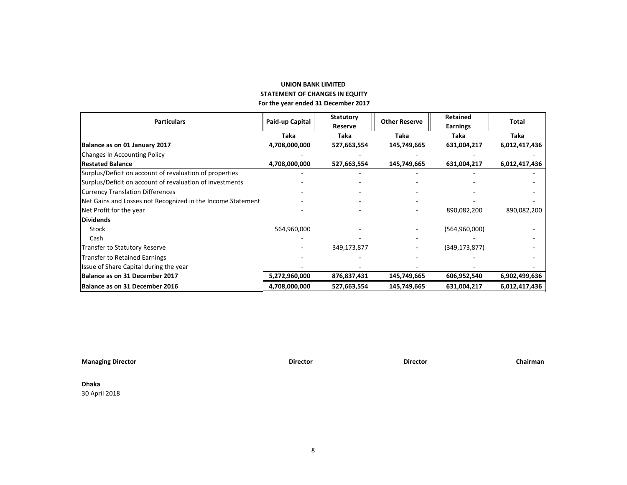## **UNION BANK LIMITED STATEMENT OF CHANGES IN EQUITY For the year ended 31 December 2017**

| <b>Particulars</b>                                          | Paid-up Capital | <b>Statutory</b> | <b>Other Reserve</b> | <b>Retained</b> | <b>Total</b>  |
|-------------------------------------------------------------|-----------------|------------------|----------------------|-----------------|---------------|
|                                                             |                 | Reserve          |                      | <b>Earnings</b> |               |
|                                                             | Taka            | Taka             | Taka                 | Taka            | Taka          |
| Balance as on 01 January 2017                               | 4,708,000,000   | 527,663,554      | 145,749,665          | 631,004,217     | 6,012,417,436 |
| <b>Changes in Accounting Policy</b>                         |                 |                  |                      |                 |               |
| Restated Balance                                            | 4,708,000,000   | 527,663,554      | 145,749,665          | 631,004,217     | 6,012,417,436 |
| Surplus/Deficit on account of revaluation of properties     |                 |                  |                      |                 |               |
| Surplus/Deficit on account of revaluation of investments    |                 |                  |                      |                 |               |
| <b>Currency Translation Differences</b>                     |                 |                  |                      |                 |               |
| Net Gains and Losses not Recognized in the Income Statement |                 |                  |                      |                 |               |
| Net Profit for the year                                     |                 |                  |                      | 890,082,200     | 890,082,200   |
| <b>Dividends</b>                                            |                 |                  |                      |                 |               |
| Stock                                                       | 564,960,000     |                  |                      | (564, 960, 000) |               |
| Cash                                                        |                 |                  |                      |                 |               |
| <b>Transfer to Statutory Reserve</b>                        |                 | 349,173,877      |                      | (349, 173, 877) |               |
| <b>Transfer to Retained Earnings</b>                        |                 |                  |                      |                 |               |
| Issue of Share Capital during the year                      |                 |                  |                      |                 |               |
| Balance as on 31 December 2017                              | 5,272,960,000   | 876,837,431      | 145,749,665          | 606,952,540     | 6,902,499,636 |
| Balance as on 31 December 2016                              | 4,708,000,000   | 527,663,554      | 145,749,665          | 631,004,217     | 6,012,417,436 |

**Managing Director Director Director Chairman**

## **Dhaka** 30 April 2018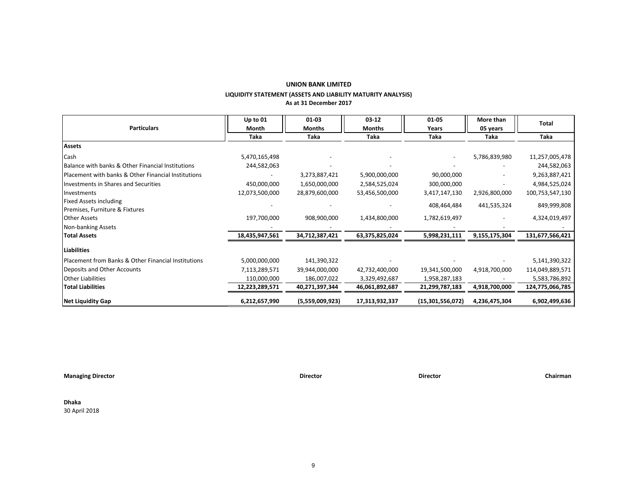## **UNION BANK LIMITED LIQUIDITY STATEMENT (ASSETS AND LIABILITY MATURITY ANALYSIS) As at 31 December 2017**

| <b>Particulars</b>                                  | Up to $01$<br>Month | 01-03<br>Months | $03 - 12$<br><b>Months</b> | 01-05<br>Years   | More than<br>05 years | <b>Total</b>    |
|-----------------------------------------------------|---------------------|-----------------|----------------------------|------------------|-----------------------|-----------------|
|                                                     | Taka                | Taka            | Taka                       | Taka             | Taka                  | Taka            |
| <b>Assets</b>                                       |                     |                 |                            |                  |                       |                 |
| Cash                                                | 5,470,165,498       |                 |                            |                  | 5,786,839,980         | 11,257,005,478  |
| Balance with banks & Other Financial Institutions   | 244,582,063         |                 |                            |                  |                       | 244,582,063     |
| Placement with banks & Other Financial Institutions |                     | 3,273,887,421   | 5,900,000,000              | 90,000,000       |                       | 9,263,887,421   |
| Investments in Shares and Securities                | 450,000,000         | 1,650,000,000   | 2,584,525,024              | 300,000,000      |                       | 4,984,525,024   |
| Investments                                         | 12,073,500,000      | 28,879,600,000  | 53,456,500,000             | 3,417,147,130    | 2,926,800,000         | 100,753,547,130 |
| <b>Fixed Assets including</b>                       |                     |                 |                            | 408,464,484      | 441,535,324           | 849,999,808     |
| Premises, Furniture & Fixtures                      |                     |                 |                            |                  |                       |                 |
| <b>Other Assets</b>                                 | 197,700,000         | 908,900,000     | 1,434,800,000              | 1,782,619,497    |                       | 4,324,019,497   |
| Non-banking Assets                                  |                     |                 |                            |                  |                       |                 |
| <b>Total Assets</b>                                 | 18,435,947,561      | 34,712,387,421  | 63,375,825,024             | 5,998,231,111    | 9,155,175,304         | 131,677,566,421 |
| Liabilities                                         |                     |                 |                            |                  |                       |                 |
| Placement from Banks & Other Financial Institutions | 5,000,000,000       | 141,390,322     |                            |                  |                       | 5,141,390,322   |
| Deposits and Other Accounts                         | 7,113,289,571       | 39,944,000,000  | 42,732,400,000             | 19,341,500,000   | 4,918,700,000         | 114,049,889,571 |
| <b>Other Liabilities</b>                            | 110,000,000         | 186,007,022     | 3,329,492,687              | 1,958,287,183    |                       | 5,583,786,892   |
| <b>Total Liabilities</b>                            | 12,223,289,571      | 40,271,397,344  | 46,061,892,687             | 21,299,787,183   | 4,918,700,000         | 124,775,066,785 |
| Net Liquidity Gap                                   | 6,212,657,990       | (5,559,009,923) | 17,313,932,337             | (15,301,556,072) | 4,236,475,304         | 6,902,499,636   |

**Managing Director Director Director Chairman**

**Dhaka** 30 April 2018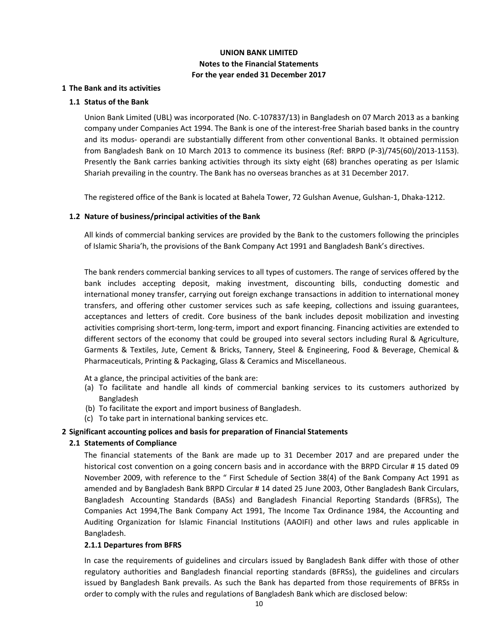## **UNION BANK LIMITED Notes to the Financial Statements For the year ended 31 December 2017**

## **1 The Bank and its activities**

## **1.1 Status of the Bank**

Union Bank Limited (UBL) was incorporated (No. C-107837/13) in Bangladesh on 07 March 2013 as a banking company under Companies Act 1994. The Bank is one of the interest-free Shariah based banks in the country and its modus- operandi are substantially different from other conventional Banks. It obtained permission from Bangladesh Bank on 10 March 2013 to commence its business (Ref: BRPD (P-3)/745(60)/2013-1153). Presently the Bank carries banking activities through its sixty eight (68) branches operating as per Islamic Shariah prevailing in the country. The Bank has no overseas branches as at 31 December 2017.

The registered office of the Bank is located at Bahela Tower, 72 Gulshan Avenue, Gulshan-1, Dhaka-1212.

## **1.2 Nature of business/principal activities of the Bank**

All kinds of commercial banking services are provided by the Bank to the customers following the principles of Islamic Sharia'h, the provisions of the Bank Company Act 1991 and Bangladesh Bank's directives.

The bank renders commercial banking services to all types of customers. The range of services offered by the bank includes accepting deposit, making investment, discounting bills, conducting domestic and international money transfer, carrying out foreign exchange transactions in addition to international money transfers, and offering other customer services such as safe keeping, collections and issuing guarantees, acceptances and letters of credit. Core business of the bank includes deposit mobilization and investing activities comprising short-term, long-term, import and export financing. Financing activities are extended to different sectors of the economy that could be grouped into several sectors including Rural & Agriculture, Garments & Textiles, Jute, Cement & Bricks, Tannery, Steel & Engineering, Food & Beverage, Chemical & Pharmaceuticals, Printing & Packaging, Glass & Ceramics and Miscellaneous.

At a glance, the principal activities of the bank are:

- To facilitate and handle all kinds of commercial banking services to its customers authorized by (a) Bangladesh
- (b) To facilitate the export and import business of Bangladesh.
- (c) To take part in international banking services etc.

#### **2 Significant accounting polices and basis for preparation of Financial Statements**

## **2.1 Statements of Compliance**

The financial statements of the Bank are made up to 31 December 2017 and are prepared under the historical cost convention on a going concern basis and in accordance with the BRPD Circular # 15 dated 09 November 2009, with reference to the " First Schedule of Section 38(4) of the Bank Company Act 1991 as amended and by Bangladesh Bank BRPD Circular # 14 dated 25 June 2003, Other Bangladesh Bank Circulars, Bangladesh Accounting Standards (BASs) and Bangladesh Financial Reporting Standards (BFRSs), The Companies Act 1994,The Bank Company Act 1991, The Income Tax Ordinance 1984, the Accounting and Auditing Organization for Islamic Financial Institutions (AAOIFI) and other laws and rules applicable in Bangladesh.

#### **2.1.1 Departures from BFRS**

In case the requirements of guidelines and circulars issued by Bangladesh Bank differ with those of other regulatory authorities and Bangladesh financial reporting standards (BFRSs), the guidelines and circulars issued by Bangladesh Bank prevails. As such the Bank has departed from those requirements of BFRSs in order to comply with the rules and regulations of Bangladesh Bank which are disclosed below: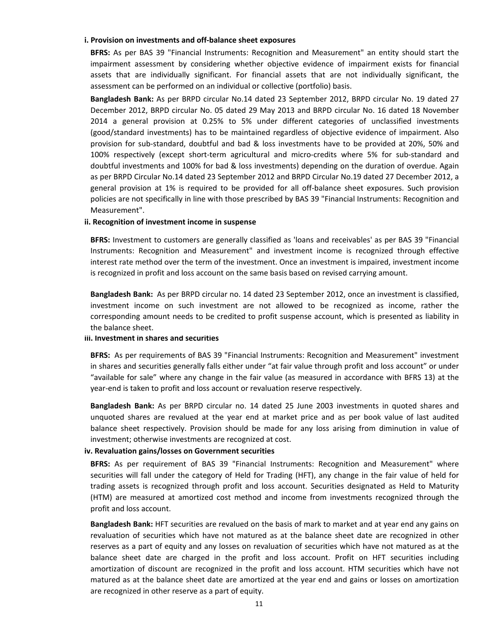#### **i. Provision on investments and off-balance sheet exposures**

**BFRS:** As per BAS 39 "Financial Instruments: Recognition and Measurement" an entity should start the impairment assessment by considering whether objective evidence of impairment exists for financial assets that are individually significant. For financial assets that are not individually significant, the assessment can be performed on an individual or collective (portfolio) basis.

**Bangladesh Bank:** As per BRPD circular No.14 dated 23 September 2012, BRPD circular No. 19 dated 27 December 2012, BRPD circular No. 05 dated 29 May 2013 and BRPD circular No. 16 dated 18 November 2014 a general provision at 0.25% to 5% under different categories of unclassified investments (good/standard investments) has to be maintained regardless of objective evidence of impairment. Also provision for sub-standard, doubtful and bad & loss investments have to be provided at 20%, 50% and 100% respectively (except short-term agricultural and micro-credits where 5% for sub-standard and doubtful investments and 100% for bad & loss investments) depending on the duration of overdue. Again as per BRPD Circular No.14 dated 23 September 2012 and BRPD Circular No.19 dated 27 December 2012, a general provision at 1% is required to be provided for all off-balance sheet exposures. Such provision policies are not specifically in line with those prescribed by BAS 39 "Financial Instruments: Recognition and Measurement".

#### **ii. Recognition of investment income in suspense**

**BFRS:** Investment to customers are generally classified as 'loans and receivables' as per BAS 39 "Financial Instruments: Recognition and Measurement" and investment income is recognized through effective interest rate method over the term of the investment. Once an investment is impaired, investment income is recognized in profit and loss account on the same basis based on revised carrying amount.

**Bangladesh Bank:** As per BRPD circular no. 14 dated 23 September 2012, once an investment is classified, investment income on such investment are not allowed to be recognized as income, rather the corresponding amount needs to be credited to profit suspense account, which is presented as liability in the balance sheet.

#### **iii. Investment in shares and securities**

**BFRS:** As per requirements of BAS 39 "Financial Instruments: Recognition and Measurement" investment in shares and securities generally falls either under "at fair value through profit and loss account" or under "available for sale" where any change in the fair value (as measured in accordance with BFRS 13) at the year-end is taken to profit and loss account or revaluation reserve respectively.

**Bangladesh Bank:** As per BRPD circular no. 14 dated 25 June 2003 investments in quoted shares and unquoted shares are revalued at the year end at market price and as per book value of last audited balance sheet respectively. Provision should be made for any loss arising from diminution in value of investment; otherwise investments are recognized at cost.

#### **iv. Revaluation gains/losses on Government securities**

**BFRS:** As per requirement of BAS 39 "Financial Instruments: Recognition and Measurement" where securities will fall under the category of Held for Trading (HFT), any change in the fair value of held for trading assets is recognized through profit and loss account. Securities designated as Held to Maturity (HTM) are measured at amortized cost method and income from investments recognized through the profit and loss account.

**Bangladesh Bank:** HFT securities are revalued on the basis of mark to market and at year end any gains on revaluation of securities which have not matured as at the balance sheet date are recognized in other reserves as a part of equity and any losses on revaluation of securities which have not matured as at the balance sheet date are charged in the profit and loss account. Profit on HFT securities including amortization of discount are recognized in the profit and loss account. HTM securities which have not matured as at the balance sheet date are amortized at the year end and gains or losses on amortization are recognized in other reserve as a part of equity.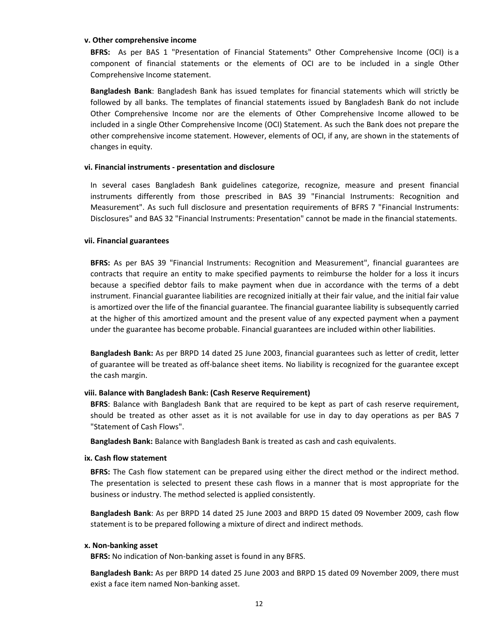#### **v. Other comprehensive income**

**BFRS:** As per BAS 1 "Presentation of Financial Statements" Other Comprehensive Income (OCI) is a component of financial statements or the elements of OCI are to be included in a single Other Comprehensive Income statement.

**Bangladesh Bank**: Bangladesh Bank has issued templates for financial statements which will strictly be followed by all banks. The templates of financial statements issued by Bangladesh Bank do not include Other Comprehensive Income nor are the elements of Other Comprehensive Income allowed to be included in a single Other Comprehensive Income (OCI) Statement. As such the Bank does not prepare the other comprehensive income statement. However, elements of OCI, if any, are shown in the statements of changes in equity.

#### **vi. Financial instruments - presentation and disclosure**

In several cases Bangladesh Bank guidelines categorize, recognize, measure and present financial instruments differently from those prescribed in BAS 39 "Financial Instruments: Recognition and Measurement". As such full disclosure and presentation requirements of BFRS 7 "Financial Instruments: Disclosures" and BAS 32 "Financial Instruments: Presentation" cannot be made in the financial statements.

#### **vii. Financial guarantees**

**BFRS:** As per BAS 39 "Financial Instruments: Recognition and Measurement", financial guarantees are contracts that require an entity to make specified payments to reimburse the holder for a loss it incurs because a specified debtor fails to make payment when due in accordance with the terms of a debt instrument. Financial guarantee liabilities are recognized initially at their fair value, and the initial fair value is amortized over the life of the financial guarantee. The financial guarantee liability is subsequently carried at the higher of this amortized amount and the present value of any expected payment when a payment under the guarantee has become probable. Financial guarantees are included within other liabilities.

**Bangladesh Bank:** As per BRPD 14 dated 25 June 2003, financial guarantees such as letter of credit, letter of guarantee will be treated as off-balance sheet items. No liability is recognized for the guarantee except the cash margin.

#### **viii. Balance with Bangladesh Bank: (Cash Reserve Requirement)**

**BFRS**: Balance with Bangladesh Bank that are required to be kept as part of cash reserve requirement, should be treated as other asset as it is not available for use in day to day operations as per BAS 7 "Statement of Cash Flows".

**Bangladesh Bank:** Balance with Bangladesh Bank is treated as cash and cash equivalents.

#### **ix. Cash flow statement**

**BFRS:** The Cash flow statement can be prepared using either the direct method or the indirect method. The presentation is selected to present these cash flows in a manner that is most appropriate for the business or industry. The method selected is applied consistently.

**Bangladesh Bank**: As per BRPD 14 dated 25 June 2003 and BRPD 15 dated 09 November 2009, cash flow statement is to be prepared following a mixture of direct and indirect methods.

#### **x. Non-banking asset**

**BFRS:** No indication of Non-banking asset is found in any BFRS.

**Bangladesh Bank:** As per BRPD 14 dated 25 June 2003 and BRPD 15 dated 09 November 2009, there must exist a face item named Non-banking asset.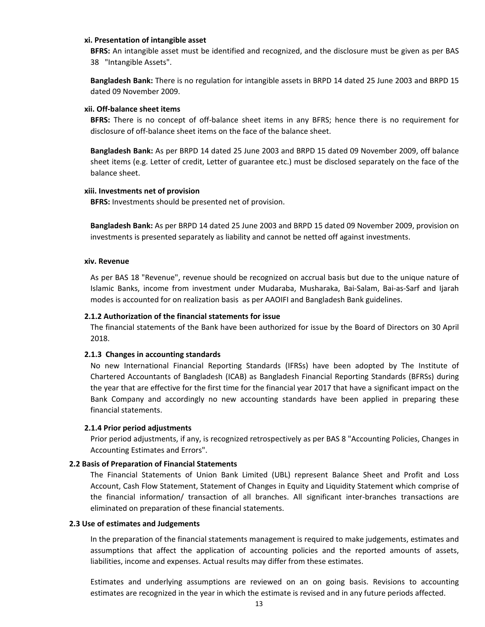#### **xi. Presentation of intangible asset**

**BFRS:** An intangible asset must be identified and recognized, and the disclosure must be given as per BAS 38 "Intangible Assets".

**Bangladesh Bank:** There is no regulation for intangible assets in BRPD 14 dated 25 June 2003 and BRPD 15 dated 09 November 2009.

## **xii. Off-balance sheet items**

**BFRS:** There is no concept of off-balance sheet items in any BFRS; hence there is no requirement for disclosure of off-balance sheet items on the face of the balance sheet.

**Bangladesh Bank:** As per BRPD 14 dated 25 June 2003 and BRPD 15 dated 09 November 2009, off balance sheet items (e.g. Letter of credit, Letter of guarantee etc.) must be disclosed separately on the face of the balance sheet.

## **xiii. Investments net of provision**

**BFRS:** Investments should be presented net of provision.

**Bangladesh Bank:** As per BRPD 14 dated 25 June 2003 and BRPD 15 dated 09 November 2009, provision on investments is presented separately as liability and cannot be netted off against investments.

#### **xiv. Revenue**

As per BAS 18 "Revenue", revenue should be recognized on accrual basis but due to the unique nature of Islamic Banks, income from investment under Mudaraba, Musharaka, Bai-Salam, Bai-as-Sarf and Ijarah modes is accounted for on realization basis as per AAOIFI and Bangladesh Bank guidelines.

## **2.1.2 Authorization of the financial statements for issue**

The financial statements of the Bank have been authorized for issue by the Board of Directors on 30 April 2018.

## **2.1.3 Changes in accounting standards**

No new International Financial Reporting Standards (IFRSs) have been adopted by The Institute of Chartered Accountants of Bangladesh (ICAB) as Bangladesh Financial Reporting Standards (BFRSs) during the year that are effective for the first time for the financial year 2017 that have a significant impact on the Bank Company and accordingly no new accounting standards have been applied in preparing these financial statements.

## **2.1.4 Prior period adjustments**

Prior period adjustments, if any, is recognized retrospectively as per BAS 8 "Accounting Policies, Changes in Accounting Estimates and Errors".

## **2.2 Basis of Preparation of Financial Statements**

The Financial Statements of Union Bank Limited (UBL) represent Balance Sheet and Profit and Loss Account, Cash Flow Statement, Statement of Changes in Equity and Liquidity Statement which comprise of the financial information/ transaction of all branches. All significant inter-branches transactions are eliminated on preparation of these financial statements.

## **2.3 Use of estimates and Judgements**

In the preparation of the financial statements management is required to make judgements, estimates and assumptions that affect the application of accounting policies and the reported amounts of assets, liabilities, income and expenses. Actual results may differ from these estimates.

Estimates and underlying assumptions are reviewed on an on going basis. Revisions to accounting estimates are recognized in the year in which the estimate is revised and in any future periods affected.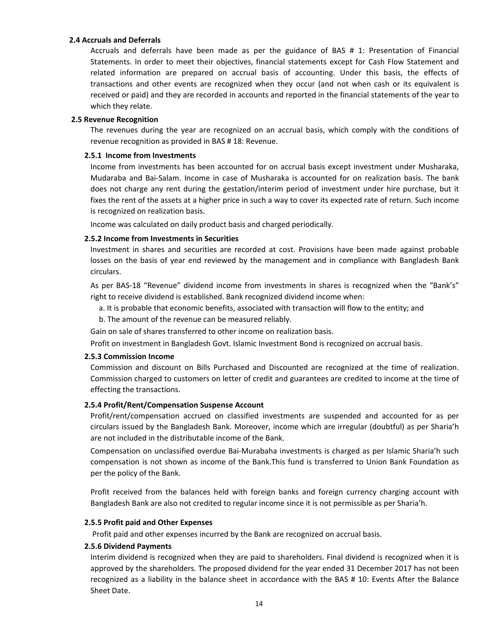#### **2.4 Accruals and Deferrals**

Accruals and deferrals have been made as per the guidance of BAS # 1: Presentation of Financial Statements. In order to meet their objectives, financial statements except for Cash Flow Statement and related information are prepared on accrual basis of accounting. Under this basis, the effects of transactions and other events are recognized when they occur (and not when cash or its equivalent is received or paid) and they are recorded in accounts and reported in the financial statements of the year to which they relate.

#### **2.5 Revenue Recognition**

The revenues during the year are recognized on an accrual basis, which comply with the conditions of revenue recognition as provided in BAS # 18: Revenue.

#### **2.5.1 Income from Investments**

Income from investments has been accounted for on accrual basis except investment under Musharaka, Mudaraba and Bai-Salam. Income in case of Musharaka is accounted for on realization basis. The bank does not charge any rent during the gestation/interim period of investment under hire purchase, but it fixes the rent of the assets at a higher price in such a way to cover its expected rate of return. Such income is recognized on realization basis.

Income was calculated on daily product basis and charged periodically.

## **2.5.2 Income from Investments in Securities**

Investment in shares and securities are recorded at cost. Provisions have been made against probable losses on the basis of year end reviewed by the management and in compliance with Bangladesh Bank circulars.

As per BAS-18 "Revenue" dividend income from investments in shares is recognized when the "Bank's" right to receive dividend is established. Bank recognized dividend income when:

- a. It is probable that economic benefits, associated with transaction will flow to the entity; and
- b. The amount of the revenue can be measured reliably.

Gain on sale of shares transferred to other income on realization basis.

Profit on investment in Bangladesh Govt. Islamic Investment Bond is recognized on accrual basis.

#### **2.5.3 Commission Income**

Commission and discount on Bills Purchased and Discounted are recognized at the time of realization. Commission charged to customers on letter of credit and guarantees are credited to income at the time of effecting the transactions.

#### **2.5.4 Profit/Rent/Compensation Suspense Account**

Profit/rent/compensation accrued on classified investments are suspended and accounted for as per circulars issued by the Bangladesh Bank. Moreover, income which are irregular (doubtful) as per Sharia'h are not included in the distributable income of the Bank.

Compensation on unclassified overdue Bai-Murabaha investments is charged as per Islamic Sharia'h such compensation is not shown as income of the Bank.This fund is transferred to Union Bank Foundation as per the policy of the Bank.

Profit received from the balances held with foreign banks and foreign currency charging account with Bangladesh Bank are also not credited to regular income since it is not permissible as per Sharia'h.

## **2.5.5 Profit paid and Other Expenses**

Profit paid and other expenses incurred by the Bank are recognized on accrual basis.

#### **2.5.6 Dividend Payments**

Interim dividend is recognized when they are paid to shareholders. Final dividend is recognized when it is approved by the shareholders. The proposed dividend for the year ended 31 December 2017 has not been recognized as a liability in the balance sheet in accordance with the BAS # 10: Events After the Balance Sheet Date.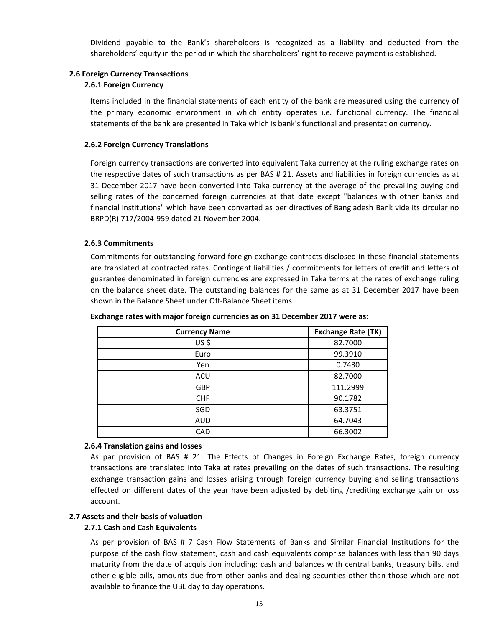Dividend payable to the Bank's shareholders is recognized as a liability and deducted from the shareholders' equity in the period in which the shareholders' right to receive payment is established.

## **2.6 Foreign Currency Transactions**

## **2.6.1 Foreign Currency**

Items included in the financial statements of each entity of the bank are measured using the currency of the primary economic environment in which entity operates i.e. functional currency. The financial statements of the bank are presented in Taka which is bank's functional and presentation currency.

## **2.6.2 Foreign Currency Translations**

Foreign currency transactions are converted into equivalent Taka currency at the ruling exchange rates on the respective dates of such transactions as per BAS # 21. Assets and liabilities in foreign currencies as at 31 December 2017 have been converted into Taka currency at the average of the prevailing buying and selling rates of the concerned foreign currencies at that date except "balances with other banks and financial institutions" which have been converted as per directives of Bangladesh Bank vide its circular no BRPD(R) 717/2004-959 dated 21 November 2004.

## **2.6.3 Commitments**

Commitments for outstanding forward foreign exchange contracts disclosed in these financial statements are translated at contracted rates. Contingent liabilities / commitments for letters of credit and letters of guarantee denominated in foreign currencies are expressed in Taka terms at the rates of exchange ruling on the balance sheet date. The outstanding balances for the same as at 31 December 2017 have been shown in the Balance Sheet under Off-Balance Sheet items.

| <b>Currency Name</b> | <b>Exchange Rate (TK)</b> |
|----------------------|---------------------------|
| US\$                 | 82.7000                   |
| Euro                 | 99.3910                   |
| Yen                  | 0.7430                    |
| ACU                  | 82.7000                   |
| <b>GBP</b>           | 111.2999                  |
| <b>CHF</b>           | 90.1782                   |
| SGD                  | 63.3751                   |
| <b>AUD</b>           | 64.7043                   |
| CAD                  | 66.3002                   |

## **Exchange rates with major foreign currencies as on 31 December 2017 were as:**

## **2.6.4 Translation gains and losses**

As par provision of BAS # 21: The Effects of Changes in Foreign Exchange Rates, foreign currency transactions are translated into Taka at rates prevailing on the dates of such transactions. The resulting exchange transaction gains and losses arising through foreign currency buying and selling transactions effected on different dates of the year have been adjusted by debiting /crediting exchange gain or loss account.

## **2.7 Assets and their basis of valuation**

## **2.7.1 Cash and Cash Equivalents**

As per provision of BAS # 7 Cash Flow Statements of Banks and Similar Financial Institutions for the purpose of the cash flow statement, cash and cash equivalents comprise balances with less than 90 days maturity from the date of acquisition including: cash and balances with central banks, treasury bills, and other eligible bills, amounts due from other banks and dealing securities other than those which are not available to finance the UBL day to day operations.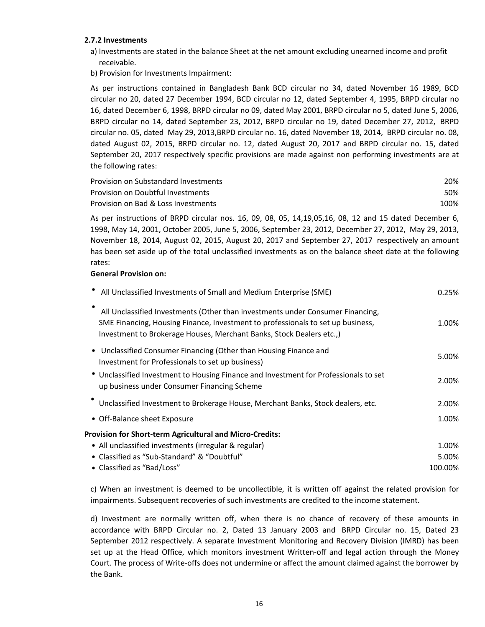## **2.7.2 Investments**

- a) Investments are stated in the balance Sheet at the net amount excluding unearned income and profit receivable.
- b) Provision for Investments Impairment:

As per instructions contained in Bangladesh Bank BCD circular no 34, dated November 16 1989, BCD circular no 20, dated 27 December 1994, BCD circular no 12, dated September 4, 1995, BRPD circular no 16, dated December 6, 1998, BRPD circular no 09, dated May 2001, BRPD circular no 5, dated June 5, 2006, BRPD circular no 14, dated September 23, 2012, BRPD circular no 19, dated December 27, 2012, BRPD circular no. 05, dated May 29, 2013,BRPD circular no. 16, dated November 18, 2014, BRPD circular no. 08, dated August 02, 2015, BRPD circular no. 12, dated August 20, 2017 and BRPD circular no. 15, dated September 20, 2017 respectively specific provisions are made against non performing investments are at the following rates:

| Provision on Substandard Investments | 20%  |
|--------------------------------------|------|
| Provision on Doubtful Investments    | 50%  |
| Provision on Bad & Loss Investments  | 100% |

As per instructions of BRPD circular nos. 16, 09, 08, 05, 14,19,05,16, 08, 12 and 15 dated December 6, 1998, May 14, 2001, October 2005, June 5, 2006, September 23, 2012, December 27, 2012, May 29, 2013, November 18, 2014, August 02, 2015, August 20, 2017 and September 27, 2017 respectively an amount has been set aside up of the total unclassified investments as on the balance sheet date at the following rates:

## **General Provision on:**

| All Unclassified Investments of Small and Medium Enterprise (SME)                                                                                                                                                                         | 0.25%   |
|-------------------------------------------------------------------------------------------------------------------------------------------------------------------------------------------------------------------------------------------|---------|
| All Unclassified Investments (Other than investments under Consumer Financing,<br>SME Financing, Housing Finance, Investment to professionals to set up business,<br>Investment to Brokerage Houses, Merchant Banks, Stock Dealers etc.,) | 1.00%   |
| • Unclassified Consumer Financing (Other than Housing Finance and<br>Investment for Professionals to set up business)                                                                                                                     | 5.00%   |
| • Unclassified Investment to Housing Finance and Investment for Professionals to set<br>up business under Consumer Financing Scheme                                                                                                       | 2.00%   |
| Unclassified Investment to Brokerage House, Merchant Banks, Stock dealers, etc.                                                                                                                                                           | 2.00%   |
| • Off-Balance sheet Exposure                                                                                                                                                                                                              | 1.00%   |
| Provision for Short-term Agricultural and Micro-Credits:                                                                                                                                                                                  |         |
| • All unclassified investments (irregular & regular)                                                                                                                                                                                      | 1.00%   |
| • Classified as "Sub-Standard" & "Doubtful"                                                                                                                                                                                               | 5.00%   |
| • Classified as "Bad/Loss"                                                                                                                                                                                                                | 100.00% |

c) When an investment is deemed to be uncollectible, it is written off against the related provision for impairments. Subsequent recoveries of such investments are credited to the income statement.

d) Investment are normally written off, when there is no chance of recovery of these amounts in accordance with BRPD Circular no. 2, Dated 13 January 2003 and BRPD Circular no. 15, Dated 23 September 2012 respectively. A separate Investment Monitoring and Recovery Division (IMRD) has been set up at the Head Office, which monitors investment Written-off and legal action through the Money Court. The process of Write-offs does not undermine or affect the amount claimed against the borrower by the Bank.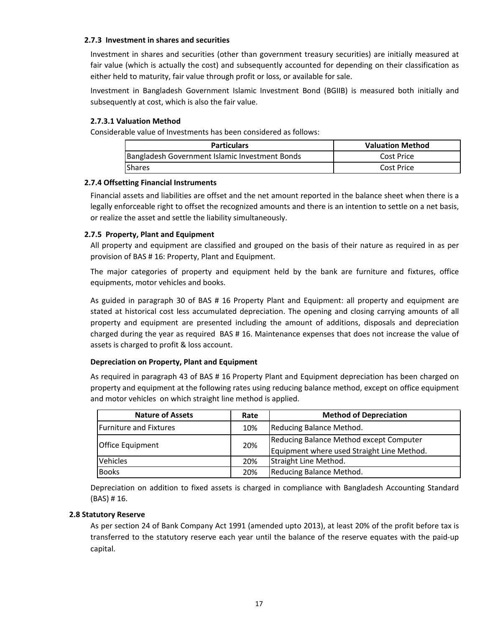## **2.7.3 Investment in shares and securities**

Investment in shares and securities (other than government treasury securities) are initially measured at fair value (which is actually the cost) and subsequently accounted for depending on their classification as either held to maturity, fair value through profit or loss, or available for sale.

Investment in Bangladesh Government Islamic Investment Bond (BGIIB) is measured both initially and subsequently at cost, which is also the fair value.

## **2.7.3.1 Valuation Method**

Considerable value of Investments has been considered as follows:

| <b>Particulars</b>                             | <b>Valuation Method</b> |
|------------------------------------------------|-------------------------|
| Bangladesh Government Islamic Investment Bonds | Cost Price              |
| <b>Shares</b>                                  | Cost Price              |

## **2.7.4 Offsetting Financial Instruments**

Financial assets and liabilities are offset and the net amount reported in the balance sheet when there is a legally enforceable right to offset the recognized amounts and there is an intention to settle on a net basis, or realize the asset and settle the liability simultaneously.

## **2.7.5 Property, Plant and Equipment**

All property and equipment are classified and grouped on the basis of their nature as required in as per provision of BAS # 16: Property, Plant and Equipment.

The major categories of property and equipment held by the bank are furniture and fixtures, office equipments, motor vehicles and books.

As guided in paragraph 30 of BAS # 16 Property Plant and Equipment: all property and equipment are stated at historical cost less accumulated depreciation. The opening and closing carrying amounts of all property and equipment are presented including the amount of additions, disposals and depreciation charged during the year as required BAS # 16. Maintenance expenses that does not increase the value of assets is charged to profit & loss account.

## **Depreciation on Property, Plant and Equipment**

As required in paragraph 43 of BAS # 16 Property Plant and Equipment depreciation has been charged on property and equipment at the following rates using reducing balance method, except on office equipment and motor vehicles on which straight line method is applied.

| <b>Nature of Assets</b>        | Rate | <b>Method of Depreciation</b>                                                         |
|--------------------------------|------|---------------------------------------------------------------------------------------|
| <b>IFurniture and Fixtures</b> | 10%  | Reducing Balance Method.                                                              |
| <b>Office Equipment</b>        | 20%  | Reducing Balance Method except Computer<br>Equipment where used Straight Line Method. |
| <b>Vehicles</b>                | 20%  | Straight Line Method.                                                                 |
| <b>Books</b>                   | 20%  | Reducing Balance Method.                                                              |

Depreciation on addition to fixed assets is charged in compliance with Bangladesh Accounting Standard (BAS) # 16.

## **2.8 Statutory Reserve**

As per section 24 of Bank Company Act 1991 (amended upto 2013), at least 20% of the profit before tax is transferred to the statutory reserve each year until the balance of the reserve equates with the paid-up capital.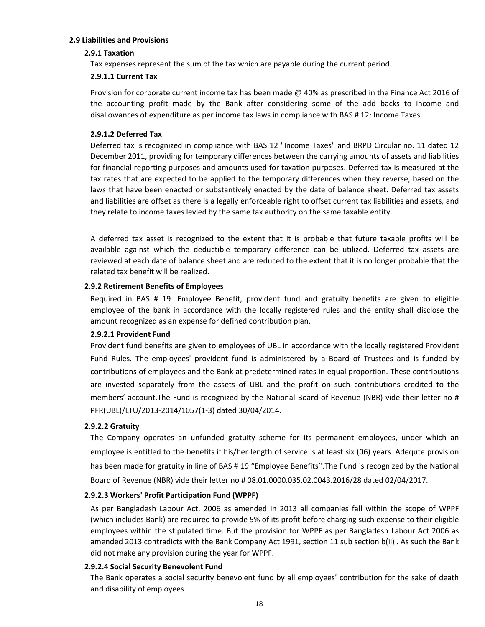#### **2.9 Liabilities and Provisions**

## **2.9.1 Taxation**

Tax expenses represent the sum of the tax which are payable during the current period.

#### **2.9.1.1 Current Tax**

Provision for corporate current income tax has been made @ 40% as prescribed in the Finance Act 2016 of the accounting profit made by the Bank after considering some of the add backs to income and disallowances of expenditure as per income tax laws in compliance with BAS # 12: Income Taxes.

## **2.9.1.2 Deferred Tax**

Deferred tax is recognized in compliance with BAS 12 "Income Taxes" and BRPD Circular no. 11 dated 12 December 2011, providing for temporary differences between the carrying amounts of assets and liabilities for financial reporting purposes and amounts used for taxation purposes. Deferred tax is measured at the tax rates that are expected to be applied to the temporary differences when they reverse, based on the laws that have been enacted or substantively enacted by the date of balance sheet. Deferred tax assets and liabilities are offset as there is a legally enforceable right to offset current tax liabilities and assets, and they relate to income taxes levied by the same tax authority on the same taxable entity.

A deferred tax asset is recognized to the extent that it is probable that future taxable profits will be available against which the deductible temporary difference can be utilized. Deferred tax assets are reviewed at each date of balance sheet and are reduced to the extent that it is no longer probable that the related tax benefit will be realized.

## **2.9.2 Retirement Benefits of Employees**

Required in BAS # 19: Employee Benefit, provident fund and gratuity benefits are given to eligible employee of the bank in accordance with the locally registered rules and the entity shall disclose the amount recognized as an expense for defined contribution plan.

## **2.9.2.1 Provident Fund**

Provident fund benefits are given to employees of UBL in accordance with the locally registered Provident Fund Rules. The employees' provident fund is administered by a Board of Trustees and is funded by contributions of employees and the Bank at predetermined rates in equal proportion. These contributions are invested separately from the assets of UBL and the profit on such contributions credited to the members' account. The Fund is recognized by the National Board of Revenue (NBR) vide their letter no # PFR(UBL)/LTU/2013-2014/1057(1-3) dated 30/04/2014.

## **2.9.2.2 Gratuity**

The Company operates an unfunded gratuity scheme for its permanent employees, under which an employee is entitled to the benefits if his/her length of service is at least six (06) years. Adequte provision has been made for gratuity in line of BAS # 19 "Employee Benefits". The Fund is recognized by the National Board of Revenue (NBR) vide their letter no # 08.01.0000.035.02.0043.2016/28 dated 02/04/2017.

## **2.9.2.3 Workers' Profit Participation Fund (WPPF)**

As per Bangladesh Labour Act, 2006 as amended in 2013 all companies fall within the scope of WPPF (which includes Bank) are required to provide 5% of its profit before charging such expense to their eligible employees within the stipulated time. But the provision for WPPF as per Bangladesh Labour Act 2006 as amended 2013 contradicts with the Bank Company Act 1991, section 11 sub section b(ii) . As such the Bank did not make any provision during the year for WPPF.

## **2.9.2.4 Social Security Benevolent Fund**

The Bank operates a social security benevolent fund by all employees' contribution for the sake of death and disability of employees.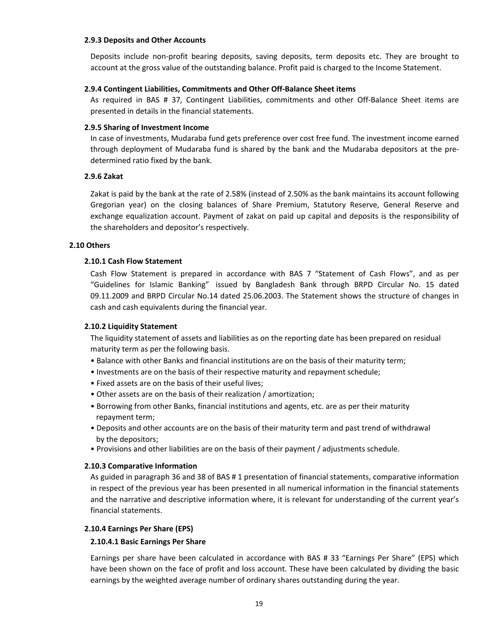#### **2.9.3 Deposits and Other Accounts**

Deposits include non-profit bearing deposits, saving deposits, term deposits etc. They are brought to account at the gross value of the outstanding balance. Profit paid is charged to the Income Statement.

## **2.9.4 Contingent Liabilities, Commitments and Other Off-Balance Sheet items**

As required in BAS # 37, Contingent Liabilities, commitments and other Off-Balance Sheet items are presented in details in the financial statements.

## **2.9.5 Sharing of Investment Income**

In case of investments, Mudaraba fund gets preference over cost free fund. The investment income earned through deployment of Mudaraba fund is shared by the bank and the Mudaraba depositors at the predetermined ratio fixed by the bank.

## **2.9.6 Zakat**

Zakat is paid by the bank at the rate of 2.58% (instead of 2.50% as the bank maintains its account following Gregorian year) on the closing balances of Share Premium, Statutory Reserve, General Reserve and exchange equalization account. Payment of zakat on paid up capital and deposits is the responsibility of the shareholders and depositor's respectively.

## **2.10 Others**

## **2.10.1 Cash Flow Statement**

Cash Flow Statement is prepared in accordance with BAS 7 "Statement of Cash Flows", and as per "Guidelines for Islamic Banking" issued by Bangladesh Bank through BRPD Circular No. 15 dated 09.11.2009 and BRPD Circular No.14 dated 25.06.2003. The Statement shows the structure of changes in cash and cash equivalents during the financial year.

## **2.10.2 Liquidity Statement**

The liquidity statement of assets and liabilities as on the reporting date has been prepared on residual maturity term as per the following basis.

- Balance with other Banks and financial institutions are on the basis of their maturity term;
- Investments are on the basis of their respective maturity and repayment schedule;
- Fixed assets are on the basis of their useful lives;
- Other assets are on the basis of their realization / amortization;
- Borrowing from other Banks, financial institutions and agents, etc. are as per their maturity repayment term;
- Deposits and other accounts are on the basis of their maturity term and past trend of withdrawal by the depositors;
- Provisions and other liabilities are on the basis of their payment / adjustments schedule.

## **2.10.3 Comparative Information**

As guided in paragraph 36 and 38 of BAS # 1 presentation of financial statements, comparative information in respect of the previous year has been presented in all numerical information in the financial statements and the narrative and descriptive information where, it is relevant for understanding of the current year's financial statements.

## **2.10.4 Earnings Per Share (EPS)**

## **2.10.4.1 Basic Earnings Per Share**

Earnings per share have been calculated in accordance with BAS # 33 "Earnings Per Share" (EPS) which have been shown on the face of profit and loss account. These have been calculated by dividing the basic earnings by the weighted average number of ordinary shares outstanding during the year.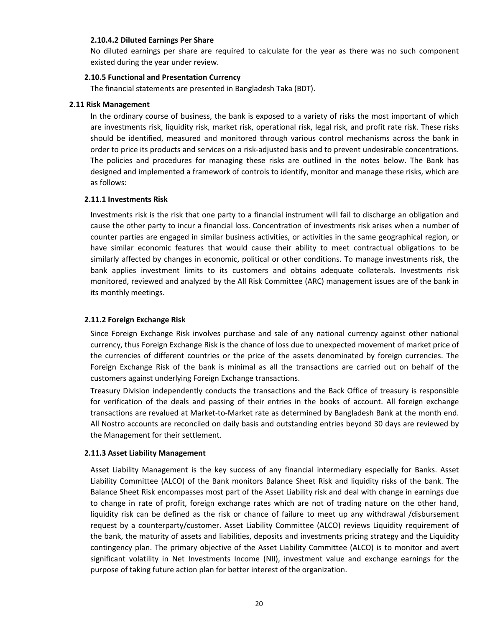#### **2.10.4.2 Diluted Earnings Per Share**

No diluted earnings per share are required to calculate for the year as there was no such component existed during the year under review.

## **2.10.5 Functional and Presentation Currency**

The financial statements are presented in Bangladesh Taka (BDT).

#### **2.11 Risk Management**

In the ordinary course of business, the bank is exposed to a variety of risks the most important of which are investments risk, liquidity risk, market risk, operational risk, legal risk, and profit rate risk. These risks should be identified, measured and monitored through various control mechanisms across the bank in order to price its products and services on a risk-adjusted basis and to prevent undesirable concentrations. The policies and procedures for managing these risks are outlined in the notes below. The Bank has designed and implemented a framework of controls to identify, monitor and manage these risks, which are as follows:

#### **2.11.1 Investments Risk**

Investments risk is the risk that one party to a financial instrument will fail to discharge an obligation and cause the other party to incur a financial loss. Concentration of investments risk arises when a number of counter parties are engaged in similar business activities, or activities in the same geographical region, or have similar economic features that would cause their ability to meet contractual obligations to be similarly affected by changes in economic, political or other conditions. To manage investments risk, the bank applies investment limits to its customers and obtains adequate collaterals. Investments risk monitored, reviewed and analyzed by the All Risk Committee (ARC) management issues are of the bank in its monthly meetings.

## **2.11.2 Foreign Exchange Risk**

Since Foreign Exchange Risk involves purchase and sale of any national currency against other national currency, thus Foreign Exchange Risk is the chance of loss due to unexpected movement of market price of the currencies of different countries or the price of the assets denominated by foreign currencies. The Foreign Exchange Risk of the bank is minimal as all the transactions are carried out on behalf of the customers against underlying Foreign Exchange transactions.

Treasury Division independently conducts the transactions and the Back Office of treasury is responsible for verification of the deals and passing of their entries in the books of account. All foreign exchange transactions are revalued at Market-to-Market rate as determined by Bangladesh Bank at the month end. All Nostro accounts are reconciled on daily basis and outstanding entries beyond 30 days are reviewed by the Management for their settlement.

#### **2.11.3 Asset Liability Management**

Asset Liability Management is the key success of any financial intermediary especially for Banks. Asset Liability Committee (ALCO) of the Bank monitors Balance Sheet Risk and liquidity risks of the bank. The Balance Sheet Risk encompasses most part of the Asset Liability risk and deal with change in earnings due to change in rate of profit, foreign exchange rates which are not of trading nature on the other hand, liquidity risk can be defined as the risk or chance of failure to meet up any withdrawal /disbursement request by a counterparty/customer. Asset Liability Committee (ALCO) reviews Liquidity requirement of the bank, the maturity of assets and liabilities, deposits and investments pricing strategy and the Liquidity contingency plan. The primary objective of the Asset Liability Committee (ALCO) is to monitor and avert significant volatility in Net Investments Income (NII), investment value and exchange earnings for the purpose of taking future action plan for better interest of the organization.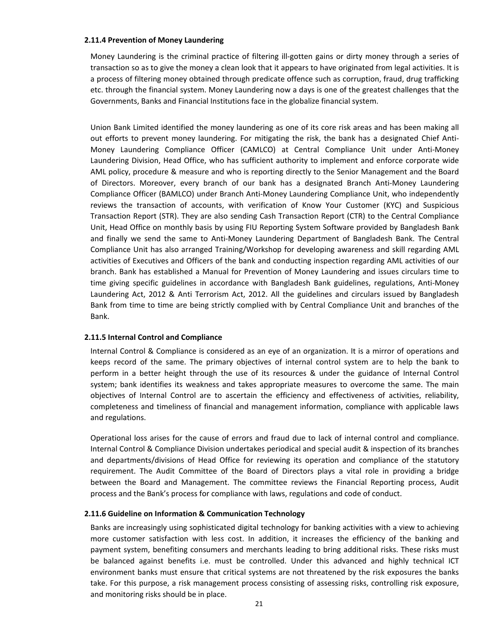#### **2.11.4 Prevention of Money Laundering**

Money Laundering is the criminal practice of filtering ill-gotten gains or dirty money through a series of transaction so as to give the money a clean look that it appears to have originated from legal activities. It is a process of filtering money obtained through predicate offence such as corruption, fraud, drug trafficking etc. through the financial system. Money Laundering now a days is one of the greatest challenges that the Governments, Banks and Financial Institutions face in the globalize financial system.

Union Bank Limited identified the money laundering as one of its core risk areas and has been making all out efforts to prevent money laundering. For mitigating the risk, the bank has a designated Chief Anti-Money Laundering Compliance Officer (CAMLCO) at Central Compliance Unit under Anti-Money Laundering Division, Head Office, who has sufficient authority to implement and enforce corporate wide AML policy, procedure & measure and who is reporting directly to the Senior Management and the Board of Directors. Moreover, every branch of our bank has a designated Branch Anti-Money Laundering Compliance Officer (BAMLCO) under Branch Anti-Money Laundering Compliance Unit, who independently reviews the transaction of accounts, with verification of Know Your Customer (KYC) and Suspicious Transaction Report (STR). They are also sending Cash Transaction Report (CTR) to the Central Compliance Unit, Head Office on monthly basis by using FIU Reporting System Software provided by Bangladesh Bank and finally we send the same to Anti-Money Laundering Department of Bangladesh Bank. The Central Compliance Unit has also arranged Training/Workshop for developing awareness and skill regarding AML activities of Executives and Officers of the bank and conducting inspection regarding AML activities of our branch. Bank has established a Manual for Prevention of Money Laundering and issues circulars time to time giving specific guidelines in accordance with Bangladesh Bank guidelines, regulations, Anti-Money Laundering Act, 2012 & Anti Terrorism Act, 2012. All the guidelines and circulars issued by Bangladesh Bank from time to time are being strictly complied with by Central Compliance Unit and branches of the Bank.

## **2.11.5 Internal Control and Compliance**

Internal Control & Compliance is considered as an eye of an organization. It is a mirror of operations and keeps record of the same. The primary objectives of internal control system are to help the bank to perform in a better height through the use of its resources & under the guidance of Internal Control system; bank identifies its weakness and takes appropriate measures to overcome the same. The main objectives of Internal Control are to ascertain the efficiency and effectiveness of activities, reliability, completeness and timeliness of financial and management information, compliance with applicable laws and regulations.

Operational loss arises for the cause of errors and fraud due to lack of internal control and compliance. Internal Control & Compliance Division undertakes periodical and special audit & inspection of its branches and departments/divisions of Head Office for reviewing its operation and compliance of the statutory requirement. The Audit Committee of the Board of Directors plays a vital role in providing a bridge between the Board and Management. The committee reviews the Financial Reporting process, Audit process and the Bank's process for compliance with laws, regulations and code of conduct.

## **2.11.6 Guideline on Information & Communication Technology**

Banks are increasingly using sophisticated digital technology for banking activities with a view to achieving more customer satisfaction with less cost. In addition, it increases the efficiency of the banking and payment system, benefiting consumers and merchants leading to bring additional risks. These risks must be balanced against benefits i.e. must be controlled. Under this advanced and highly technical ICT environment banks must ensure that critical systems are not threatened by the risk exposures the banks take. For this purpose, a risk management process consisting of assessing risks, controlling risk exposure, and monitoring risks should be in place.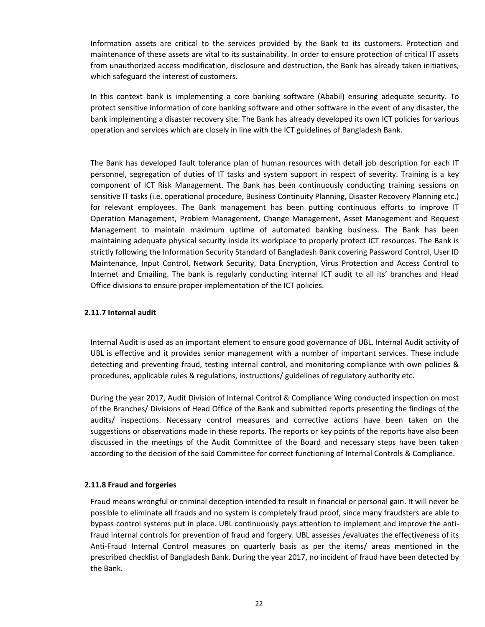Information assets are critical to the services provided by the Bank to its customers. Protection and maintenance of these assets are vital to its sustainability. In order to ensure protection of critical IT assets from unauthorized access modification, disclosure and destruction, the Bank has already taken initiatives, which safeguard the interest of customers.

In this context bank is implementing a core banking software (Ababil) ensuring adequate security. To protect sensitive information of core banking software and other software in the event of any disaster, the bank implementing a disaster recovery site. The Bank has already developed its own ICT policies for various operation and services which are closely in line with the ICT guidelines of Bangladesh Bank.

The Bank has developed fault tolerance plan of human resources with detail job description for each IT personnel, segregation of duties of IT tasks and system support in respect of severity. Training is a key component of ICT Risk Management. The Bank has been continuously conducting training sessions on sensitive IT tasks (i.e. operational procedure, Business Continuity Planning, Disaster Recovery Planning etc.) for relevant employees. The Bank management has been putting continuous efforts to improve IT Operation Management, Problem Management, Change Management, Asset Management and Request Management to maintain maximum uptime of automated banking business. The Bank has been maintaining adequate physical security inside its workplace to properly protect ICT resources. The Bank is strictly following the Information Security Standard of Bangladesh Bank covering Password Control, User ID Maintenance, Input Control, Network Security, Data Encryption, Virus Protection and Access Control to Internet and Emailing. The bank is regularly conducting internal ICT audit to all its' branches and Head Office divisions to ensure proper implementation of the ICT policies.

## **2.11.7 Internal audit**

Internal Audit is used as an important element to ensure good governance of UBL. Internal Audit activity of UBL is effective and it provides senior management with a number of important services. These include detecting and preventing fraud, testing internal control, and monitoring compliance with own policies & procedures, applicable rules & regulations, instructions/ guidelines of regulatory authority etc.

During the year 2017, Audit Division of Internal Control & Compliance Wing conducted inspection on most of the Branches/ Divisions of Head Office of the Bank and submitted reports presenting the findings of the audits/ inspections. Necessary control measures and corrective actions have been taken on the suggestions or observations made in these reports. The reports or key points of the reports have also been discussed in the meetings of the Audit Committee of the Board and necessary steps have been taken according to the decision of the said Committee for correct functioning of Internal Controls & Compliance.

## **2.11.8 Fraud and forgeries**

Fraud means wrongful or criminal deception intended to result in financial or personal gain. It will never be possible to eliminate all frauds and no system is completely fraud proof, since many fraudsters are able to bypass control systems put in place. UBL continuously pays attention to implement and improve the antifraud internal controls for prevention of fraud and forgery. UBL assesses /evaluates the effectiveness of its Anti-Fraud Internal Control measures on quarterly basis as per the items/ areas mentioned in the prescribed checklist of Bangladesh Bank. During the year 2017, no incident of fraud have been detected by the Bank.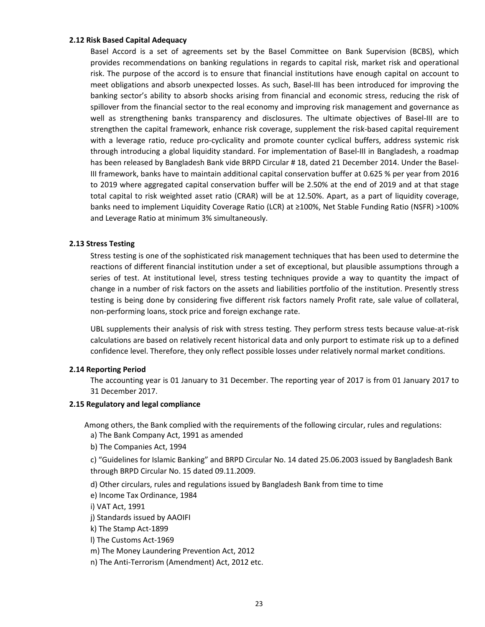## **2.12 Risk Based Capital Adequacy**

Basel Accord is a set of agreements set by the Basel Committee on Bank Supervision (BCBS), which provides recommendations on banking regulations in regards to capital risk, market risk and operational risk. The purpose of the accord is to ensure that financial institutions have enough capital on account to meet obligations and absorb unexpected losses. As such, Basel-III has been introduced for improving the banking sector's ability to absorb shocks arising from financial and economic stress, reducing the risk of spillover from the financial sector to the real economy and improving risk management and governance as well as strengthening banks transparency and disclosures. The ultimate objectives of Basel-III are to strengthen the capital framework, enhance risk coverage, supplement the risk-based capital requirement with a leverage ratio, reduce pro-cyclicality and promote counter cyclical buffers, address systemic risk through introducing a global liquidity standard. For implementation of Basel-III in Bangladesh, a roadmap has been released by Bangladesh Bank vide BRPD Circular # 18, dated 21 December 2014. Under the Basel-III framework, banks have to maintain additional capital conservation buffer at 0.625 % per year from 2016 to 2019 where aggregated capital conservation buffer will be 2.50% at the end of 2019 and at that stage total capital to risk weighted asset ratio (CRAR) will be at 12.50%. Apart, as a part of liquidity coverage, banks need to implement Liquidity Coverage Ratio (LCR) at ≥100%, Net Stable Funding Ratio (NSFR) >100% and Leverage Ratio at minimum 3% simultaneously.

## **2.13 Stress Testing**

Stress testing is one of the sophisticated risk management techniques that has been used to determine the reactions of different financial institution under a set of exceptional, but plausible assumptions through a series of test. At institutional level, stress testing techniques provide a way to quantity the impact of change in a number of risk factors on the assets and liabilities portfolio of the institution. Presently stress testing is being done by considering five different risk factors namely Profit rate, sale value of collateral, non-performing loans, stock price and foreign exchange rate.

UBL supplements their analysis of risk with stress testing. They perform stress tests because value-at-risk calculations are based on relatively recent historical data and only purport to estimate risk up to a defined confidence level. Therefore, they only reflect possible losses under relatively normal market conditions.

## **2.14 Reporting Period**

The accounting year is 01 January to 31 December. The reporting year of 2017 is from 01 January 2017 to 31 December 2017.

## **2.15 Regulatory and legal compliance**

a) The Bank Company Act, 1991 as amended Among others, the Bank complied with the requirements of the following circular, rules and regulations:

b) The Companies Act, 1994

c) "Guidelines for Islamic Banking" and BRPD Circular No. 14 dated 25.06.2003 issued by Bangladesh Bank through BRPD Circular No. 15 dated 09.11.2009.

d) Other circulars, rules and regulations issued by Bangladesh Bank from time to time

e) Income Tax Ordinance, 1984

i) VAT Act, 1991

j) Standards issued by AAOIFI

k) The Stamp Act-1899

l) The Customs Act-1969

m) The Money Laundering Prevention Act, 2012

n) The Anti-Terrorism (Amendment) Act, 2012 etc.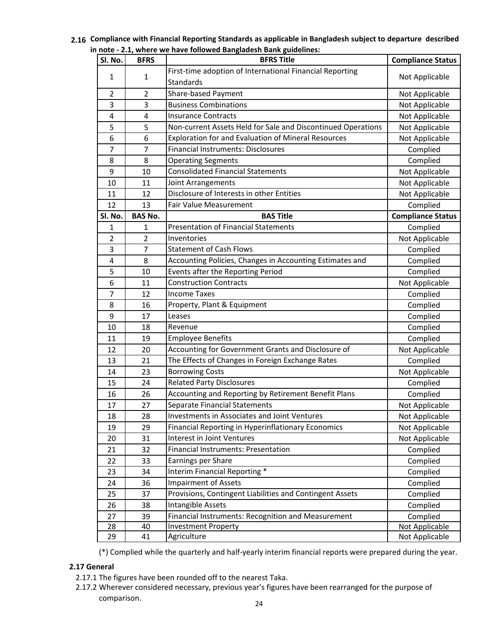| 2.16 Compliance with Financial Reporting Standards as applicable in Bangladesh subject to departure described |  |
|---------------------------------------------------------------------------------------------------------------|--|
| in note - 2.1, where we have followed Bangladesh Bank guidelines:                                             |  |

| SI. No.           | <b>BFRS</b>    | <b>BFRS Title</b>                                            | <b>Compliance Status</b> |
|-------------------|----------------|--------------------------------------------------------------|--------------------------|
| $\mathbf{1}$<br>1 |                | First-time adoption of International Financial Reporting     |                          |
|                   |                | Standards                                                    | Not Applicable           |
| $\overline{2}$    | $\overline{2}$ | Share-based Payment                                          | Not Applicable           |
| 3                 | 3              | <b>Business Combinations</b>                                 | Not Applicable           |
| 4                 | 4              | <b>Insurance Contracts</b>                                   | Not Applicable           |
| 5                 | 5              | Non-current Assets Held for Sale and Discontinued Operations | Not Applicable           |
| 6                 | 6              | Exploration for and Evaluation of Mineral Resources          | Not Applicable           |
| 7                 | $\overline{7}$ | <b>Financial Instruments: Disclosures</b>                    | Complied                 |
| 8                 | 8              | <b>Operating Segments</b>                                    | Complied                 |
| 9                 | 10             | <b>Consolidated Financial Statements</b>                     | Not Applicable           |
| 10                | 11             | Joint Arrangements                                           | Not Applicable           |
| 11                | 12             | Disclosure of Interests in other Entities                    | Not Applicable           |
| 12                | 13             | <b>Fair Value Measurement</b>                                | Complied                 |
| SI. No.           | <b>BAS No.</b> | <b>BAS Title</b>                                             | <b>Compliance Status</b> |
| 1                 | 1              | <b>Presentation of Financial Statements</b>                  | Complied                 |
| 2                 | $\overline{2}$ | Inventories                                                  | Not Applicable           |
| 3                 | 7              | <b>Statement of Cash Flows</b>                               | Complied                 |
| 4                 | 8              | Accounting Policies, Changes in Accounting Estimates and     | Complied                 |
| 5                 | 10             | Events after the Reporting Period                            | Complied                 |
| 6                 | 11             | <b>Construction Contracts</b>                                | Not Applicable           |
| 7                 | 12             | <b>Income Taxes</b>                                          | Complied                 |
| 8                 | 16             | Property, Plant & Equipment                                  | Complied                 |
| 9                 | 17             | Leases                                                       | Complied                 |
| 10                | 18             | Revenue                                                      | Complied                 |
| 11                | 19             | <b>Employee Benefits</b>                                     | Complied                 |
| 12                | 20             | Accounting for Government Grants and Disclosure of           | Not Applicable           |
| 13                | 21             | The Effects of Changes in Foreign Exchange Rates             | Complied                 |
| 14                | 23             | <b>Borrowing Costs</b>                                       | Not Applicable           |
| 15                | 24             | <b>Related Party Disclosures</b>                             | Complied                 |
| 16                | 26             | Accounting and Reporting by Retirement Benefit Plans         | Complied                 |
| 17                | 27             | Separate Financial Statements                                | Not Applicable           |
| 18                | 28             | Investments in Associates and Joint Ventures                 | Not Applicable           |
| 19                | 29             | Financial Reporting in Hyperinflationary Economics           | Not Applicable           |
| 20                | 31             | <b>Interest in Joint Ventures</b>                            | Not Applicable           |
| 21                | 32             | <b>Financial Instruments: Presentation</b>                   | Complied                 |
| 22                | 33             | Earnings per Share                                           | Complied                 |
| 23                | 34             | Interim Financial Reporting *                                | Complied                 |
| 24                | 36             | <b>Impairment of Assets</b>                                  | Complied                 |
| 25                | 37             | Provisions, Contingent Liabilities and Contingent Assets     | Complied                 |
| 26                | 38             | Intangible Assets                                            | Complied                 |
| 27                | 39             | Financial Instruments: Recognition and Measurement           | Complied                 |
| 28                | 40             | <b>Investment Property</b>                                   | Not Applicable           |
| 29                | 41             | Agriculture                                                  | Not Applicable           |

(\*) Complied while the quarterly and half-yearly interim financial reports were prepared during the year.

## **2.17 General**

- 2.17.1 The figures have been rounded off to the nearest Taka.
- 2.17.2 Wherever considered necessary, previous year's figures have been rearranged for the purpose of comparison.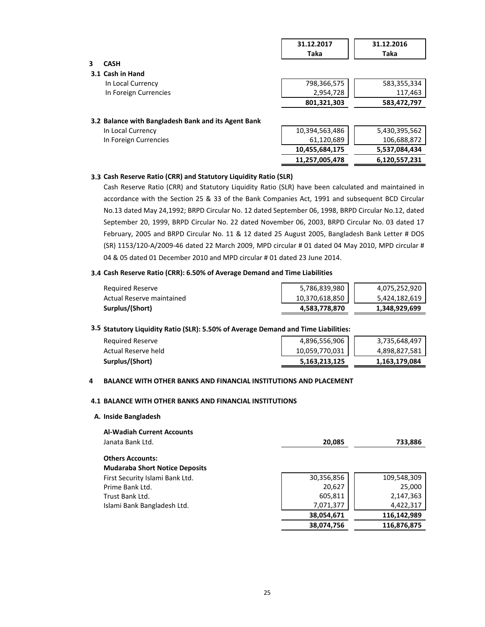|                                                     | 31.12.2017     | 31.12.2016    |
|-----------------------------------------------------|----------------|---------------|
|                                                     | Taka           | Taka          |
| <b>CASH</b>                                         |                |               |
| 3.1 Cash in Hand                                    |                |               |
| In Local Currency                                   | 798,366,575    | 583,355,334   |
| In Foreign Currencies                               | 2,954,728      | 117,463       |
|                                                     | 801,321,303    | 583,472,797   |
| 3.2 Balance with Bangladesh Bank and its Agent Bank |                |               |
| In Local Currency                                   | 10,394,563,486 | 5,430,395,562 |
| In Foreign Currencies                               | 61,120,689     | 106,688,872   |
|                                                     | 10,455,684,175 | 5,537,084,434 |
|                                                     | 11.257.005.478 | 6,120,557,231 |

#### **3.3 Cash Reserve Ratio (CRR) and Statutory Liquidity Ratio (SLR)**

Cash Reserve Ratio (CRR) and Statutory Liquidity Ratio (SLR) have been calculated and maintained in accordance with the Section 25 & 33 of the Bank Companies Act, 1991 and subsequent BCD Circular No.13 dated May 24,1992; BRPD Circular No. 12 dated September 06, 1998, BRPD Circular No.12, dated September 20, 1999, BRPD Circular No. 22 dated November 06, 2003, BRPD Circular No. 03 dated 17 February, 2005 and BRPD Circular No. 11 & 12 dated 25 August 2005, Bangladesh Bank Letter # DOS (SR) 1153/120-A/2009-46 dated 22 March 2009, MPD circular # 01 dated 04 May 2010, MPD circular # 04 & 05 dated 01 December 2010 and MPD circular # 01 dated 23 June 2014.

#### **3.4 Cash Reserve Ratio (CRR): 6.50% of Average Demand and Time Liabilities**

| Reguired Reserve          | 5,786,839,980  | 4,075,252,920 |
|---------------------------|----------------|---------------|
| Actual Reserve maintained | 10,370,618,850 | 5,424,182,619 |
| Surplus/(Short)           | 4,583,778,870  | 1,348,929,699 |

#### **3.5 Statutory Liquidity Ratio (SLR): 5.50% of Average Demand and Time Liabilities:**

| Required Reserve    | 4,896,556,906  | 3,735,648,497 |
|---------------------|----------------|---------------|
| Actual Reserve held | 10,059,770,031 | 4,898,827,581 |
| Surplus/(Short)     | 5.163.213.125  | 1,163,179,084 |

#### **4 BALANCE WITH OTHER BANKS AND FINANCIAL INSTITUTIONS AND PLACEMENT**

#### **4.1 BALANCE WITH OTHER BANKS AND FINANCIAL INSTITUTIONS**

**A. Inside Bangladesh**

| <b>Al-Wadiah Current Accounts</b>     |            |             |
|---------------------------------------|------------|-------------|
| Janata Bank Ltd.                      | 20,085     | 733,886     |
| <b>Others Accounts:</b>               |            |             |
| <b>Mudaraba Short Notice Deposits</b> |            |             |
| First Security Islami Bank Ltd.       | 30,356,856 | 109,548,309 |
| Prime Bank Ltd.                       | 20,627     | 25,000      |
| Trust Bank Ltd.                       | 605,811    | 2,147,363   |
| Islami Bank Bangladesh Ltd.           | 7,071,377  | 4,422,317   |
|                                       | 38,054,671 | 116,142,989 |
|                                       | 38,074,756 | 116,876,875 |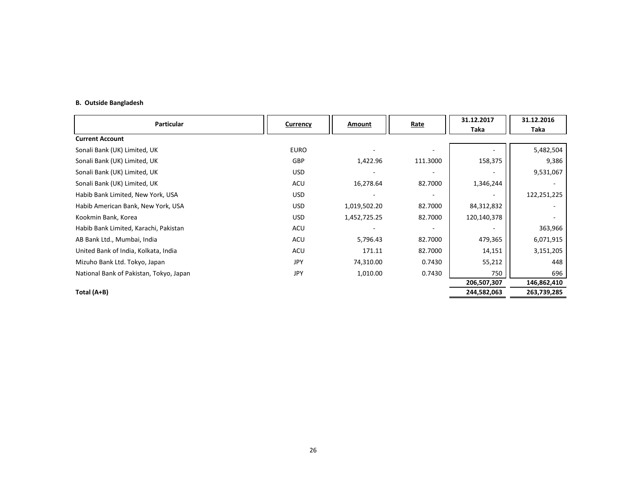#### **B. Outside Bangladesh**

| Particular                              | <b>Currency</b> | Amount       | <b>Rate</b> | 31.12.2017<br>Taka | 31.12.2016<br>Taka |
|-----------------------------------------|-----------------|--------------|-------------|--------------------|--------------------|
| <b>Current Account</b>                  |                 |              |             |                    |                    |
| Sonali Bank (UK) Limited, UK            | <b>EURO</b>     |              |             |                    | 5,482,504          |
| Sonali Bank (UK) Limited, UK            | GBP             | 1,422.96     | 111.3000    | 158,375            | 9,386              |
| Sonali Bank (UK) Limited, UK            | <b>USD</b>      |              |             |                    | 9,531,067          |
| Sonali Bank (UK) Limited, UK            | ACU             | 16,278.64    | 82.7000     | 1,346,244          |                    |
| Habib Bank Limited, New York, USA       | <b>USD</b>      |              |             |                    | 122,251,225        |
| Habib American Bank, New York, USA      | <b>USD</b>      | 1,019,502.20 | 82.7000     | 84,312,832         |                    |
| Kookmin Bank, Korea                     | <b>USD</b>      | 1,452,725.25 | 82.7000     | 120,140,378        |                    |
| Habib Bank Limited, Karachi, Pakistan   | ACU             |              |             |                    | 363,966            |
| AB Bank Ltd., Mumbai, India             | ACU             | 5,796.43     | 82.7000     | 479,365            | 6,071,915          |
| United Bank of India, Kolkata, India    | ACU             | 171.11       | 82.7000     | 14,151             | 3,151,205          |
| Mizuho Bank Ltd. Tokyo, Japan           | JPY             | 74,310.00    | 0.7430      | 55,212             | 448                |
| National Bank of Pakistan, Tokyo, Japan | JPY             | 1,010.00     | 0.7430      | 750                | 696                |
|                                         |                 |              |             | 206,507,307        | 146,862,410        |
| Total (A+B)                             |                 |              |             | 244,582,063        | 263,739,285        |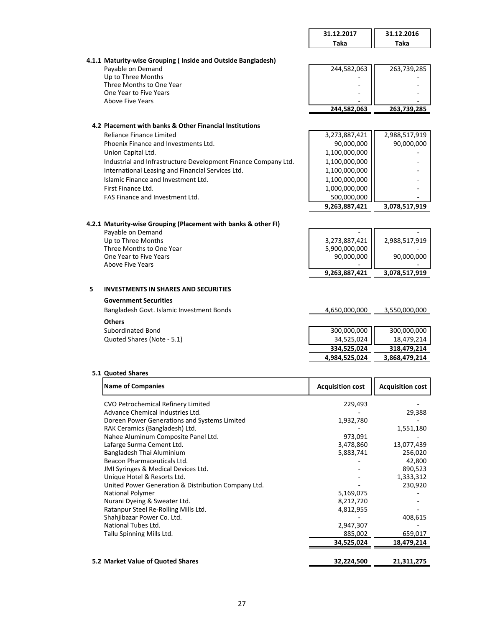|                                                                  | 31.12.2017<br>Taka      | 31.12.2016<br>Taka      |
|------------------------------------------------------------------|-------------------------|-------------------------|
|                                                                  |                         |                         |
| 4.1.1 Maturity-wise Grouping (Inside and Outside Bangladesh)     |                         |                         |
| Payable on Demand                                                | 244,582,063             | 263,739,285             |
| Up to Three Months<br>Three Months to One Year                   |                         |                         |
| One Year to Five Years                                           |                         |                         |
| <b>Above Five Years</b>                                          |                         |                         |
|                                                                  | 244,582,063             | 263,739,285             |
| 4.2 Placement with banks & Other Financial Institutions          |                         |                         |
| Reliance Finance Limited                                         | 3,273,887,421           | 2,988,517,919           |
| Phoenix Finance and Investments Ltd.                             | 90,000,000              | 90,000,000              |
| Union Capital Ltd.                                               | 1,100,000,000           |                         |
| Industrial and Infrastructure Development Finance Company Ltd.   | 1,100,000,000           |                         |
| International Leasing and Financial Services Ltd.                | 1,100,000,000           |                         |
| Islamic Finance and Investment Ltd.                              | 1,100,000,000           |                         |
| First Finance Ltd.                                               | 1,000,000,000           |                         |
| FAS Finance and Investment Ltd.                                  | 500,000,000             |                         |
|                                                                  | 9,263,887,421           | 3,078,517,919           |
| 4.2.1 Maturity-wise Grouping (Placement with banks & other FI)   |                         |                         |
| Payable on Demand                                                |                         |                         |
| Up to Three Months                                               | 3,273,887,421           | 2,988,517,919           |
| Three Months to One Year                                         | 5,900,000,000           |                         |
| One Year to Five Years<br><b>Above Five Years</b>                | 90,000,000              | 90,000,000              |
|                                                                  | 9,263,887,421           | 3,078,517,919           |
| 5<br><b>INVESTMENTS IN SHARES AND SECURITIES</b>                 |                         |                         |
| <b>Government Securities</b>                                     |                         |                         |
| Bangladesh Govt. Islamic Investment Bonds                        | 4,650,000,000           | 3,550,000,000           |
| <b>Others</b>                                                    |                         |                         |
| Subordinated Bond                                                | 300,000,000             | 300,000,000             |
| Quoted Shares (Note - 5.1)                                       | 34,525,024              | 18,479,214              |
|                                                                  | 334,525,024             | 318,479,214             |
|                                                                  | 4,984,525,024           | 3,868,479,214           |
|                                                                  |                         |                         |
| 5.1 Quoted Shares                                                |                         |                         |
| <b>Name of Companies</b>                                         | <b>Acquisition cost</b> | <b>Acquisition cost</b> |
| CVO Petrochemical Refinery Limited                               | 229,493                 |                         |
| Advance Chemical Industries Ltd.                                 |                         | 29,388                  |
| Doreen Power Generations and Systems Limited                     | 1,932,780               |                         |
| RAK Ceramics (Bangladesh) Ltd.                                   |                         | 1,551,180               |
| Nahee Aluminum Composite Panel Ltd.<br>Lafarge Surma Cement Ltd. | 973,091<br>3,478,860    | 13,077,439              |
| Bangladesh Thai Aluminium                                        | 5,883,741               | 256,020                 |

Bangladesh Thai Aluminium 5,883,741 256,020<br>Beacon Pharmaceuticals Ltd. 6. 2008 Beacon Pharmaceuticals Ltd. 42,800<br>
JMI Syringes & Medical Devices Ltd. 42,800<br>
1990,523 JMI Syringes & Medical Devices Ltd. - 890,523 Unique Hotel & Resorts Ltd. - 1,333,312

National Polymer 1999 - 1999 10:30 10:40 10:40 10:40 10:40 10:40 10:40 10:40 10:40 10:40 10:40 10:40 10:40 10:4<br>
Nurani Dyeing & Sweater Ltd. 1999 10:40 10:40 10:40 10:40 10:40 10:40 10:40 10:40 10:40 10:40 10:40 10:40 10: Nurani Dyeing & Sweater Ltd. <br>Ratanpur Steel Re-Rolling Mills Ltd. 6.822.855 4,812,955 4,822,955 4,822,955 4,822,955 4,822,955 657 4,832,955 Ratanpur Steel Re-Rolling Mills Ltd. 4,812,955<br>
Shahjibazar Power Co. Ltd. 408,615

National Tubes Ltd. 2,947,307<br>
Tallu Spinning Mills Ltd. 285,002 659,017

 **34,525,024 18,479,214**

**5.2 Market Value of Quoted Shares 32,224,500 21,311,275**

Tallu Spinning Mills Ltd.

United Power Generation & Distribution Company Ltd.

Shahjibazar Power Co. Ltd.<br>
National Tubes Ltd. 2,947,307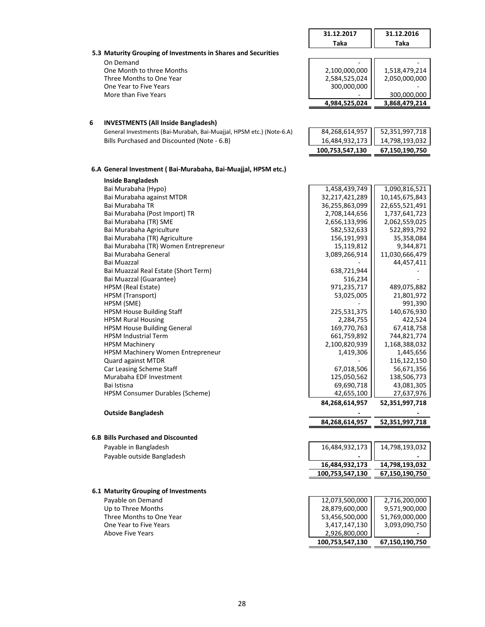|   |                                                                      | 31.12.2017               | 31.12.2016               |
|---|----------------------------------------------------------------------|--------------------------|--------------------------|
|   |                                                                      | <b>Taka</b>              | Taka                     |
|   | 5.3 Maturity Grouping of Investments in Shares and Securities        |                          |                          |
|   | On Demand                                                            |                          |                          |
|   | One Month to three Months                                            | 2,100,000,000            | 1,518,479,214            |
|   | Three Months to One Year                                             | 2,584,525,024            | 2,050,000,000            |
|   | One Year to Five Years                                               | 300,000,000              |                          |
|   | More than Five Years                                                 |                          | 300,000,000              |
|   |                                                                      | 4,984,525,024            | 3,868,479,214            |
|   |                                                                      |                          |                          |
| 6 | <b>INVESTMENTS (All Inside Bangladesh)</b>                           |                          |                          |
|   | General Investments (Bai-Murabah, Bai-Muajjal, HPSM etc.) (Note-6.A) | 84,268,614,957           | 52,351,997,718           |
|   | Bills Purchased and Discounted (Note - 6.B)                          | 16,484,932,173           | 14,798,193,032           |
|   |                                                                      | 100,753,547,130          | 67,150,190,750           |
|   |                                                                      |                          |                          |
|   | 6.A General Investment (Bai-Murabaha, Bai-Muajjal, HPSM etc.)        |                          |                          |
|   | <b>Inside Bangladesh</b>                                             |                          |                          |
|   | Bai Murabaha (Hypo)                                                  | 1,458,439,749            | 1,090,816,521            |
|   | Bai Murabaha against MTDR                                            | 32,217,421,289           | 10,145,675,843           |
|   | Bai Murabaha TR                                                      | 36,255,863,099           | 22,655,521,491           |
|   | Bai Murabaha (Post Import) TR                                        | 2,708,144,656            | 1,737,641,723            |
|   | Bai Murabaha (TR) SME                                                | 2,656,133,996            | 2,062,559,025            |
|   | Bai Murabaha Agriculture                                             | 582,532,633              | 522,893,792              |
|   | Bai Murabaha (TR) Agriculture                                        | 156,191,993              | 35,358,084               |
|   | Bai Murabaha (TR) Women Entrepreneur                                 | 15,119,812               | 9,344,871                |
|   | Bai Murabaha General                                                 | 3,089,266,914            | 11,030,666,479           |
|   | Bai Muazzal                                                          |                          | 44,457,411               |
|   | Bai Muazzal Real Estate (Short Term)<br>Bai Muazzal (Guarantee)      | 638,721,944<br>516,234   |                          |
|   | HPSM (Real Estate)                                                   | 971,235,717              | 489,075,882              |
|   | HPSM (Transport)                                                     | 53,025,005               | 21,801,972               |
|   | HPSM (SME)                                                           |                          | 991,390                  |
|   | <b>HPSM House Building Staff</b>                                     | 225,531,375              | 140,676,930              |
|   | <b>HPSM Rural Housing</b>                                            | 2,284,755                | 422,524                  |
|   | <b>HPSM House Building General</b>                                   | 169,770,763              | 67,418,758               |
|   | <b>HPSM Industrial Term</b>                                          | 661,759,892              | 744,821,774              |
|   | <b>HPSM Machinery</b>                                                | 2,100,820,939            | 1,168,388,032            |
|   | HPSM Machinery Women Entrepreneur                                    | 1,419,306                | 1,445,656                |
|   | Quard against MTDR                                                   |                          | 116,122,150              |
|   | Car Leasing Scheme Staff                                             | 67,018,506               | 56,671,356               |
|   | Murabaha EDF Investment                                              | 125,050,562              | 138,506,773              |
|   | Bai Istisna<br>HPSM Consumer Durables (Scheme)                       | 69,690,718<br>42,655,100 | 43,081,305<br>27,637,976 |
|   |                                                                      | 84,268,614,957           | 52,351,997,718           |
|   |                                                                      |                          |                          |
|   | <b>Outside Bangladesh</b>                                            | 84,268,614,957           |                          |
|   |                                                                      |                          | 52,351,997,718           |
|   | <b>6.B Bills Purchased and Discounted</b>                            |                          |                          |
|   | Payable in Bangladesh                                                | 16,484,932,173           | 14,798,193,032           |
|   | Payable outside Bangladesh                                           |                          |                          |
|   |                                                                      | 16,484,932,173           | 14,798,193,032           |
|   |                                                                      | 100,753,547,130          | 67,150,190,750           |
|   |                                                                      |                          |                          |
|   | 6.1 Maturity Grouping of Investments                                 |                          |                          |
|   | Payable on Demand                                                    | 12,073,500,000           | 2,716,200,000            |
|   | Up to Three Months                                                   | 28,879,600,000           | 9,571,900,000            |
|   | Three Months to One Year                                             | 53,456,500,000           | 51,769,000,000           |
|   | One Year to Five Years                                               | 3,417,147,130            | 3,093,090,750            |
|   | <b>Above Five Years</b>                                              | 2,926,800,000            |                          |

 **100,753,547,130 67,150,190,750**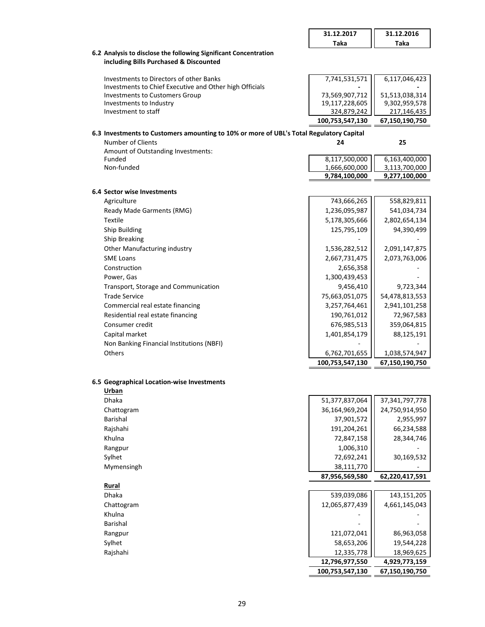|                                                                                                              | 31.12.2017      | 31.12.2016                      |
|--------------------------------------------------------------------------------------------------------------|-----------------|---------------------------------|
|                                                                                                              | Taka            | Taka                            |
| 6.2 Analysis to disclose the following Significant Concentration                                             |                 |                                 |
| including Bills Purchased & Discounted                                                                       |                 |                                 |
| Investments to Directors of other Banks<br>Investments to Chief Executive and Other high Officials           | 7,741,531,571   | 6,117,046,423                   |
| <b>Investments to Customers Group</b>                                                                        | 73,569,907,712  | 51,513,038,314                  |
| Investments to Industry                                                                                      | 19,117,228,605  | 9,302,959,578                   |
| Investment to staff                                                                                          | 324,879,242     | 217,146,435                     |
|                                                                                                              | 100,753,547,130 | 67,150,190,750                  |
| 6.3 Investments to Customers amounting to 10% or more of UBL's Total Regulatory Capital<br>Number of Clients | 24              | 25                              |
| Amount of Outstanding Investments:                                                                           |                 |                                 |
| Funded                                                                                                       | 8,117,500,000   | 6,163,400,000                   |
| Non-funded                                                                                                   | 1,666,600,000   | 3,113,700,000                   |
|                                                                                                              | 9,784,100,000   | 9,277,100,000                   |
| 6.4 Sector wise Investments                                                                                  |                 |                                 |
| Agriculture                                                                                                  | 743,666,265     | 558,829,811                     |
| Ready Made Garments (RMG)                                                                                    | 1,236,095,987   | 541,034,734                     |
| <b>Textile</b>                                                                                               | 5,178,305,666   | 2,802,654,134                   |
| Ship Building                                                                                                | 125,795,109     | 94,390,499                      |
| Ship Breaking                                                                                                |                 |                                 |
| Other Manufacturing industry                                                                                 | 1,536,282,512   | 2,091,147,875                   |
| <b>SME Loans</b>                                                                                             | 2,667,731,475   | 2,073,763,006                   |
| Construction                                                                                                 | 2,656,358       |                                 |
| Power, Gas                                                                                                   | 1,300,439,453   |                                 |
| Transport, Storage and Communication                                                                         | 9,456,410       | 9,723,344                       |
| <b>Trade Service</b>                                                                                         | 75,663,051,075  | 54,478,813,553                  |
| Commercial real estate financing                                                                             | 3,257,764,461   | 2,941,101,258                   |
| Residential real estate financing                                                                            | 190,761,012     | 72,967,583                      |
| Consumer credit                                                                                              | 676,985,513     | 359,064,815                     |
| Capital market                                                                                               | 1,401,854,179   | 88,125,191                      |
| Non Banking Financial Institutions (NBFI)                                                                    |                 |                                 |
| Others                                                                                                       | 6,762,701,655   | 1,038,574,947                   |
|                                                                                                              | 100,753,547,130 | 67,150,190,750                  |
| 6.5 Geographical Location-wise Investments                                                                   |                 |                                 |
| Urban                                                                                                        |                 |                                 |
| Dhaka                                                                                                        | 51,377,837,064  | 37, 341, 797, 778               |
| Chattogram                                                                                                   | 36,164,969,204  | 24,750,914,950                  |
| Barishal                                                                                                     | 37,901,572      | 2,955,997                       |
| Rajshahi                                                                                                     | 191,204,261     | 66,234,588                      |
| Khulna                                                                                                       | 72,847,158      | 28,344,746                      |
| Rangpur                                                                                                      | 1,006,310       |                                 |
| Sylhet                                                                                                       | 72,692,241      | 30,169,532                      |
| Mymensingh                                                                                                   | 38,111,770      |                                 |
|                                                                                                              | 87,956,569,580  | 62,220,417,591                  |
| Rural                                                                                                        |                 |                                 |
| Dhaka                                                                                                        | 539,039,086     | 143,151,205                     |
| Chattogram                                                                                                   | 12,065,877,439  | 4,661,145,043                   |
| Khulna                                                                                                       |                 |                                 |
| Barishal                                                                                                     |                 |                                 |
| Rangpur                                                                                                      | 121,072,041     | 86,963,058                      |
| Sylhet                                                                                                       | 58,653,206      | 19,544,228                      |
| Rajshahi                                                                                                     | 12,335,778      | 18,969,625                      |
|                                                                                                              | 12,796,977,550  | 4,929,773,159<br>67,150,190,750 |
|                                                                                                              | 100,753,547,130 |                                 |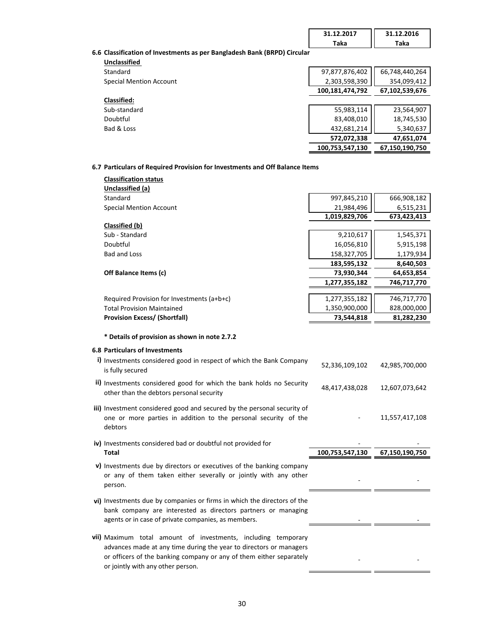| 31.12.2017 | 31.12.2016 |
|------------|------------|
| ака        | Taka       |

## **6.6 Classification of Investments as per Bangladesh Bank (BRPD) Circular**

| <b>Unclassified</b> |
|---------------------|
| Standard            |
|                     |

| Standard                       | 97,877,876,402  | 66,748,440,264 |
|--------------------------------|-----------------|----------------|
| <b>Special Mention Account</b> | 2,303,598,390   | 354,099,412    |
|                                | 100,181,474,792 | 67,102,539,676 |
| Classified:                    |                 |                |
| Sub-standard                   | 55,983,114      | 23,564,907     |
| Doubtful                       | 83,408,010      | 18,745,530     |
| Bad & Loss                     | 432,681,214     | 5,340,637      |
|                                | 572,072,338     | 47,651,074     |
|                                | 100,753,547,130 | 67,150,190,750 |

#### **6.7 Particulars of Required Provision for Investments and Off Balance Items**

| <b>Classification status</b>                                            |                 |                |
|-------------------------------------------------------------------------|-----------------|----------------|
| <b>Unclassified (a)</b>                                                 |                 |                |
| Standard                                                                | 997,845,210     | 666,908,182    |
| <b>Special Mention Account</b>                                          | 21,984,496      | 6,515,231      |
|                                                                         | 1,019,829,706   | 673,423,413    |
| Classified (b)                                                          |                 |                |
| Sub - Standard                                                          | 9,210,617       | 1,545,371      |
| Doubtful                                                                | 16,056,810      | 5,915,198      |
| <b>Bad and Loss</b>                                                     | 158,327,705     | 1,179,934      |
|                                                                         | 183,595,132     | 8,640,503      |
| Off Balance Items (c)                                                   | 73,930,344      | 64,653,854     |
|                                                                         | 1,277,355,182   | 746,717,770    |
|                                                                         |                 |                |
| Required Provision for Investments $(a+b+c)$                            | 1,277,355,182   | 746,717,770    |
| <b>Total Provision Maintained</b>                                       | 1,350,900,000   | 828,000,000    |
| <b>Provision Excess/ (Shortfall)</b>                                    | 73,544,818      | 81,282,230     |
|                                                                         |                 |                |
| * Details of provision as shown in note 2.7.2                           |                 |                |
| <b>6.8 Particulars of Investments</b>                                   |                 |                |
| i) Investments considered good in respect of which the Bank Company     |                 |                |
| is fully secured                                                        | 52,336,109,102  | 42,985,700,000 |
| ii) Investments considered good for which the bank holds no Security    |                 |                |
| other than the debtors personal security                                | 48,417,438,028  | 12,607,073,642 |
|                                                                         |                 |                |
| iii) Investment considered good and secured by the personal security of |                 |                |
| one or more parties in addition to the personal security of the         |                 | 11,557,417,108 |
| debtors                                                                 |                 |                |
|                                                                         |                 |                |
| iv) Investments considered bad or doubtful not provided for             |                 |                |
| <b>Total</b>                                                            | 100,753,547,130 | 67,150,190,750 |
| v) Investments due by directors or executives of the banking company    |                 |                |
| or any of them taken either severally or jointly with any other         |                 |                |
| person.                                                                 |                 |                |
|                                                                         |                 |                |
| vi) Investments due by companies or firms in which the directors of the |                 |                |
| bank company are interested as directors partners or managing           |                 |                |
| agents or in case of private companies, as members.                     |                 |                |
|                                                                         |                 |                |
| vii) Maximum total amount of investments, including temporary           |                 |                |
| advances made at any time during the year to directors or managers      |                 |                |
| or officers of the banking company or any of them either separately     |                 |                |
| or jointly with any other person.                                       |                 |                |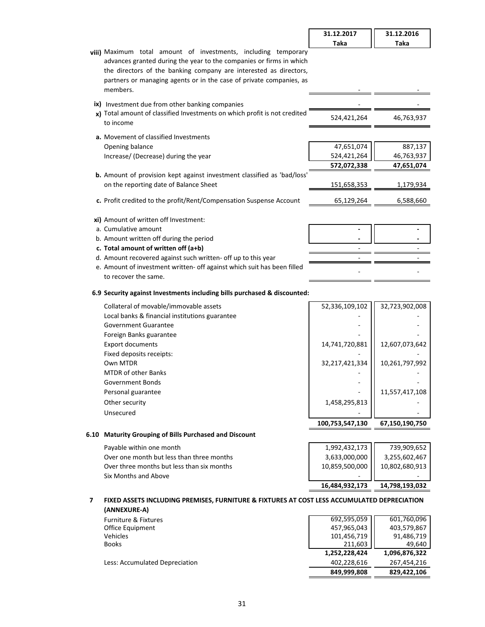|                                                                                                                                                                                                                                                                                               | 31.12.2017  | 31.12.2016 |
|-----------------------------------------------------------------------------------------------------------------------------------------------------------------------------------------------------------------------------------------------------------------------------------------------|-------------|------------|
|                                                                                                                                                                                                                                                                                               | Taka        | Taka       |
| viii) Maximum total amount of investments, including temporary<br>advances granted during the year to the companies or firms in which<br>the directors of the banking company are interested as directors,<br>partners or managing agents or in the case of private companies, as<br>members. |             |            |
| ix) Investment due from other banking companies                                                                                                                                                                                                                                               |             |            |
| x) Total amount of classified Investments on which profit is not credited<br>to income                                                                                                                                                                                                        | 524,421,264 | 46,763,937 |
| <b>a.</b> Movement of classified Investments                                                                                                                                                                                                                                                  |             |            |
| Opening balance                                                                                                                                                                                                                                                                               | 47,651,074  | 887,137    |
| Increase/ (Decrease) during the year                                                                                                                                                                                                                                                          | 524,421,264 | 46,763,937 |
|                                                                                                                                                                                                                                                                                               | 572,072,338 | 47,651,074 |
| <b>b.</b> Amount of provision kept against investment classified as 'bad/loss'                                                                                                                                                                                                                |             |            |
| on the reporting date of Balance Sheet                                                                                                                                                                                                                                                        | 151,658,353 | 1,179,934  |
| c. Profit credited to the profit/Rent/Compensation Suspense Account                                                                                                                                                                                                                           | 65,129,264  | 6,588,660  |
| xi) Amount of written off Investment:                                                                                                                                                                                                                                                         |             |            |
| a. Cumulative amount                                                                                                                                                                                                                                                                          |             |            |
| b. Amount written off during the period                                                                                                                                                                                                                                                       |             |            |
| c. Total amount of written off (a+b)                                                                                                                                                                                                                                                          |             |            |
| d. Amount recovered against such written- off up to this year                                                                                                                                                                                                                                 |             |            |
| e. Amount of investment written- off against which suit has been filled                                                                                                                                                                                                                       |             |            |
| to recover the same.                                                                                                                                                                                                                                                                          |             |            |

#### **6.9 Security against Investments including bills purchased & discounted:**

| Collateral of movable/immovable assets         | 52,336,109,102  | 32,723,902,008 |
|------------------------------------------------|-----------------|----------------|
| Local banks & financial institutions guarantee |                 |                |
| <b>Government Guarantee</b>                    |                 |                |
| Foreign Banks guarantee                        |                 |                |
| <b>Export documents</b>                        | 14,741,720,881  | 12,607,073,642 |
| Fixed deposits receipts:                       |                 |                |
| Own MTDR                                       | 32,217,421,334  | 10,261,797,992 |
| <b>MTDR of other Banks</b>                     |                 |                |
| Government Bonds                               |                 |                |
| Personal guarantee                             |                 | 11,557,417,108 |
| Other security                                 | 1,458,295,813   |                |
| Unsecured                                      |                 |                |
|                                                | 100,753,547,130 | 67,150,190,750 |

#### **6.10 Maturity Grouping of Bills Purchased and Discount**

| Payable within one month                   | 1,992,432,173  | 739,909,652    |
|--------------------------------------------|----------------|----------------|
| Over one month but less than three months  | 3,633,000,000  | 3,255,602,467  |
| Over three months but less than six months | 10,859,500,000 | 10,802,680,913 |
| Six Months and Above                       | -              |                |
|                                            | 16.484.932.173 | 14,798,193,032 |

#### **7 FIXED ASSETS INCLUDING PREMISES, FURNITURE & FIXTURES AT COST LESS ACCUMULATED DEPRECIATION (ANNEXURE-A)**

| (ANNEAURE-A)                    |               |               |
|---------------------------------|---------------|---------------|
| <b>Furniture &amp; Fixtures</b> | 692,595,059   | 601,760,096   |
| Office Equipment                | 457,965,043   | 403,579,867   |
| Vehicles                        | 101,456,719   | 91,486,719    |
| <b>Books</b>                    | 211.603       | 49,640        |
|                                 | 1,252,228,424 | 1,096,876,322 |
| Less: Accumulated Depreciation  | 402.228.616   | 267.454.216   |
|                                 | 849,999,808   | 829.422.106   |
|                                 |               |               |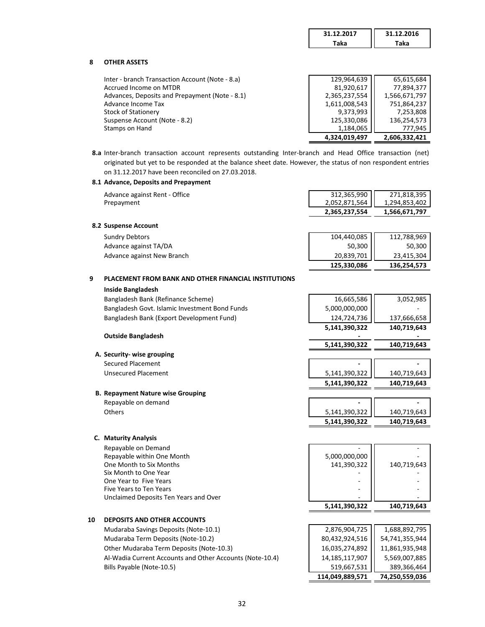| 31.12.2017 | 31.12.2016 |
|------------|------------|
| ака        | ra.        |

#### **8 OTHER ASSETS**

Inter - branch Transaction Account (Note - 8.a) Accrued Income on MTDR Advances, Deposits and Prepayment (Note - 8.1) Advance Income Tax Stock of Stationery Suspense Account (Note - 8.2) Stamps on Hand

| 129,964,639   | 65,615,684    |
|---------------|---------------|
| 81,920,617    | 77,894,377    |
| 2,365,237,554 | 1,566,671,797 |
| 1,611,008,543 | 751,864,237   |
| 9,373,993     | 7,253,808     |
| 125,330,086   | 136,254,573   |
| 1,184,065     | 777,945       |
| 4.324.019.497 | 2.606.332.421 |

**8.a** Inter-branch transaction account represents outstanding Inter-branch and Head Office transaction (net) originated but yet to be responded at the balance sheet date. However, the status of non respondent entries on 31.12.2017 have been reconciled on 27.03.2018.

#### **8.1 Advance, Deposits and Prepayment**

| Advance against Rent - Office | 312,365,990   | 271,818,395   |
|-------------------------------|---------------|---------------|
| Prepayment                    | 2.052.871.564 | 1,294,853,402 |
|                               | 2.365.237.554 | 1,566,671,797 |

#### **8.2 Suspense Account**

|                            | 125 220 086 | 136 351 573 |
|----------------------------|-------------|-------------|
| Advance against New Branch | 20,839,701  | 23,415,304  |
| Advance against TA/DA      | 50,300 II   | 50.300      |
| Sundry Debtors             | 104,440,085 | 112,788,969 |
|                            |             |             |

## **9 PLACEMENT FROM BANK AND OTHER FINANCIAL INSTITUTIONS**

#### **Inside Bangladesh**

Bangladesh Bank (Refinance Scheme) Bangladesh Govt. Islamic Investment Bond Funds Bangladesh Bank (Export Development Fund)

#### **Outside Bangladesh**

**A. Security- wise grouping Secured Placement** Unsecured Placement

#### **B. Repayment Nature wise Grouping**

#### **C. Maturity Analysis**

Repayable on Demand Repayable within One Month One Month to Six Months Six Month to One Year One Year to Five Years Five Years to Ten Years Unclaimed Deposits Ten Years and Over

#### **10 DEPOSITS AND OTHER ACCOUNTS**

Mudaraba Savings Deposits (Note-10.1) Mudaraba Term Deposits (Note-10.2) Other Mudaraba Term Deposits (Note-10.3) Al-Wadia Current Accounts and Other Accounts (Note-10.4) Bills Payable (Note-10.5)

| 125,330,086                                                                  | 136,254,573                         |
|------------------------------------------------------------------------------|-------------------------------------|
|                                                                              |                                     |
| $\begin{array}{c c} 104,440,085 & \\ & 50,300 & \\ 20,839,701 & \end{array}$ | 112,788,969<br>50,300<br>23,415,304 |
|                                                                              |                                     |

| 5,141,390,322               | 140,719,643 |
|-----------------------------|-------------|
| 124,724,736                 | 137,666,658 |
|                             |             |
| 16,665,586<br>5,000,000,000 | 3,052,985   |

# **5,141,390,322 140,719,643**

| 5,141,390,322 | 140,719,643 |
|---------------|-------------|
| 5,141,390,322 | 140,719,643 |

| Repayable on demand | -             | $\overline{\phantom{0}}$ |
|---------------------|---------------|--------------------------|
| Others              | 5,141,390,322 | 140,719,643              |
|                     | 5,141,390,322 | 140.719.643              |

| 5,000,000,000 |             |
|---------------|-------------|
| 141,390,322   | 140,719,643 |
|               |             |
|               |             |
|               |             |
|               |             |
| 5,141,390,322 | 140,719,643 |

| 1,688,892,795  |
|----------------|
| 54,741,355,944 |
| 11,861,935,948 |
| 5,569,007,885  |
| 389,366,464    |
| 74,250,559,036 |
|                |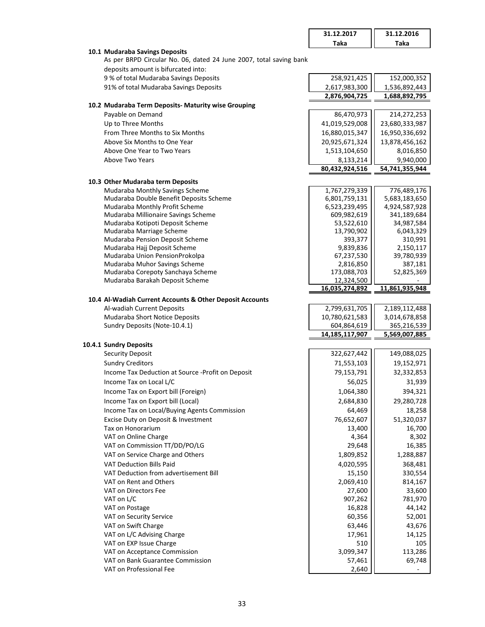|                                                                           | 31.12.2017                     | 31.12.2016                     |
|---------------------------------------------------------------------------|--------------------------------|--------------------------------|
|                                                                           | <b>Taka</b>                    | Taka                           |
| 10.1 Mudaraba Savings Deposits                                            |                                |                                |
| As per BRPD Circular No. 06, dated 24 June 2007, total saving bank        |                                |                                |
| deposits amount is bifurcated into:                                       |                                |                                |
| 9 % of total Mudaraba Savings Deposits                                    | 258,921,425                    | 152,000,352                    |
| 91% of total Mudaraba Savings Deposits                                    | 2,617,983,300                  | 1,536,892,443                  |
|                                                                           | 2,876,904,725                  | 1,688,892,795                  |
| 10.2 Mudaraba Term Deposits- Maturity wise Grouping                       |                                |                                |
| Payable on Demand                                                         | 86,470,973                     | 214,272,253                    |
| Up to Three Months                                                        | 41,019,529,008                 | 23,680,333,987                 |
| From Three Months to Six Months                                           | 16,880,015,347                 | 16,950,336,692                 |
| Above Six Months to One Year                                              | 20,925,671,324                 | 13,878,456,162                 |
| Above One Year to Two Years                                               | 1,513,104,650                  | 8,016,850                      |
| Above Two Years                                                           | 8,133,214                      | 9,940,000                      |
|                                                                           | 80,432,924,516                 | 54,741,355,944                 |
|                                                                           |                                |                                |
| 10.3 Other Mudaraba term Deposits                                         |                                |                                |
| Mudaraba Monthly Savings Scheme                                           | 1,767,279,339                  | 776,489,176                    |
| Mudaraba Double Benefit Deposits Scheme<br>Mudaraba Monthly Profit Scheme | 6,801,759,131<br>6,523,239,495 | 5,683,183,650<br>4,924,587,928 |
| Mudaraba Millionaire Savings Scheme                                       | 609,982,619                    | 341,189,684                    |
| Mudaraba Kotipoti Deposit Scheme                                          | 53,522,610                     | 34,987,584                     |
| Mudaraba Marriage Scheme                                                  | 13,790,902                     | 6,043,329                      |
| Mudaraba Pension Deposit Scheme                                           | 393,377                        | 310,991                        |
| Mudaraba Hajj Deposit Scheme                                              | 9,839,836                      | 2,150,117                      |
| Mudaraba Union PensionProkolpa                                            | 67,237,530                     | 39,780,939                     |
| Mudaraba Muhor Savings Scheme                                             | 2,816,850                      | 387,181                        |
| Mudaraba Corepoty Sanchaya Scheme                                         | 173,088,703                    | 52,825,369                     |
| Mudaraba Barakah Deposit Scheme                                           | 12,324,500                     |                                |
|                                                                           | 16,035,274,892                 | 11,861,935,948                 |
| 10.4 Al-Wadiah Current Accounts & Other Deposit Accounts                  |                                |                                |
| Al-wadiah Current Deposits                                                | 2,799,631,705                  | 2,189,112,488                  |
| Mudaraba Short Notice Deposits                                            | 10,780,621,583                 | 3,014,678,858                  |
| Sundry Deposits (Note-10.4.1)                                             | 604,864,619                    | 365,216,539                    |
|                                                                           | 14, 185, 117, 907              | 5,569,007,885                  |
| 10.4.1 Sundry Deposits                                                    |                                |                                |
| <b>Security Deposit</b>                                                   | 322,627,442                    | 149,088,025                    |
| <b>Sundry Creditors</b>                                                   | 71,553,103                     | 19,152,971                     |
| Income Tax Deduction at Source -Profit on Deposit                         | 79,153,791                     | 32,332,853                     |
| Income Tax on Local L/C                                                   | 56,025                         | 31,939                         |
| Income Tax on Export bill (Foreign)                                       | 1,064,380                      | 394,321                        |
| Income Tax on Export bill (Local)                                         | 2,684,830                      | 29,280,728                     |
| Income Tax on Local/Buying Agents Commission                              | 64,469                         | 18,258                         |
| Excise Duty on Deposit & Investment                                       | 76,652,607                     | 51,320,037                     |
| Tax on Honorarium                                                         | 13,400                         | 16,700                         |
| VAT on Online Charge                                                      | 4,364                          | 8,302                          |
| VAT on Commission TT/DD/PO/LG                                             | 29,648                         | 16,385                         |
| VAT on Service Charge and Others                                          | 1,809,852                      | 1,288,887                      |
| VAT Deduction Bills Paid                                                  | 4,020,595                      | 368,481                        |
| VAT Deduction from advertisement Bill                                     | 15,150                         | 330,554                        |
| VAT on Rent and Others                                                    | 2,069,410                      | 814,167                        |
| VAT on Directors Fee                                                      | 27,600                         | 33,600                         |
| VAT on L/C                                                                | 907,262                        | 781,970                        |
| VAT on Postage                                                            | 16,828                         | 44,142                         |
| VAT on Security Service                                                   | 60,356                         | 52,001                         |
| VAT on Swift Charge                                                       | 63,446                         | 43,676                         |
| VAT on L/C Advising Charge                                                | 17,961                         | 14,125                         |
| VAT on EXP Issue Charge                                                   | 510                            | 105                            |
| VAT on Acceptance Commission                                              | 3,099,347                      | 113,286                        |
| VAT on Bank Guarantee Commission                                          | 57,461                         | 69,748                         |
| VAT on Professional Fee                                                   | 2,640                          |                                |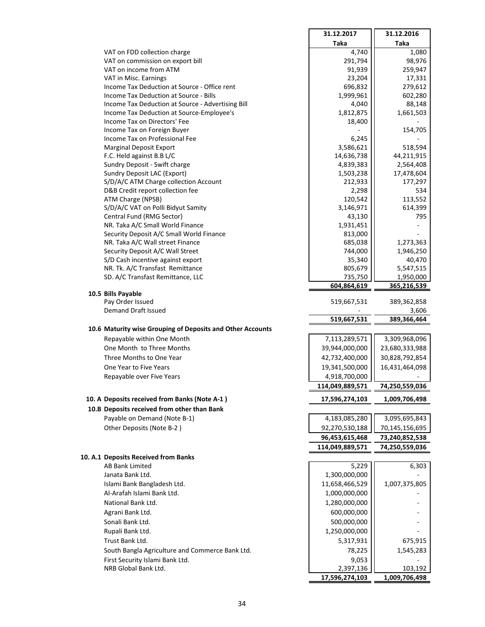|                                                                                                | 31.12.2017         | 31.12.2016          |
|------------------------------------------------------------------------------------------------|--------------------|---------------------|
|                                                                                                | <b>Taka</b>        | <b>Taka</b>         |
| VAT on FDD collection charge                                                                   | 4,740              | 1,080               |
| VAT on commission on export bill                                                               | 291,794            | 98,976              |
| VAT on income from ATM                                                                         | 91,939             | 259,947             |
| VAT in Misc. Earnings                                                                          | 23,204             | 17,331              |
| Income Tax Deduction at Source - Office rent                                                   | 696,832            | 279,612             |
| Income Tax Deduction at Source - Bills                                                         | 1,999,961          | 602,280             |
| Income Tax Deduction at Source - Advertising Bill<br>Income Tax Deduction at Source-Employee's | 4,040<br>1,812,875 | 88,148<br>1,661,503 |
| Income Tax on Directors' Fee                                                                   | 18,400             |                     |
| Income Tax on Foreign Buyer                                                                    |                    | 154,705             |
| Income Tax on Professional Fee                                                                 | 6,245              |                     |
| <b>Marginal Deposit Export</b>                                                                 | 3,586,621          | 518,594             |
| F.C. Held against B.B L/C                                                                      | 14,636,738         | 44,211,915          |
| Sundry Deposit - Swift charge                                                                  | 4,839,383          | 2,564,408           |
| Sundry Deposit LAC (Export)                                                                    | 1,503,238          | 17,478,604          |
| S/D/A/C ATM Charge collection Account                                                          | 212,933            | 177,297             |
| D&B Credit report collection fee                                                               | 2,298              | 534                 |
| ATM Charge (NPSB)                                                                              | 120,542            | 113,552             |
| S/D/A/C VAT on Polli Bidyut Samity                                                             | 3,146,971          | 614,399             |
| Central Fund (RMG Sector)                                                                      | 43,130             | 795                 |
| NR. Taka A/C Small World Finance                                                               | 1,931,451          |                     |
| Security Deposit A/C Small World Finance<br>NR. Taka A/C Wall street Finance                   | 813,000<br>685,038 | 1,273,363           |
| Security Deposit A/C Wall Street                                                               | 744,000            | 1,946,250           |
| S/D Cash incentive against export                                                              | 35,340             | 40,470              |
| NR. Tk. A/C Transfast Remittance                                                               | 805,679            | 5,547,515           |
| SD. A/C Transfast Remittance, LLC                                                              | 735,750            | 1,950,000           |
|                                                                                                | 604,864,619        | 365,216,539         |
| 10.5 Bills Payable                                                                             |                    |                     |
| Pay Order Issued                                                                               | 519,667,531        | 389,362,858         |
| Demand Draft Issued                                                                            |                    | 3,606               |
|                                                                                                | 519,667,531        | 389,366,464         |
| 10.6 Maturity wise Grouping of Deposits and Other Accounts                                     |                    |                     |
| Repayable within One Month                                                                     | 7,113,289,571      | 3,309,968,096       |
| One Month to Three Months                                                                      | 39,944,000,000     | 23,680,333,988      |
| Three Months to One Year                                                                       | 42,732,400,000     | 30,828,792,854      |
| One Year to Five Years                                                                         | 19,341,500,000     | 16,431,464,098      |
| Repayable over Five Years                                                                      | 4,918,700,000      |                     |
|                                                                                                | 114,049,889,571    | 74,250,559,036      |
| 10. A Deposits received from Banks (Note A-1)                                                  | 17,596,274,103     | 1,009,706,498       |
| 10.B Deposits received from other than Bank                                                    |                    |                     |
| Payable on Demand (Note B-1)                                                                   | 4,183,085,280      | 3,095,695,843       |
| Other Deposits (Note B-2)                                                                      | 92,270,530,188     | 70,145,156,695      |
|                                                                                                | 96,453,615,468     | 73,240,852,538      |
|                                                                                                | 114,049,889,571    | 74,250,559,036      |
| 10. A.1 Deposits Received from Banks                                                           |                    |                     |
| <b>AB Bank Limited</b>                                                                         | 5,229              | 6,303               |
| Janata Bank Ltd.                                                                               | 1,300,000,000      |                     |
| Islami Bank Bangladesh Ltd.                                                                    | 11,658,466,529     | 1,007,375,805       |
| Al-Arafah Islami Bank Ltd.                                                                     | 1,000,000,000      |                     |
| National Bank Ltd.                                                                             | 1,280,000,000      |                     |
| Agrani Bank Ltd.                                                                               | 600,000,000        |                     |
| Sonali Bank Ltd.                                                                               | 500,000,000        |                     |
| Rupali Bank Ltd.                                                                               | 1,250,000,000      |                     |
| Trust Bank Ltd.                                                                                | 5,317,931          | 675,915             |
| South Bangla Agriculture and Commerce Bank Ltd.                                                | 78,225             | 1,545,283           |
| First Security Islami Bank Ltd.                                                                | 9,053              |                     |
| NRB Global Bank Ltd.                                                                           | 2,397,136          | 103,192             |
|                                                                                                | 17,596,274,103     | 1,009,706,498       |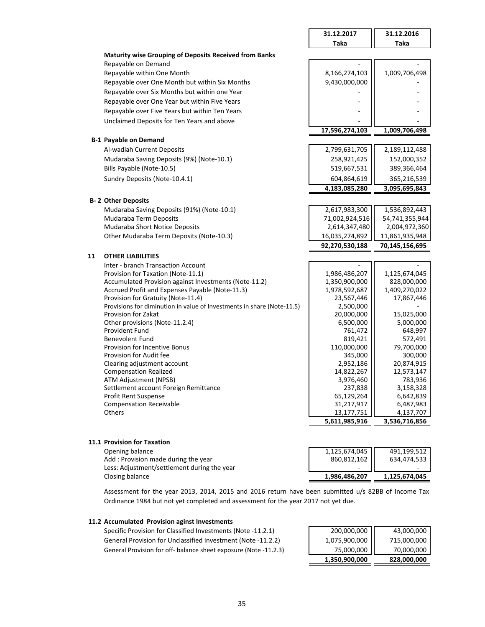|    |                                                                        | 31.12.2017           | 31.12.2016           |
|----|------------------------------------------------------------------------|----------------------|----------------------|
|    |                                                                        | <b>Taka</b>          | <b>Taka</b>          |
|    | <b>Maturity wise Grouping of Deposits Received from Banks</b>          |                      |                      |
|    | Repayable on Demand                                                    |                      |                      |
|    | Repayable within One Month                                             | 8,166,274,103        | 1,009,706,498        |
|    | Repayable over One Month but within Six Months                         | 9,430,000,000        |                      |
|    | Repayable over Six Months but within one Year                          |                      |                      |
|    | Repayable over One Year but within Five Years                          |                      |                      |
|    | Repayable over Five Years but within Ten Years                         |                      |                      |
|    | Unclaimed Deposits for Ten Years and above                             |                      |                      |
|    |                                                                        | 17,596,274,103       | 1,009,706,498        |
|    | <b>B-1 Payable on Demand</b>                                           |                      |                      |
|    | Al-wadiah Current Deposits                                             | 2,799,631,705        | 2,189,112,488        |
|    | Mudaraba Saving Deposits (9%) (Note-10.1)                              | 258,921,425          |                      |
|    |                                                                        |                      | 152,000,352          |
|    | Bills Payable (Note-10.5)                                              | 519,667,531          | 389,366,464          |
|    | Sundry Deposits (Note-10.4.1)                                          | 604,864,619          | 365,216,539          |
|    |                                                                        | 4,183,085,280        | 3,095,695,843        |
|    | <b>B-2 Other Deposits</b>                                              |                      |                      |
|    | Mudaraba Saving Deposits (91%) (Note-10.1)                             | 2,617,983,300        | 1,536,892,443        |
|    | Mudaraba Term Deposits                                                 | 71,002,924,516       | 54,741,355,944       |
|    | Mudaraba Short Notice Deposits                                         | 2,614,347,480        | 2,004,972,360        |
|    | Other Mudaraba Term Deposits (Note-10.3)                               | 16,035,274,892       | 11,861,935,948       |
|    |                                                                        | 92,270,530,188       | 70,145,156,695       |
| 11 | <b>OTHER LIABILITIES</b>                                               |                      |                      |
|    | Inter - branch Transaction Account                                     |                      |                      |
|    | Provision for Taxation (Note-11.1)                                     | 1,986,486,207        | 1,125,674,045        |
|    | Accumulated Provision against Investments (Note-11.2)                  | 1,350,900,000        | 828,000,000          |
|    | Accrued Profit and Expenses Payable (Note-11.3)                        | 1,978,592,687        | 1,409,270,022        |
|    | Provision for Gratuity (Note-11.4)                                     | 23,567,446           | 17,867,446           |
|    | Provisions for diminution in value of Investments in share (Note-11.5) | 2,500,000            |                      |
|    | Provision for Zakat                                                    | 20,000,000           | 15,025,000           |
|    | Other provisions (Note-11.2.4)<br>Provident Fund                       | 6,500,000<br>761,472 | 5,000,000<br>648,997 |
|    | <b>Benevolent Fund</b>                                                 | 819,421              | 572,491              |
|    | Provision for Incentive Bonus                                          | 110,000,000          | 79,700,000           |
|    | Provision for Audit fee                                                | 345,000              | 300,000              |
|    | Clearing adjustment account                                            | 2,952,186            | 20,874,915           |
|    | <b>Compensation Realized</b>                                           | 14,822,267           | 12,573,147           |
|    | ATM Adjustment (NPSB)                                                  | 3,976,460            | 783,936              |
|    | Settlement account Foreign Remittance                                  | 237,838              | 3,158,328            |
|    | Profit Rent Suspense                                                   | 65,129,264           | 6,642,839            |
|    | <b>Compensation Receivable</b>                                         | 31,217,917           | 6,487,983            |
|    | Others                                                                 | 13,177,751           | 4,137,707            |
|    |                                                                        | 5,611,985,916        | 3,536,716,856        |
|    |                                                                        |                      |                      |
|    | 11.1 Provision for Taxation                                            |                      |                      |

| <b>1.1 Provision for Taxation</b>           |               |               |
|---------------------------------------------|---------------|---------------|
| Opening balance                             | 1,125,674,045 | 491.199.512   |
| Add: Provision made during the year         | 860,812,162   | 634.474.533   |
| Less: Adjustment/settlement during the year |               |               |
| Closing balance                             | 1,986,486,207 | 1,125,674,045 |

Assessment for the year 2013, 2014, 2015 and 2016 return have been submitted u/s 82BB of Income Tax Ordinance 1984 but not yet completed and assessment for the year 2017 not yet due.

#### **11.2 Accumulated Provision aginst Investments**

Specific Provision for Classified Investments (Note -11.2.1) General Provision for Unclassified Investment (Note -11.2.2) General Provision for off- balance sheet exposure (Note -11.2.3)

| 1,350,900,000 | 70,000,000<br>828,000,000 |
|---------------|---------------------------|
| 75,000,000    |                           |
| 1,075,900,000 | 715,000,000               |
| 200,000,000   | 43,000,000                |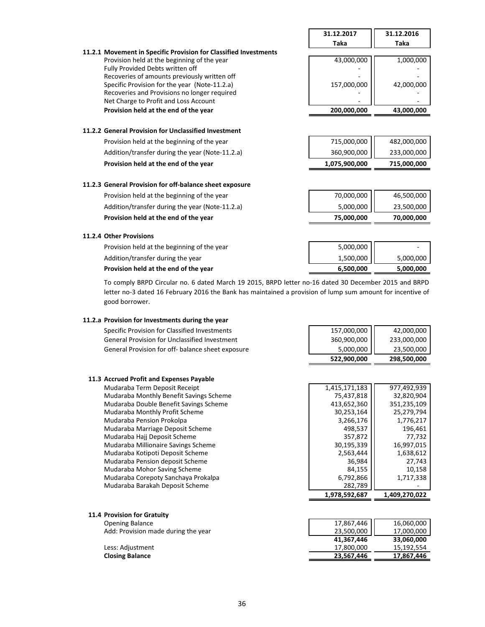|                                                                                       | 31.12.2017    | 31.12.2016  |
|---------------------------------------------------------------------------------------|---------------|-------------|
|                                                                                       | <b>Taka</b>   | Taka        |
| 11.2.1 Movement in Specific Provision for Classified Investments                      |               |             |
| Provision held at the beginning of the year                                           | 43,000,000    | 1,000,000   |
| Fully Provided Debts written off                                                      |               |             |
| Recoveries of amounts previously written off                                          |               |             |
| Specific Provision for the year (Note-11.2.a)                                         | 157,000,000   | 42,000,000  |
| Recoveries and Provisions no longer required<br>Net Charge to Profit and Loss Account |               |             |
| Provision held at the end of the year                                                 | 200,000,000   | 43,000,000  |
|                                                                                       |               |             |
| 11.2.2 General Provision for Unclassified Investment                                  |               |             |
| Provision held at the beginning of the year                                           | 715,000,000   | 482,000,000 |
| Addition/transfer during the year (Note-11.2.a)                                       | 360,900,000   | 233,000,000 |
| Provision held at the end of the year                                                 | 1,075,900,000 | 715,000,000 |
|                                                                                       |               |             |
| 11.2.3 General Provision for off-balance sheet exposure                               |               |             |
| Provision held at the beginning of the year                                           | 70,000,000    | 46,500,000  |
| Addition/transfer during the year (Note-11.2.a)                                       | 5,000,000     | 23,500,000  |
| Provision held at the end of the year                                                 | 75,000,000    | 70,000,000  |
| 11.2.4 Other Provisions                                                               |               |             |
| Provision held at the beginning of the year                                           | 5,000,000     |             |
|                                                                                       |               |             |
| Addition/transfer during the year                                                     | 1,500,000     | 5,000,000   |
| Provision held at the end of the year                                                 | 6,500,000     | 5,000,000   |

To comply BRPD Circular no. 6 dated March 19 2015, BRPD letter no-16 dated 30 December 2015 and BRPD letter no-3 dated 16 February 2016 the Bank has maintained a provision of lump sum amount for incentive of good borrower.

#### **11.2.a Provision for Investments during the year**

Specific Provision for Classified Investments 157,000,000  $\vert$  42,000,000 General Provision for Unclassified Investment 1992 1000000 233,000,000 233,000,000 General Provision for off- balance sheet exposure **5,000,000** 5,000,000 1 23,500,000

#### **11.3 Accrued Profit and Expenses Payable**

Mudaraba Term Deposit Receipt Mudaraba Monthly Benefit Savings Scheme Mudaraba Double Benefit Savings Scheme Mudaraba Monthly Profit Scheme Mudaraba Pension Prokolpa Mudaraba Marriage Deposit Scheme Mudaraba Hajj Deposit Scheme Mudaraba Millionaire Savings Scheme Mudaraba Kotipoti Deposit Scheme Mudaraba Pension deposit Scheme Mudaraba Mohor Saving Scheme Mudaraba Corepoty Sanchaya Prokalpa Mudaraba Barakah Deposit Scheme

# **522,900,000 298,500,000**

| 1.978.592.687 | 1,409,270,022 |
|---------------|---------------|
| 282,789       |               |
| 6,792,866     | 1.717.338     |
| 84,155        | 10,158        |
| 36.984        | 27.743        |
| 2,563,444     | 1,638,612     |
| 30,195,339    | 16,997,015    |
| 357,872       | 77.732        |
| 498,537       | 196.461       |
| 3,266,176     | 1,776,217     |
| 30,253,164    | 25,279,794    |
| 413,652,360   | 351,235,109   |
| 75.437.818    | 32.820.904    |
| 1,415,171,183 | 977,492,939   |
|               |               |

#### **11.4 Provision for Gratuity**

**Opening Balance** Add: Provision made during the year

Less: Adjustment **Closing Balance** 

| 17,800,000<br>23,567,446 | 15,192,554<br>17,867,446 |
|--------------------------|--------------------------|
| 41,367,446               | 33,060,000               |
|                          | 17,000,000               |
| 17,867,446<br>23,500,000 | 16,060,000               |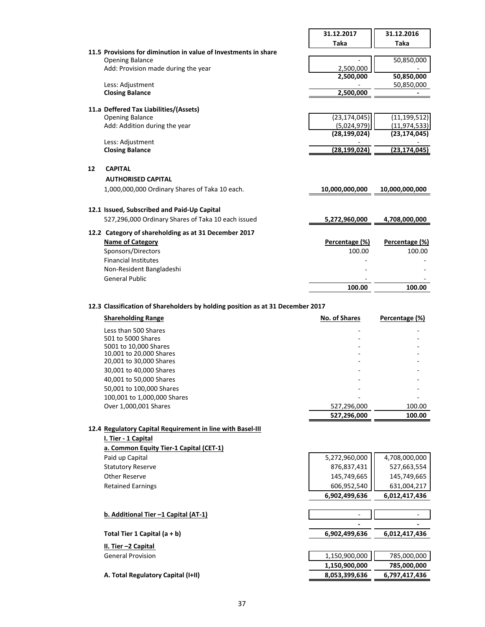|    |                                                                 | 31.12.2017     | 31.12.2016     |
|----|-----------------------------------------------------------------|----------------|----------------|
|    |                                                                 | Taka           | Taka           |
|    | 11.5 Provisions for diminution in value of Investments in share |                |                |
|    | <b>Opening Balance</b>                                          |                | 50,850,000     |
|    | Add: Provision made during the year                             | 2,500,000      |                |
|    |                                                                 | 2,500,000      | 50,850,000     |
|    | Less: Adjustment                                                |                | 50,850,000     |
|    | <b>Closing Balance</b>                                          | 2,500,000      |                |
|    | 11.a Deffered Tax Liabilities/(Assets)                          |                |                |
|    | <b>Opening Balance</b>                                          | (23, 174, 045) | (11, 199, 512) |
|    | Add: Addition during the year                                   | (5,024,979)    | (11, 974, 533) |
|    | Less: Adjustment                                                | (28, 199, 024) | (23, 174, 045) |
|    | <b>Closing Balance</b>                                          | (28, 199, 024) | (23,174,045)   |
|    |                                                                 |                |                |
| 12 | <b>CAPITAL</b>                                                  |                |                |
|    | <b>AUTHORISED CAPITAL</b>                                       |                |                |
|    | 1,000,000,000 Ordinary Shares of Taka 10 each.                  | 10,000,000,000 | 10,000,000,000 |
|    | 12.1 Issued, Subscribed and Paid-Up Capital                     |                |                |
|    | 527,296,000 Ordinary Shares of Taka 10 each issued              | 5,272,960,000  | 4,708,000,000  |
|    | 12.2 Category of shareholding as at 31 December 2017            |                |                |
|    |                                                                 |                |                |
|    | <b>Name of Category</b>                                         | Percentage (%) | Percentage (%) |
|    | Sponsors/Directors                                              | 100.00         | 100.00         |
|    | <b>Financial Institutes</b>                                     |                |                |
|    | Non-Resident Bangladeshi                                        |                |                |
|    | <b>General Public</b>                                           |                |                |
|    |                                                                 | 100.00         | 100.00         |

## **12.3 Classification of Shareholders by holding position as at 31 December 2017**

| <b>Shareholding Range</b>   | <b>No. of Shares</b> | Percentage (%) |
|-----------------------------|----------------------|----------------|
| Less than 500 Shares        |                      |                |
| 501 to 5000 Shares          |                      |                |
| 5001 to 10,000 Shares       |                      |                |
| 10.001 to 20.000 Shares     | -                    |                |
| 20,001 to 30,000 Shares     |                      |                |
| 30,001 to 40,000 Shares     |                      |                |
| 40,001 to 50,000 Shares     |                      |                |
| 50,001 to 100,000 Shares    |                      |                |
| 100,001 to 1,000,000 Shares |                      |                |
| Over 1,000,001 Shares       | 527,296,000          | 100.00         |
|                             | 527,296,000          | 100.00         |

# **12.4 Regulatory Capital Requirement in line with Basel-III**

| Regulatory Capital Regulrement in line with Basel-III |               |               |
|-------------------------------------------------------|---------------|---------------|
| I. Tier - 1 Capital                                   |               |               |
| a. Common Equity Tier-1 Capital (CET-1)               |               |               |
| Paid up Capital                                       | 5,272,960,000 | 4,708,000,000 |
| <b>Statutory Reserve</b>                              | 876,837,431   | 527,663,554   |
| Other Reserve                                         | 145,749,665   | 145,749,665   |
| <b>Retained Earnings</b>                              | 606,952,540   | 631,004,217   |
|                                                       | 6,902,499,636 | 6,012,417,436 |
|                                                       |               |               |
| b. Additional Tier -1 Capital (AT-1)                  |               |               |
|                                                       |               |               |
| Total Tier 1 Capital $(a + b)$                        | 6,902,499,636 | 6,012,417,436 |
| II. Tier -2 Capital                                   |               |               |
| <b>General Provision</b>                              | 1,150,900,000 | 785,000,000   |
|                                                       | 1,150,900,000 | 785,000,000   |
| A. Total Regulatory Capital (I+II)                    | 8,053,399,636 | 6.797.417.436 |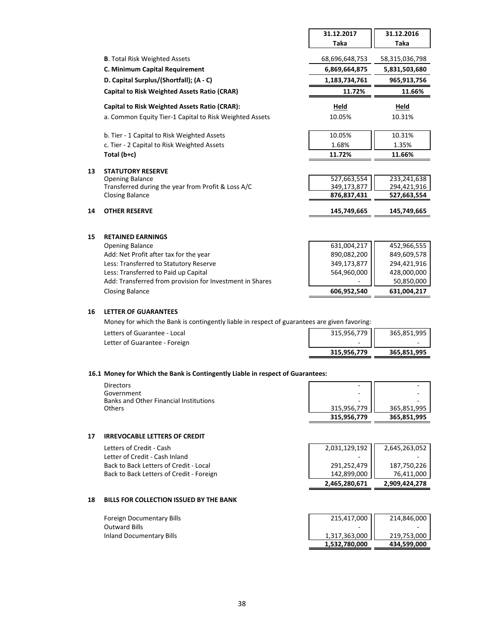|    |                                                         | 31.12.2017     | 31.12.2016     |
|----|---------------------------------------------------------|----------------|----------------|
|    |                                                         | Taka           | Taka           |
|    | <b>B.</b> Total Risk Weighted Assets                    | 68,696,648,753 | 58,315,036,798 |
|    |                                                         |                |                |
|    | C. Minimum Capital Requirement                          | 6,869,664,875  | 5,831,503,680  |
|    | D. Capital Surplus/(Shortfall); (A - C)                 | 1,183,734,761  | 965,913,756    |
|    | <b>Capital to Risk Weighted Assets Ratio (CRAR)</b>     | 11.72%         | 11.66%         |
|    | <b>Capital to Risk Weighted Assets Ratio (CRAR):</b>    | Held           | Held           |
|    | a. Common Equity Tier-1 Capital to Risk Weighted Assets | 10.05%         | 10.31%         |
|    | b. Tier - 1 Capital to Risk Weighted Assets             | 10.05%         | 10.31%         |
|    | c. Tier - 2 Capital to Risk Weighted Assets             | 1.68%          | 1.35%          |
|    | Total $(b+c)$                                           | 11.72%         | 11.66%         |
|    |                                                         |                |                |
| 13 | <b>STATUTORY RESERVE</b>                                |                |                |
|    | <b>Opening Balance</b>                                  | 527,663,554    | 233,241,638    |
|    | Transferred during the year from Profit & Loss A/C      | 349,173,877    | 294,421,916    |
|    | <b>Closing Balance</b>                                  | 876,837,431    | 527,663,554    |
| 14 | <b>OTHER RESERVE</b>                                    | 145,749,665    | 145,749,665    |
|    |                                                         |                |                |
| 15 | <b>RETAINED EARNINGS</b>                                |                |                |
|    | <b>Opening Balance</b>                                  | 631,004,217    | 452,966,555    |
|    | Add: Net Profit after tax for the year                  | 890,082,200    | 849,609,578    |
|    | Less: Transferred to Statutory Reserve                  | 349,173,877    | 294,421,916    |

| <b>Opening Balance</b>                                   |
|----------------------------------------------------------|
| Add: Net Profit after tax for the year                   |
| Less: Transferred to Statutory Reserve                   |
| Less: Transferred to Paid up Capital                     |
| Add: Transferred from provision for Investment in Shares |
| Closing Balance                                          |

#### **16 LETTER OF GUARANTEES**

Money for which the Bank is contingently liable in respect of guarantees are given favoring:

| Letters of Guarantee - Local  | 315,956,779 | 365,851,995              |
|-------------------------------|-------------|--------------------------|
| Letter of Guarantee - Foreign | -           | $\overline{\phantom{a}}$ |
|                               | 315.956.779 | 365,851,995              |

Less: Transferred to Paid up Capital 564,960,000 428,000,000

Closing Balance **606,952,540 631,004,217**

50,850,000

#### **16.1 Money for Which the Bank is Contingently Liable in respect of Guarantees:**

| <b>Directors</b>                       | -           |             |
|----------------------------------------|-------------|-------------|
| Government                             | -           |             |
| Banks and Other Financial Institutions | -           |             |
| <b>Others</b>                          | 315,956,779 | 365,851,995 |
|                                        | 315.956.779 | 365,851,995 |

#### **17 IRREVOCABLE LETTERS OF CREDIT**

|                                          | 2,465,280,671            | 2,909,424,278 |
|------------------------------------------|--------------------------|---------------|
| Back to Back Letters of Credit - Foreign | 142,899,000              | 76,411,000    |
| Back to Back Letters of Credit - Local   | 291,252,479              | 187.750.226   |
| Letter of Credit - Cash Inland           | $\overline{\phantom{a}}$ |               |
| Letters of Credit - Cash                 | 2,031,129,192            | 2,645,263,052 |

#### **18 BILLS FOR COLLECTION ISSUED BY THE BANK**

|                           | 1,532,780,000 | 434,599,000 |
|---------------------------|---------------|-------------|
| Inland Documentary Bills  | 1,317,363,000 | 219,753,000 |
| Outward Bills             | -             |             |
| Foreign Documentary Bills | 215,417,000   | 214,846,000 |
|                           |               |             |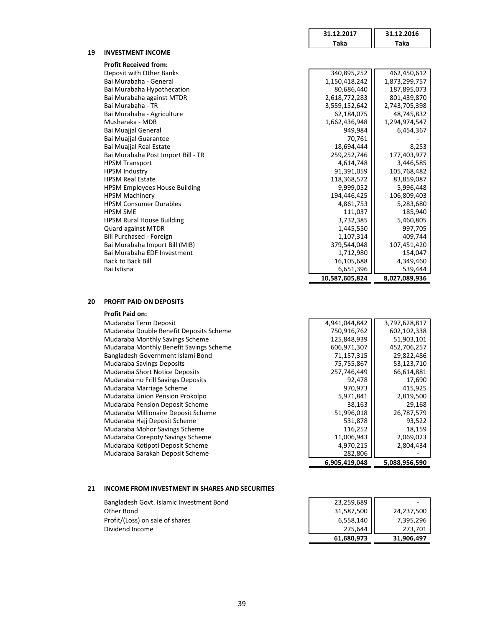|    |                                      | 31.12.2017     | 31.12.2016    |
|----|--------------------------------------|----------------|---------------|
|    |                                      | Taka           | Taka          |
| 19 | <b>INVESTMENT INCOME</b>             |                |               |
|    | <b>Profit Received from:</b>         |                |               |
|    | Deposit with Other Banks             | 340,895,252    | 462,450,612   |
|    | Bai Murabaha - General               | 1,150,418,242  | 1,873,299,757 |
|    | Bai Murabaha Hypothecation           | 80,686,440     | 187,895,073   |
|    | Bai Murabaha against MTDR            | 2,618,772,283  | 801,439,870   |
|    | Bai Murabaha - TR                    | 3,559,152,642  | 2,743,705,398 |
|    | Bai Murabaha - Agriculture           | 62,184,075     | 48,745,832    |
|    | Musharaka - MDB                      | 1,662,436,948  | 1,294,974,547 |
|    | Bai Muajjal General                  | 949,984        | 6,454,367     |
|    | <b>Bai Muajjal Guarantee</b>         | 70,761         |               |
|    | Bai Muajjal Real Estate              | 18,694,444     | 8,253         |
|    | Bai Murabaha Post Import Bill - TR   | 259,252,746    | 177,403,977   |
|    | <b>HPSM Transport</b>                | 4,614,748      | 3,446,585     |
|    | <b>HPSM Industry</b>                 | 91,391,059     | 105,768,482   |
|    | <b>HPSM Real Estate</b>              | 118,368,572    | 83,859,087    |
|    | <b>HPSM Employees House Building</b> | 9,999,052      | 5,996,448     |
|    | <b>HPSM Machinery</b>                | 194,446,425    | 106,809,403   |
|    | <b>HPSM Consumer Durables</b>        | 4,861,753      | 5,283,680     |
|    | <b>HPSM SME</b>                      | 111,037        | 185,940       |
|    | <b>HPSM Rural House Building</b>     | 3,732,385      | 5,460,805     |
|    | <b>Quard against MTDR</b>            | 1,445,550      | 997,705       |
|    | Bill Purchased - Foreign             | 1,107,314      | 409,744       |
|    | Bai Murabaha Import Bill (MIB)       | 379,544,048    | 107,451,420   |
|    | Bai Murabaha EDF Investment          | 1,712,980      | 154,047       |
|    | <b>Back to Back Bill</b>             | 16,105,688     | 4,349,460     |
|    | Bai Istisna                          | 6,651,396      | 539,444       |
|    |                                      | 10,587,605,824 | 8,027,089,936 |

## **20 PROFIT PAID ON DEPOSITS**

#### **Profit Paid on:**

| Mudaraba Term Deposit                   | 4,941,044,842 | 3,797,628,817 |
|-----------------------------------------|---------------|---------------|
| Mudaraba Double Benefit Deposits Scheme | 750,916,762   | 602,102,338   |
| Mudaraba Monthly Savings Scheme         | 125,848,939   | 51,903,101    |
| Mudaraba Monthly Benefit Savings Scheme | 606,971,307   | 452,706,257   |
| Bangladesh Government Islami Bond       | 71,157,315    | 29,822,486    |
| <b>Mudaraba Savings Deposits</b>        | 75,755,867    | 53,123,710    |
| <b>Mudaraba Short Notice Deposits</b>   | 257,746,449   | 66,614,881    |
| Mudaraba no Frill Savings Deposits      | 92,478        | 17,690        |
| Mudaraba Marriage Scheme                | 970,973       | 415,925       |
| Mudaraba Union Pension Prokolpo         | 5,971,841     | 2,819,500     |
| Mudaraba Pension Deposit Scheme         | 38,163        | 29,168        |
| Mudaraba Millionaire Deposit Scheme     | 51,996,018    | 26,787,579    |
| Mudaraba Hajj Deposit Scheme            | 531,878       | 93,522        |
| Mudaraba Mohor Savings Scheme           | 116,252       | 18,159        |
| Mudaraba Corepoty Savings Scheme        | 11,006,943    | 2,069,023     |
| Mudaraba Kotipoti Deposit Scheme        | 4,970,215     | 2,804,434     |
| Mudaraba Barakah Deposit Scheme         | 282,806       |               |

#### **21 INCOME FROM INVESTMENT IN SHARES AND SECURITIES**

Bangladesh Govt. Islamic Investment Bond Other Bond Profit/(Loss) on sale of shares Dividend Income

| 6.905.419.048 | 5,088,956,590 |
|---------------|---------------|
| 282,806       |               |
| 4,970,215     | 2,804,434     |
| 11,006,943    | 2,069,023     |
| 116,252       | 18,159        |
| 531,878       | 93,522        |
| 51,996,018    | 26,787,579    |
| 38,163        | 29,168        |
| 5,971,841     | 2,819,500     |
| 970,973       | 415,925       |
| 92,478        | 17,690        |
| 257,746,449   | 66,614,881    |
| 75,755,867    | 53,123,710    |
| 71,157,315    | 29,822,486    |
| 606,971,307   | 452,706,257   |
| 125,848,939   | 51,903,101    |
| 750,916,762   | 602,102,338   |
| 4,941,044,842 | 3,797,628,817 |
|               |               |

| 23,259,689 |            |
|------------|------------|
| 31,587,500 | 24,237,500 |
| 6,558,140  | 7,395,296  |
| 275,644    | 273,701    |
| 61,680,973 | 31,906,497 |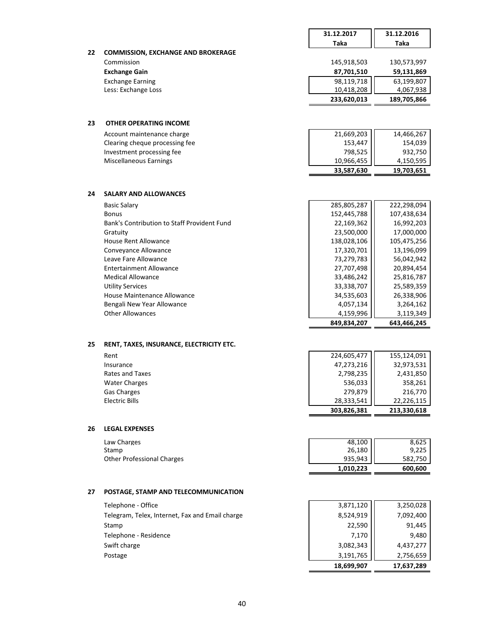|    |                                                             | 31.12.2017                | 31.12.2016                |
|----|-------------------------------------------------------------|---------------------------|---------------------------|
|    |                                                             | Taka                      | Taka                      |
| 22 | <b>COMMISSION, EXCHANGE AND BROKERAGE</b>                   |                           |                           |
|    | Commission                                                  | 145,918,503               | 130,573,997               |
|    | <b>Exchange Gain</b>                                        | 87,701,510                | 59,131,869                |
|    | <b>Exchange Earning</b><br>Less: Exchange Loss              | 98,119,718<br>10,418,208  | 63,199,807<br>4,067,938   |
|    |                                                             | 233,620,013               | 189,705,866               |
|    |                                                             |                           |                           |
|    |                                                             |                           |                           |
| 23 | <b>OTHER OPERATING INCOME</b>                               |                           |                           |
|    | Account maintenance charge                                  | 21,669,203                | 14,466,267                |
|    | Clearing cheque processing fee                              | 153,447                   | 154,039                   |
|    | Investment processing fee<br>Miscellaneous Earnings         | 798,525<br>10,966,455     | 932,750<br>4,150,595      |
|    |                                                             | 33,587,630                | 19,703,651                |
|    |                                                             |                           |                           |
|    |                                                             |                           |                           |
| 24 | <b>SALARY AND ALLOWANCES</b>                                |                           |                           |
|    | <b>Basic Salary</b>                                         | 285,805,287               | 222,298,094               |
|    | <b>Bonus</b><br>Bank's Contribution to Staff Provident Fund | 152,445,788               | 107,438,634<br>16,992,203 |
|    | Gratuity                                                    | 22,169,362<br>23,500,000  | 17,000,000                |
|    | <b>House Rent Allowance</b>                                 | 138,028,106               | 105,475,256               |
|    | Conveyance Allowance                                        | 17,320,701                | 13,196,099                |
|    | Leave Fare Allowance                                        | 73,279,783                | 56,042,942                |
|    | <b>Entertainment Allowance</b>                              | 27,707,498                | 20,894,454                |
|    | <b>Medical Allowance</b>                                    | 33,486,242                | 25,816,787                |
|    | <b>Utility Services</b>                                     | 33,338,707                | 25,589,359                |
|    | <b>House Maintenance Allowance</b>                          | 34,535,603                | 26,338,906                |
|    | Bengali New Year Allowance<br><b>Other Allowances</b>       | 4,057,134<br>4,159,996    | 3,264,162<br>3,119,349    |
|    |                                                             | 849,834,207               | 643,466,245               |
|    |                                                             |                           |                           |
| 25 | RENT, TAXES, INSURANCE, ELECTRICITY ETC.                    |                           |                           |
|    | Rent                                                        | 224,605,477               | 155,124,091               |
|    | Insurance                                                   | 47,273,216                | 32,973,531                |
|    | Rates and Taxes                                             | 2,798,235                 | 2,431,850                 |
|    | <b>Water Charges</b>                                        | 536,033                   | 358,261                   |
|    | Gas Charges                                                 | 279,879                   | 216,770                   |
|    | <b>Electric Bills</b>                                       | 28,333,541<br>303,826,381 | 22,226,115                |
|    |                                                             |                           | 213,330,618               |
| 26 | <b>LEGAL EXPENSES</b>                                       |                           |                           |
|    | Law Charges                                                 | 48,100                    | 8,625                     |
|    | Stamp                                                       | 26,180                    | 9,225                     |
|    | <b>Other Professional Charges</b>                           | 935,943                   | 582,750                   |
|    |                                                             | 1,010,223                 | 600,600                   |
|    |                                                             |                           |                           |
| 27 | POSTAGE, STAMP AND TELECOMMUNICATION                        |                           |                           |
|    | Telephone - Office                                          | 3,871,120                 | 3,250,028                 |
|    | Telegram, Telex, Internet, Fax and Email charge             | 8,524,919                 | 7,092,400                 |
|    | Stamp                                                       | 22,590                    | 91,445                    |
|    | Telephone - Residence                                       | 7,170                     | 9,480                     |
|    | Swift charge                                                | 3,082,343                 | 4,437,277                 |
|    | Postage                                                     | 3,191,765                 | 2,756,659                 |
|    |                                                             | 18,699,907                | 17,637,289                |
|    |                                                             |                           |                           |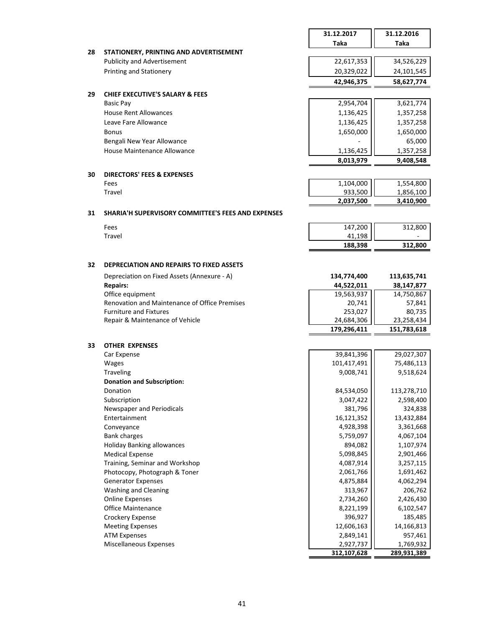|    |                                                                  | 31.12.2017                | 31.12.2016                                                                                                                                                                                                          |
|----|------------------------------------------------------------------|---------------------------|---------------------------------------------------------------------------------------------------------------------------------------------------------------------------------------------------------------------|
|    |                                                                  | Taka                      | Taka                                                                                                                                                                                                                |
| 28 | STATIONERY, PRINTING AND ADVERTISEMENT                           |                           |                                                                                                                                                                                                                     |
|    | <b>Publicity and Advertisement</b>                               | 22,617,353                | 34,526,229                                                                                                                                                                                                          |
|    | <b>Printing and Stationery</b>                                   | 20,329,022                | 24,101,545                                                                                                                                                                                                          |
|    |                                                                  | 42,946,375                | 58,627,774                                                                                                                                                                                                          |
| 29 | <b>CHIEF EXECUTIVE'S SALARY &amp; FEES</b>                       |                           |                                                                                                                                                                                                                     |
|    | <b>Basic Pay</b>                                                 | 2,954,704                 | 3,621,774                                                                                                                                                                                                           |
|    | <b>House Rent Allowances</b>                                     | 1,136,425                 | 1,357,258                                                                                                                                                                                                           |
|    | Leave Fare Allowance                                             | 1,136,425                 | 1,357,258                                                                                                                                                                                                           |
|    | <b>Bonus</b>                                                     | 1,650,000                 | 1,650,000                                                                                                                                                                                                           |
|    | Bengali New Year Allowance                                       |                           | 65,000                                                                                                                                                                                                              |
|    | House Maintenance Allowance                                      | 1,136,425                 | 1,357,258                                                                                                                                                                                                           |
|    |                                                                  | 8,013,979                 | 9,408,548                                                                                                                                                                                                           |
|    |                                                                  |                           |                                                                                                                                                                                                                     |
| 30 | <b>DIRECTORS' FEES &amp; EXPENSES</b>                            |                           |                                                                                                                                                                                                                     |
|    | Fees                                                             | 1,104,000                 | 1,554,800                                                                                                                                                                                                           |
|    | Travel                                                           | 933,500                   | 1,856,100                                                                                                                                                                                                           |
|    |                                                                  | 2,037,500                 | 3,410,900                                                                                                                                                                                                           |
| 31 | SHARIA'H SUPERVISORY COMMITTEE'S FEES AND EXPENSES               |                           |                                                                                                                                                                                                                     |
|    | Fees                                                             | 147,200                   | 312,800                                                                                                                                                                                                             |
|    | Travel                                                           | 41,198                    |                                                                                                                                                                                                                     |
|    |                                                                  | 188,398                   | 312,800                                                                                                                                                                                                             |
|    |                                                                  |                           |                                                                                                                                                                                                                     |
| 32 | <b>DEPRECIATION AND REPAIRS TO FIXED ASSETS</b>                  |                           |                                                                                                                                                                                                                     |
|    | Depreciation on Fixed Assets (Annexure - A)                      | 134,774,400               | 113,635,741                                                                                                                                                                                                         |
|    | <b>Repairs:</b>                                                  | 44,522,011                | 38,147,877                                                                                                                                                                                                          |
|    | Office equipment                                                 | 19,563,937                | 14,750,867                                                                                                                                                                                                          |
|    | Renovation and Maintenance of Office Premises                    | 20,741                    | 57,841                                                                                                                                                                                                              |
|    | <b>Furniture and Fixtures</b><br>Repair & Maintenance of Vehicle | 253,027                   | 80,735                                                                                                                                                                                                              |
|    |                                                                  | 24,684,306<br>179,296,411 | 23,258,434<br>151,783,618                                                                                                                                                                                           |
|    |                                                                  |                           |                                                                                                                                                                                                                     |
| 33 | <b>OTHER EXPENSES</b>                                            |                           |                                                                                                                                                                                                                     |
|    | Car Expense                                                      | 39,841,396                | 29,027,307                                                                                                                                                                                                          |
|    | <b>Wages</b>                                                     | 101,417,491               | 75,486,113                                                                                                                                                                                                          |
|    | <b>Traveling</b>                                                 | 9,008,741                 | 9,518,624                                                                                                                                                                                                           |
|    | Donation and Subscription:                                       |                           |                                                                                                                                                                                                                     |
|    |                                                                  |                           | 113,278,710                                                                                                                                                                                                         |
|    | Donation                                                         | 84,534,050                |                                                                                                                                                                                                                     |
|    | Subscription                                                     | 3,047,422                 |                                                                                                                                                                                                                     |
|    | Newspaper and Periodicals                                        | 381,796                   |                                                                                                                                                                                                                     |
|    | Entertainment                                                    | 16,121,352                |                                                                                                                                                                                                                     |
|    | Conveyance                                                       | 4,928,398                 |                                                                                                                                                                                                                     |
|    | <b>Bank charges</b>                                              | 5,759,097                 |                                                                                                                                                                                                                     |
|    | <b>Holiday Banking allowances</b>                                | 894,082                   |                                                                                                                                                                                                                     |
|    | <b>Medical Expense</b>                                           | 5,098,845                 |                                                                                                                                                                                                                     |
|    | Training, Seminar and Workshop                                   | 4,087,914                 |                                                                                                                                                                                                                     |
|    | Photocopy, Photograph & Toner                                    | 2,061,766                 |                                                                                                                                                                                                                     |
|    | <b>Generator Expenses</b>                                        | 4,875,884                 |                                                                                                                                                                                                                     |
|    | Washing and Cleaning                                             | 313,967                   |                                                                                                                                                                                                                     |
|    | <b>Online Expenses</b>                                           | 2,734,260                 |                                                                                                                                                                                                                     |
|    | Office Maintenance                                               | 8,221,199                 |                                                                                                                                                                                                                     |
|    | Crockery Expense                                                 | 396,927                   |                                                                                                                                                                                                                     |
|    | <b>Meeting Expenses</b>                                          | 12,606,163                |                                                                                                                                                                                                                     |
|    | <b>ATM Expenses</b><br>Miscellaneous Expenses                    | 2,849,141<br>2,927,737    | 2,598,400<br>324,838<br>13,432,884<br>3,361,668<br>4,067,104<br>1,107,974<br>2,901,466<br>3,257,115<br>1,691,462<br>4,062,294<br>206,762<br>2,426,430<br>6,102,547<br>185,485<br>14,166,813<br>957,461<br>1,769,932 |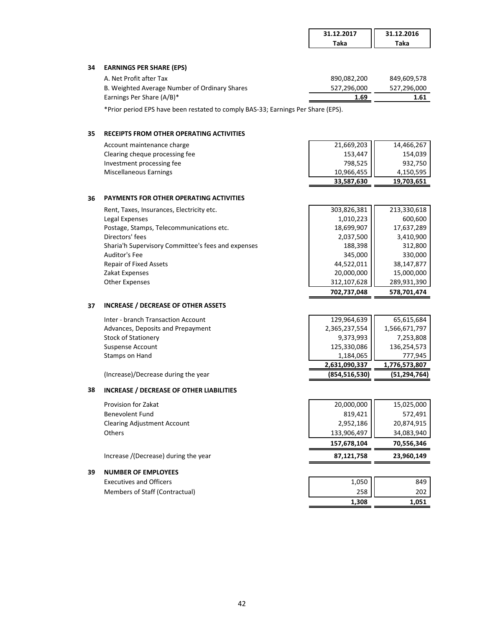|    |                                                                                                                                                     | 31.12.2017  | 31.12.2016  |
|----|-----------------------------------------------------------------------------------------------------------------------------------------------------|-------------|-------------|
|    |                                                                                                                                                     | <b>Taka</b> | Taka        |
|    |                                                                                                                                                     |             |             |
| 34 | <b>EARNINGS PER SHARE (EPS)</b>                                                                                                                     |             |             |
|    | A. Net Profit after Tax                                                                                                                             | 890,082,200 | 849,609,578 |
|    | B. Weighted Average Number of Ordinary Shares                                                                                                       | 527,296,000 | 527,296,000 |
|    | Earnings Per Share (A/B)*                                                                                                                           | 1.69        | 1.61        |
|    | $\star$ , $\star$ , $\star$ , $\star$ , $\star$ , $\star$ , $\star$ , $\star$ , $\star$ , $\star$ , $\star$ , $\star$ , $\star$ , $\star$ , $\star$ |             |             |

\*Prior period EPS have been restated to comply BAS-33; Earnings Per Share (EPS).

## **35 RECEIPTS FROM OTHER OPERATING ACTIVITIES**

|                                | 33,587,630 | 19,703,651 |
|--------------------------------|------------|------------|
| Miscellaneous Earnings         | 10,966,455 | 4,150,595  |
| Investment processing fee      | 798,525    | 932,750    |
| Clearing cheque processing fee | 153,447    | 154.039    |
| Account maintenance charge     | 21,669,203 | 14,466,267 |

#### **36 PAYMENTS FOR OTHER OPERATING ACTIVITIES**

| Rent, Taxes, Insurances, Electricity etc.          | 303,826,381 | 213,330,618 |
|----------------------------------------------------|-------------|-------------|
| Legal Expenses                                     | 1,010,223   | 600,600     |
| Postage, Stamps, Telecommunications etc.           | 18,699,907  | 17,637,289  |
| Directors' fees                                    | 2,037,500   | 3,410,900   |
| Sharia'h Supervisory Committee's fees and expenses | 188,398     | 312,800     |
| Auditor's Fee                                      | 345,000     | 330,000     |
| <b>Repair of Fixed Assets</b>                      | 44,522,011  | 38,147,877  |
| Zakat Expenses                                     | 20,000,000  | 15,000,000  |
| <b>Other Expenses</b>                              | 312,107,628 | 289,931,390 |
|                                                    | 702.737.048 | 578,701,474 |

## **37 INCREASE / DECREASE OF OTHER ASSETS**

|                                    | 2,631,090,337 | 1,776,573,807 |
|------------------------------------|---------------|---------------|
| Stamps on Hand                     | 1,184,065     | 777.945       |
| Suspense Account                   | 125,330,086   | 136,254,573   |
| Stock of Stationery                | 9,373,993     | 7,253,808     |
| Advances, Deposits and Prepayment  | 2,365,237,554 | 1,566,671,797 |
| Inter - branch Transaction Account | 129,964,639   | 65,615,684    |

(Increase)/Decrease during the year **(854,516,530) (51,294,764)**

#### **38 INCREASE / DECREASE OF OTHER LIABILITIES**

#### **39 NUMBER OF EMPLOYEES**

Executives and Officers Members of Staff (Contractual)

| 157,678,104 | 70,556,346 |
|-------------|------------|
|             |            |
| 133,906,497 | 34,083,940 |
| 2,952,186   | 20,874,915 |
| 819,421     | 572,491    |
| 20,000,000  | 15,025,000 |
|             |            |

| 1,308 | 1,051 |
|-------|-------|
| 258   | 202   |
| 1,050 | 849   |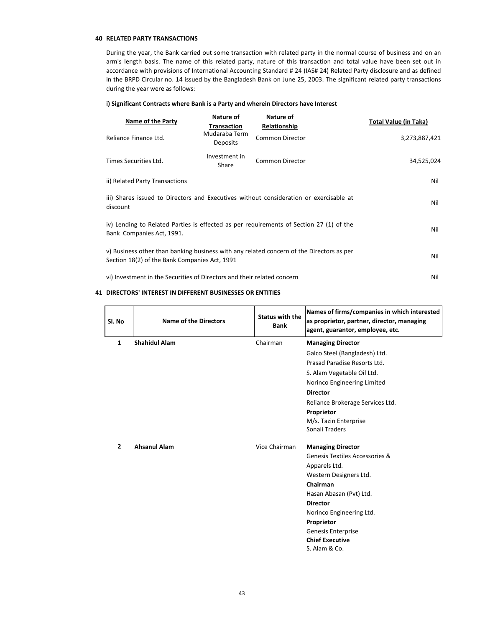#### **40 RELATED PARTY TRANSACTIONS**

During the year, the Bank carried out some transaction with related party in the normal course of business and on an arm's length basis. The name of this related party, nature of this transaction and total value have been set out in accordance with provisions of International Accounting Standard # 24 (IAS# 24) Related Party disclosure and as defined in the BRPD Circular no. 14 issued by the Bangladesh Bank on June 25, 2003. The significant related party transactions during the year were as follows:

#### **i) Significant Contracts where Bank is a Party and wherein Directors have Interest**

| Name of the Party                                                                                                                                | Nature of<br><b>Transaction</b>  | Nature of<br>Relationship | <b>Total Value (in Taka)</b> |
|--------------------------------------------------------------------------------------------------------------------------------------------------|----------------------------------|---------------------------|------------------------------|
| Reliance Finance Ltd.                                                                                                                            | Mudaraba Term<br><b>Deposits</b> | <b>Common Director</b>    | 3,273,887,421                |
| Times Securities Ltd.                                                                                                                            | Investment in<br>Share           | <b>Common Director</b>    | 34,525,024                   |
| ii) Related Party Transactions                                                                                                                   | Nil                              |                           |                              |
| iii) Shares issued to Directors and Executives without consideration or exercisable at<br>discount                                               |                                  |                           |                              |
| iv) Lending to Related Parties is effected as per requirements of Section 27 (1) of the<br>Bank Companies Act, 1991.                             |                                  |                           |                              |
| v) Business other than banking business with any related concern of the Directors as per<br>Nil<br>Section 18(2) of the Bank Companies Act, 1991 |                                  |                           |                              |
| vi) Investment in the Securities of Directors and their related concern<br>Nil                                                                   |                                  |                           |                              |

#### **41 DIRECTORS' INTEREST IN DIFFERENT BUSINESSES OR ENTITIES**

| Sl. No         | <b>Name of the Directors</b> | <b>Status with the</b><br><b>Bank</b> | Names of firms/companies in which interested<br>as proprietor, partner, director, managing<br>agent, guarantor, employee, etc. |
|----------------|------------------------------|---------------------------------------|--------------------------------------------------------------------------------------------------------------------------------|
| 1              | <b>Shahidul Alam</b>         | Chairman                              | <b>Managing Director</b>                                                                                                       |
|                |                              |                                       | Galco Steel (Bangladesh) Ltd.                                                                                                  |
|                |                              |                                       | Prasad Paradise Resorts Ltd.                                                                                                   |
|                |                              |                                       | S. Alam Vegetable Oil Ltd.                                                                                                     |
|                |                              |                                       | Norinco Engineering Limited                                                                                                    |
|                |                              |                                       | <b>Director</b>                                                                                                                |
|                |                              |                                       | Reliance Brokerage Services Ltd.                                                                                               |
|                |                              |                                       | Proprietor                                                                                                                     |
|                |                              |                                       | M/s. Tazin Enterprise                                                                                                          |
|                |                              |                                       | Sonali Traders                                                                                                                 |
| $\overline{2}$ | <b>Ahsanul Alam</b>          | Vice Chairman                         | <b>Managing Director</b>                                                                                                       |
|                |                              |                                       | Genesis Textiles Accessories &                                                                                                 |
|                |                              |                                       | Apparels Ltd.                                                                                                                  |
|                |                              |                                       | Western Designers Ltd.                                                                                                         |
|                |                              |                                       | Chairman                                                                                                                       |
|                |                              |                                       | Hasan Abasan (Pvt) Ltd.                                                                                                        |
|                |                              |                                       | <b>Director</b>                                                                                                                |
|                |                              |                                       | Norinco Engineering Ltd.                                                                                                       |
|                |                              |                                       | Proprietor                                                                                                                     |
|                |                              |                                       | <b>Genesis Enterprise</b>                                                                                                      |
|                |                              |                                       | <b>Chief Executive</b>                                                                                                         |
|                |                              |                                       | S. Alam & Co.                                                                                                                  |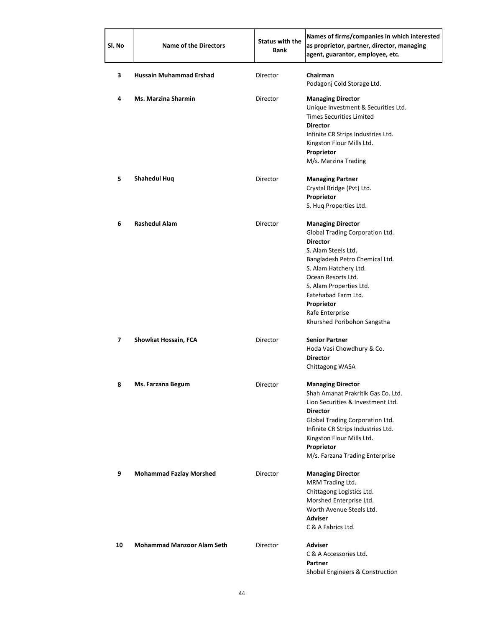| Sl. No | <b>Name of the Directors</b>      | <b>Status with the</b><br><b>Bank</b> | Names of firms/companies in which interested<br>as proprietor, partner, director, managing<br>agent, guarantor, employee, etc.                                                                                                                                                                           |
|--------|-----------------------------------|---------------------------------------|----------------------------------------------------------------------------------------------------------------------------------------------------------------------------------------------------------------------------------------------------------------------------------------------------------|
| 3      | Hussain Muhammad Ershad           | Director                              | Chairman<br>Podagonj Cold Storage Ltd.                                                                                                                                                                                                                                                                   |
| 4      | <b>Ms. Marzina Sharmin</b>        | Director                              | <b>Managing Director</b><br>Unique Investment & Securities Ltd.<br><b>Times Securities Limited</b><br><b>Director</b><br>Infinite CR Strips Industries Ltd.<br>Kingston Flour Mills Ltd.<br>Proprietor<br>M/s. Marzina Trading                                                                           |
| 5      | <b>Shahedul Huq</b>               | Director                              | <b>Managing Partner</b><br>Crystal Bridge (Pvt) Ltd.<br>Proprietor<br>S. Hug Properties Ltd.                                                                                                                                                                                                             |
| 6      | <b>Rashedul Alam</b>              | Director                              | <b>Managing Director</b><br>Global Trading Corporation Ltd.<br><b>Director</b><br>S. Alam Steels Ltd.<br>Bangladesh Petro Chemical Ltd.<br>S. Alam Hatchery Ltd.<br>Ocean Resorts Ltd.<br>S. Alam Properties Ltd.<br>Fatehabad Farm Ltd.<br>Proprietor<br>Rafe Enterprise<br>Khurshed Poribohon Sangstha |
| 7      | Showkat Hossain, FCA              | Director                              | <b>Senior Partner</b><br>Hoda Vasi Chowdhury & Co.<br><b>Director</b><br>Chittagong WASA                                                                                                                                                                                                                 |
| 8      | Ms. Farzana Begum                 | Director                              | <b>Managing Director</b><br>Shah Amanat Prakritik Gas Co. Ltd.<br>Lion Securities & Investment Ltd.<br><b>Director</b><br>Global Trading Corporation Ltd.<br>Infinite CR Strips Industries Ltd.<br>Kingston Flour Mills Ltd.<br>Proprietor<br>M/s. Farzana Trading Enterprise                            |
| 9      | <b>Mohammad Fazlay Morshed</b>    | Director                              | <b>Managing Director</b><br>MRM Trading Ltd.<br>Chittagong Logistics Ltd.<br>Morshed Enterprise Ltd.<br>Worth Avenue Steels Ltd.<br><b>Adviser</b><br>C & A Fabrics Ltd.                                                                                                                                 |
| 10     | <b>Mohammad Manzoor Alam Seth</b> | Director                              | <b>Adviser</b><br>C & A Accessories Ltd.<br>Partner<br>Shobel Engineers & Construction                                                                                                                                                                                                                   |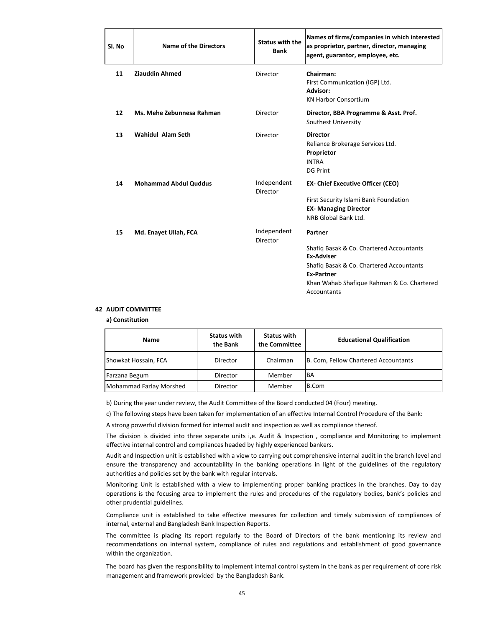| Sl. No | <b>Name of the Directors</b> | <b>Status with the</b><br><b>Bank</b> | Names of firms/companies in which interested<br>as proprietor, partner, director, managing<br>agent, guarantor, employee, etc.                                                                         |
|--------|------------------------------|---------------------------------------|--------------------------------------------------------------------------------------------------------------------------------------------------------------------------------------------------------|
| 11     | <b>Ziauddin Ahmed</b>        | Director                              | Chairman:<br>First Communication (IGP) Ltd.<br>Advisor:<br><b>KN Harbor Consortium</b>                                                                                                                 |
| 12     | Ms. Mehe Zebunnesa Rahman    | Director                              | Director, BBA Programme & Asst. Prof.<br>Southest University                                                                                                                                           |
| 13     | Wahidul Alam Seth            | Director                              | <b>Director</b><br>Reliance Brokerage Services Ltd.<br>Proprietor<br><b>INTRA</b><br><b>DG Print</b>                                                                                                   |
| 14     | <b>Mohammad Abdul Quddus</b> | Independent<br>Director               | <b>EX- Chief Executive Officer (CEO)</b><br>First Security Islami Bank Foundation<br><b>EX- Managing Director</b><br>NRB Global Bank Ltd.                                                              |
| 15     | Md. Enayet Ullah, FCA        | Independent<br>Director               | Partner<br>Shafig Basak & Co. Chartered Accountants<br><b>Ex-Adviser</b><br>Shafiq Basak & Co. Chartered Accountants<br><b>Ex-Partner</b><br>Khan Wahab Shafique Rahman & Co. Chartered<br>Accountants |

#### **42 AUDIT COMMITTEE**

**a) Constitution**

| Name                    | <b>Status with</b><br>the Bank | <b>Status with</b><br>the Committee | <b>Educational Qualification</b>     |  |
|-------------------------|--------------------------------|-------------------------------------|--------------------------------------|--|
| Showkat Hossain, FCA    | Director                       | Chairman                            | B. Com, Fellow Chartered Accountants |  |
| Farzana Begum           | Director                       | Member                              | <b>BA</b>                            |  |
| Mohammad Fazlay Morshed | Director                       | Member                              | B.Com                                |  |

b) During the year under review, the Audit Committee of the Board conducted 04 (Four) meeting.

c) The following steps have been taken for implementation of an effective Internal Control Procedure of the Bank:

A strong powerful division formed for internal audit and inspection as well as compliance thereof.

The division is divided into three separate units i,e. Audit & Inspection , compliance and Monitoring to implement effective internal control and compliances headed by highly experienced bankers.

Audit and Inspection unit is established with a view to carrying out comprehensive internal audit in the branch level and ensure the transparency and accountability in the banking operations in light of the guidelines of the regulatory authorities and policies set by the bank with regular intervals.

Monitoring Unit is established with a view to implementing proper banking practices in the branches. Day to day operations is the focusing area to implement the rules and procedures of the regulatory bodies, bank's policies and other prudential guidelines.

Compliance unit is established to take effective measures for collection and timely submission of compliances of internal, external and Bangladesh Bank Inspection Reports.

The committee is placing its report regularly to the Board of Directors of the bank mentioning its review and recommendations on internal system, compliance of rules and regulations and establishment of good governance within the organization.

> The board has given the responsibility to implement internal control system in the bank as per requirement of core risk management and framework provided by the Bangladesh Bank.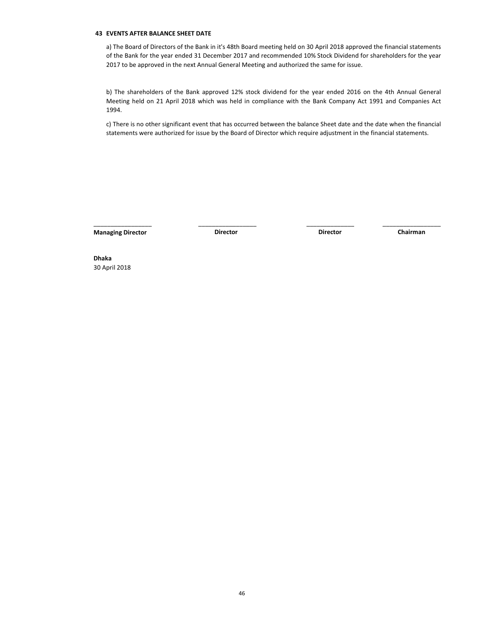#### **43 EVENTS AFTER BALANCE SHEET DATE**

a) The Board of Directors of the Bank in it's 48th Board meeting held on 30 April 2018 approved the financial statements of the Bank for the year ended 31 December 2017 and recommended 10% Stock Dividend for shareholders for the year 2017 to be approved in the next Annual General Meeting and authorized the same for issue.

b) The shareholders of the Bank approved 12% stock dividend for the year ended 2016 on the 4th Annual General Meeting held on 21 April 2018 which was held in compliance with the Bank Company Act 1991 and Companies Act 1994.

c) There is no other significant event that has occurred between the balance Sheet date and the date when the financial statements were authorized for issue by the Board of Director which require adjustment in the financial statements.

\_\_\_\_\_\_\_\_\_\_\_\_\_\_\_\_\_ \_\_\_\_\_\_\_\_\_\_\_\_\_\_\_\_\_ \_\_\_\_\_\_\_\_\_\_\_\_\_\_\_\_\_ \_\_\_\_\_\_\_\_\_\_\_\_\_\_\_\_\_

**Managing Director Director Director Director Director Director Chairman** 

**Director**

**Dhaka** 30 April 2018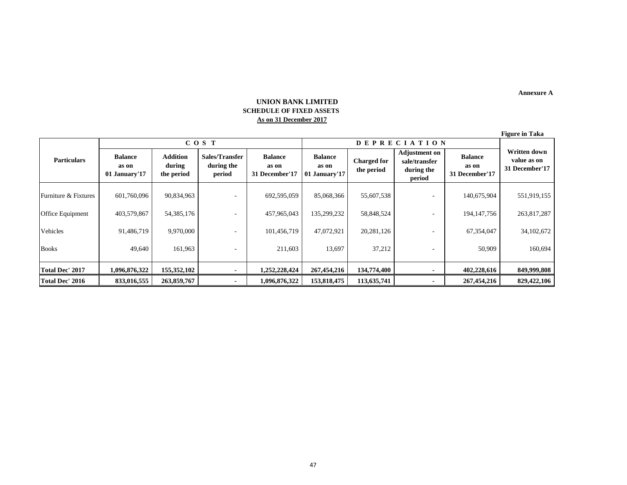**Annexure A**

## **UNION BANK LIMITED SCHEDULE OF FIXED ASSETS As on 31 December 2017**

|       |                                          |                                  |                                                               |                                           | <b>Figure in Taka</b>                                |  |
|-------|------------------------------------------|----------------------------------|---------------------------------------------------------------|-------------------------------------------|------------------------------------------------------|--|
|       | <b>DEPRECIATION</b>                      |                                  |                                                               |                                           |                                                      |  |
| er'17 | <b>Balance</b><br>as on<br>01 January'17 | <b>Charged for</b><br>the period | <b>Adjustment</b> on<br>sale/transfer<br>during the<br>period | <b>Balance</b><br>as on<br>31 December'17 | <b>Written down</b><br>value as on<br>31 December'1' |  |
| 5.059 | 85,068,366                               | 55,607,538                       | ۰                                                             | 140,675,904                               | 551,919,15                                           |  |
| 5.043 | 135 200 232                              | 58 848 574                       |                                                               | 104 147 756                               | 263.817.28                                           |  |

|                        | COS T                                    |                                  |                                        | <b>DEPRECIATION</b>                       |                                          |                                  |                                                               |                                           |                                               |
|------------------------|------------------------------------------|----------------------------------|----------------------------------------|-------------------------------------------|------------------------------------------|----------------------------------|---------------------------------------------------------------|-------------------------------------------|-----------------------------------------------|
| <b>Particulars</b>     | <b>Balance</b><br>as on<br>01 January'17 | Addition<br>during<br>the period | Sales/Transfer<br>during the<br>period | <b>Balance</b><br>as on<br>31 December'17 | <b>Balance</b><br>as on<br>01 January'17 | <b>Charged</b> for<br>the period | <b>Adjustment on</b><br>sale/transfer<br>during the<br>period | <b>Balance</b><br>as on<br>31 December'17 | Written down<br>value as on<br>31 December'17 |
| Furniture & Fixtures   | 601,760,096                              | 90,834,963                       |                                        | 692,595,059                               | 85,068,366                               | 55,607,538                       |                                                               | 140,675,904                               | 551,919,155                                   |
| Office Equipment       | 403,579,867                              | 54, 385, 176                     |                                        | 457,965,043                               | 135,299,232                              | 58,848,524                       |                                                               | 194, 147, 756                             | 263,817,287                                   |
| Vehicles               | 91,486,719                               | 9,970,000                        |                                        | 101,456,719                               | 47,072,921                               | 20, 281, 126                     |                                                               | 67,354,047                                | 34,102,672                                    |
| <b>Books</b>           | 49.640                                   | 161,963                          |                                        | 211,603                                   | 13,697                                   | 37,212                           |                                                               | 50,909                                    | 160,694                                       |
| <b>Total Dec' 2017</b> | 1,096,876,322                            | 155,352,102                      |                                        | 1,252,228,424                             | 267,454,216                              | 134,774,400                      |                                                               | 402,228,616                               | 849,999,808                                   |
| <b>Total Dec' 2016</b> | 833,016,555                              | 263,859,767                      |                                        | 1,096,876,322                             | 153,818,475                              | 113,635,741                      |                                                               | 267,454,216                               | 829,422,106                                   |